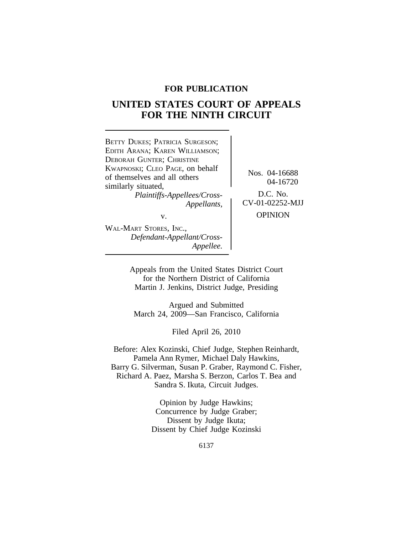# **FOR PUBLICATION**

# **UNITED STATES COURT OF APPEALS FOR THE NINTH CIRCUIT**



Appeals from the United States District Court for the Northern District of California Martin J. Jenkins, District Judge, Presiding

Argued and Submitted March 24, 2009—San Francisco, California

Filed April 26, 2010

Before: Alex Kozinski, Chief Judge, Stephen Reinhardt, Pamela Ann Rymer, Michael Daly Hawkins, Barry G. Silverman, Susan P. Graber, Raymond C. Fisher, Richard A. Paez, Marsha S. Berzon, Carlos T. Bea and Sandra S. Ikuta, Circuit Judges.

> Opinion by Judge Hawkins; Concurrence by Judge Graber; Dissent by Judge Ikuta; Dissent by Chief Judge Kozinski

> > 6137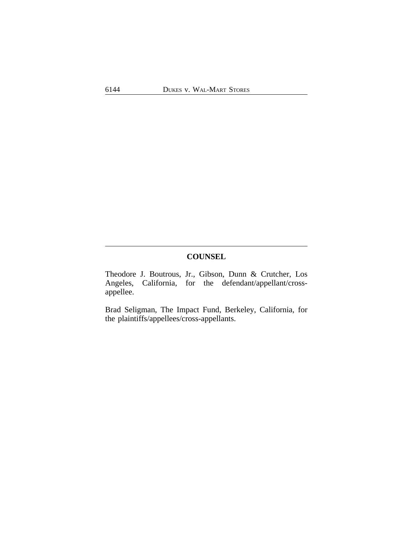# **COUNSEL**

Theodore J. Boutrous, Jr., Gibson, Dunn & Crutcher, Los Angeles, California, for the defendant/appellant/crossappellee.

Brad Seligman, The Impact Fund, Berkeley, California, for the plaintiffs/appellees/cross-appellants.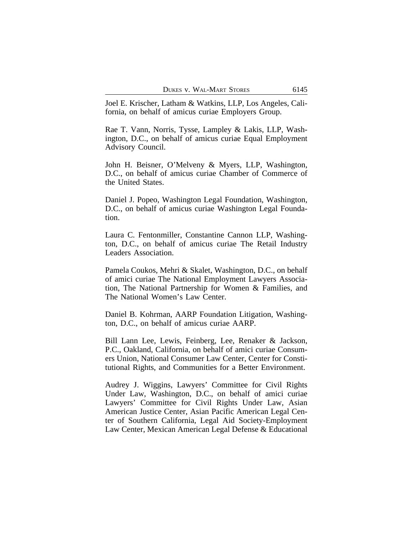Joel E. Krischer, Latham & Watkins, LLP, Los Angeles, California, on behalf of amicus curiae Employers Group.

Rae T. Vann, Norris, Tysse, Lampley & Lakis, LLP, Washington, D.C., on behalf of amicus curiae Equal Employment Advisory Council.

John H. Beisner, O'Melveny & Myers, LLP, Washington, D.C., on behalf of amicus curiae Chamber of Commerce of the United States.

Daniel J. Popeo, Washington Legal Foundation, Washington, D.C., on behalf of amicus curiae Washington Legal Foundation.

Laura C. Fentonmiller, Constantine Cannon LLP, Washington, D.C., on behalf of amicus curiae The Retail Industry Leaders Association.

Pamela Coukos, Mehri & Skalet, Washington, D.C., on behalf of amici curiae The National Employment Lawyers Association, The National Partnership for Women & Families, and The National Women's Law Center.

Daniel B. Kohrman, AARP Foundation Litigation, Washington, D.C., on behalf of amicus curiae AARP.

Bill Lann Lee, Lewis, Feinberg, Lee, Renaker & Jackson, P.C., Oakland, California, on behalf of amici curiae Consumers Union, National Consumer Law Center, Center for Constitutional Rights, and Communities for a Better Environment.

Audrey J. Wiggins, Lawyers' Committee for Civil Rights Under Law, Washington, D.C., on behalf of amici curiae Lawyers' Committee for Civil Rights Under Law, Asian American Justice Center, Asian Pacific American Legal Center of Southern California, Legal Aid Society-Employment Law Center, Mexican American Legal Defense & Educational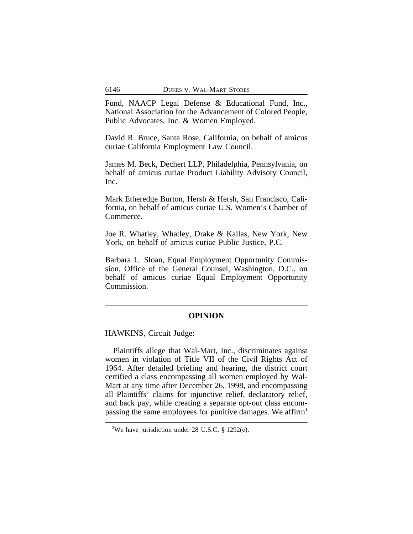Fund, NAACP Legal Defense & Educational Fund, Inc., National Association for the Advancement of Colored People, Public Advocates, Inc. & Women Employed.

David R. Bruce, Santa Rose, California, on behalf of amicus curiae California Employment Law Council.

James M. Beck, Dechert LLP, Philadelphia, Pennsylvania, on behalf of amicus curiae Product Liability Advisory Council, Inc.

Mark Etheredge Burton, Hersh & Hersh, San Francisco, California, on behalf of amicus curiae U.S. Women's Chamber of Commerce.

Joe R. Whatley, Whatley, Drake & Kallas, New York, New York, on behalf of amicus curiae Public Justice, P.C.

Barbara L. Sloan, Equal Employment Opportunity Commission, Office of the General Counsel, Washington, D.C., on behalf of amicus curiae Equal Employment Opportunity Commission.

# **OPINION**

HAWKINS, Circuit Judge:

Plaintiffs allege that Wal-Mart, Inc., discriminates against women in violation of Title VII of the Civil Rights Act of 1964. After detailed briefing and hearing, the district court certified a class encompassing all women employed by Wal-Mart at any time after December 26, 1998, and encompassing all Plaintiffs' claims for injunctive relief, declaratory relief, and back pay, while creating a separate opt-out class encompassing the same employees for punitive damages. We affirm**<sup>1</sup>**

**<sup>1</sup>**We have jurisdiction under 28 U.S.C. § 1292(e).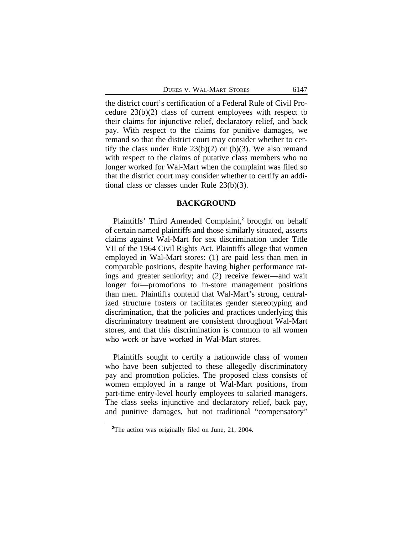the district court's certification of a Federal Rule of Civil Procedure 23(b)(2) class of current employees with respect to their claims for injunctive relief, declaratory relief, and back pay. With respect to the claims for punitive damages, we remand so that the district court may consider whether to certify the class under Rule  $23(b)(2)$  or  $(b)(3)$ . We also remand with respect to the claims of putative class members who no longer worked for Wal-Mart when the complaint was filed so that the district court may consider whether to certify an additional class or classes under Rule 23(b)(3).

#### **BACKGROUND**

Plaintiffs' Third Amended Complaint,<sup>2</sup> brought on behalf of certain named plaintiffs and those similarly situated, asserts claims against Wal-Mart for sex discrimination under Title VII of the 1964 Civil Rights Act. Plaintiffs allege that women employed in Wal-Mart stores: (1) are paid less than men in comparable positions, despite having higher performance ratings and greater seniority; and (2) receive fewer—and wait longer for—promotions to in-store management positions than men. Plaintiffs contend that Wal-Mart's strong, centralized structure fosters or facilitates gender stereotyping and discrimination, that the policies and practices underlying this discriminatory treatment are consistent throughout Wal-Mart stores, and that this discrimination is common to all women who work or have worked in Wal-Mart stores.

Plaintiffs sought to certify a nationwide class of women who have been subjected to these allegedly discriminatory pay and promotion policies. The proposed class consists of women employed in a range of Wal-Mart positions, from part-time entry-level hourly employees to salaried managers. The class seeks injunctive and declaratory relief, back pay, and punitive damages, but not traditional "compensatory"

**<sup>2</sup>**The action was originally filed on June, 21, 2004.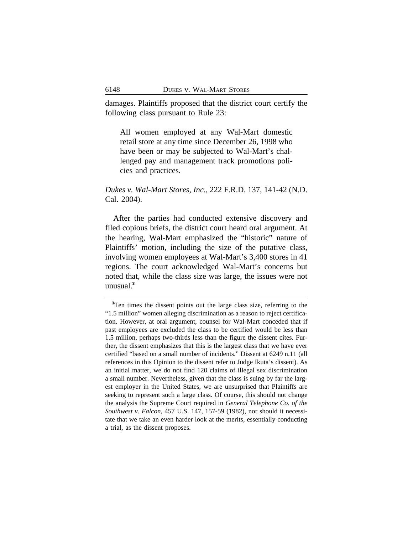damages. Plaintiffs proposed that the district court certify the following class pursuant to Rule 23:

All women employed at any Wal-Mart domestic retail store at any time since December 26, 1998 who have been or may be subjected to Wal-Mart's challenged pay and management track promotions policies and practices.

# *Dukes v. Wal-Mart Stores, Inc.*, 222 F.R.D. 137, 141-42 (N.D. Cal. 2004).

After the parties had conducted extensive discovery and filed copious briefs, the district court heard oral argument. At the hearing, Wal-Mart emphasized the "historic" nature of Plaintiffs' motion, including the size of the putative class, involving women employees at Wal-Mart's 3,400 stores in 41 regions. The court acknowledged Wal-Mart's concerns but noted that, while the class size was large, the issues were not unusual.**<sup>3</sup>**

**<sup>3</sup>**Ten times the dissent points out the large class size, referring to the "1.5 million" women alleging discrimination as a reason to reject certification. However, at oral argument, counsel for Wal-Mart conceded that if past employees are excluded the class to be certified would be less than 1.5 million, perhaps two-thirds less than the figure the dissent cites. Further, the dissent emphasizes that this is the largest class that we have ever certified "based on a small number of incidents." Dissent at 6249 n.11 (all references in this Opinion to the dissent refer to Judge Ikuta's dissent). As an initial matter, we do not find 120 claims of illegal sex discrimination a small number. Nevertheless, given that the class is suing by far the largest employer in the United States, we are unsurprised that Plaintiffs are seeking to represent such a large class. Of course, this should not change the analysis the Supreme Court required in *General Telephone Co. of the Southwest v. Falcon*, 457 U.S. 147, 157-59 (1982), nor should it necessitate that we take an even harder look at the merits, essentially conducting a trial, as the dissent proposes.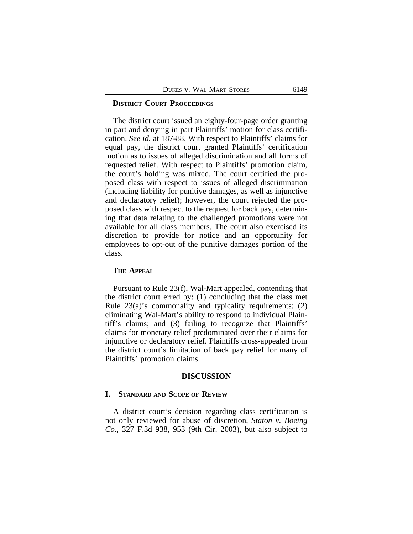#### **DISTRICT COURT PROCEEDINGS**

The district court issued an eighty-four-page order granting in part and denying in part Plaintiffs' motion for class certification. *See id.* at 187-88. With respect to Plaintiffs' claims for equal pay, the district court granted Plaintiffs' certification motion as to issues of alleged discrimination and all forms of requested relief. With respect to Plaintiffs' promotion claim, the court's holding was mixed. The court certified the proposed class with respect to issues of alleged discrimination (including liability for punitive damages, as well as injunctive and declaratory relief); however, the court rejected the proposed class with respect to the request for back pay, determining that data relating to the challenged promotions were not available for all class members. The court also exercised its discretion to provide for notice and an opportunity for employees to opt-out of the punitive damages portion of the class.

## **THE APPEAL**

Pursuant to Rule 23(f), Wal-Mart appealed, contending that the district court erred by: (1) concluding that the class met Rule 23(a)'s commonality and typicality requirements; (2) eliminating Wal-Mart's ability to respond to individual Plaintiff's claims; and (3) failing to recognize that Plaintiffs' claims for monetary relief predominated over their claims for injunctive or declaratory relief. Plaintiffs cross-appealed from the district court's limitation of back pay relief for many of Plaintiffs' promotion claims.

### **DISCUSSION**

# **I. STANDARD AND SCOPE OF REVIEW**

A district court's decision regarding class certification is not only reviewed for abuse of discretion, *Staton v. Boeing Co.*, 327 F.3d 938, 953 (9th Cir. 2003), but also subject to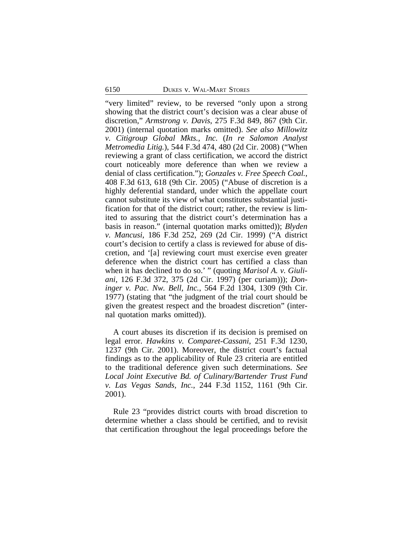"very limited" review, to be reversed "only upon a strong showing that the district court's decision was a clear abuse of discretion," *Armstrong v. Davis*, 275 F.3d 849, 867 (9th Cir. 2001) (internal quotation marks omitted). *See also Millowitz v. Citigroup Global Mkts., Inc.* (*In re Salomon Analyst Metromedia Litig.*), 544 F.3d 474, 480 (2d Cir. 2008) ("When reviewing a grant of class certification, we accord the district court noticeably more deference than when we review a denial of class certification."); *Gonzales v. Free Speech Coal.*, 408 F.3d 613, 618 (9th Cir. 2005) ("Abuse of discretion is a highly deferential standard, under which the appellate court cannot substitute its view of what constitutes substantial justification for that of the district court; rather, the review is limited to assuring that the district court's determination has a basis in reason." (internal quotation marks omitted)); *Blyden v. Mancusi*, 186 F.3d 252, 269 (2d Cir. 1999) ("A district court's decision to certify a class is reviewed for abuse of discretion, and '[a] reviewing court must exercise even greater deference when the district court has certified a class than when it has declined to do so.' " (quoting *Marisol A. v. Giuliani*, 126 F.3d 372, 375 (2d Cir. 1997) (per curiam))); *Doninger v. Pac. Nw. Bell, Inc.*, 564 F.2d 1304, 1309 (9th Cir. 1977) (stating that "the judgment of the trial court should be given the greatest respect and the broadest discretion" (internal quotation marks omitted)).

A court abuses its discretion if its decision is premised on legal error. *Hawkins v. Comparet-Cassani*, 251 F.3d 1230, 1237 (9th Cir. 2001). Moreover, the district court's factual findings as to the applicability of Rule 23 criteria are entitled to the traditional deference given such determinations. *See Local Joint Executive Bd. of Culinary/Bartender Trust Fund v. Las Vegas Sands, Inc.*, 244 F.3d 1152, 1161 (9th Cir. 2001).

Rule 23 "provides district courts with broad discretion to determine whether a class should be certified, and to revisit that certification throughout the legal proceedings before the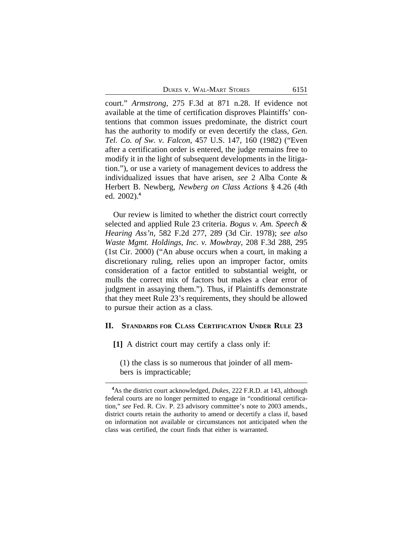DUKES V. WAL-MART STORES 6151

court." *Armstrong*, 275 F.3d at 871 n.28. If evidence not available at the time of certification disproves Plaintiffs' contentions that common issues predominate, the district court has the authority to modify or even decertify the class, *Gen. Tel. Co. of Sw. v. Falcon*, 457 U.S. 147, 160 (1982) ("Even after a certification order is entered, the judge remains free to modify it in the light of subsequent developments in the litigation."), or use a variety of management devices to address the individualized issues that have arisen, *see* 2 Alba Conte & Herbert B. Newberg, *Newberg on Class Actions* § 4.26 (4th ed. 2002).**<sup>4</sup>**

Our review is limited to whether the district court correctly selected and applied Rule 23 criteria. *Bogus v. Am. Speech & Hearing Ass'n*, 582 F.2d 277, 289 (3d Cir. 1978); *see also Waste Mgmt. Holdings, Inc. v. Mowbray*, 208 F.3d 288, 295 (1st Cir. 2000) ("An abuse occurs when a court, in making a discretionary ruling, relies upon an improper factor, omits consideration of a factor entitled to substantial weight, or mulls the correct mix of factors but makes a clear error of judgment in assaying them."). Thus, if Plaintiffs demonstrate that they meet Rule 23's requirements, they should be allowed to pursue their action as a class.

# **II. STANDARDS FOR CLASS CERTIFICATION UNDER RULE 23**

**[1]** A district court may certify a class only if:

(1) the class is so numerous that joinder of all members is impracticable;

**<sup>4</sup>**As the district court acknowledged, *Dukes*, 222 F.R.D. at 143, although federal courts are no longer permitted to engage in "conditional certification," *see* Fed. R. Civ. P. 23 advisory committee's note to 2003 amends., district courts retain the authority to amend or decertify a class if, based on information not available or circumstances not anticipated when the class was certified, the court finds that either is warranted.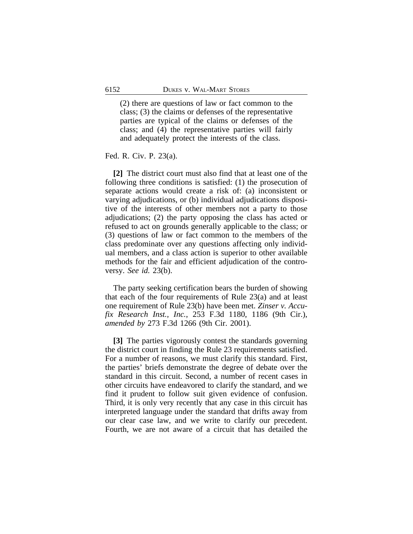(2) there are questions of law or fact common to the class; (3) the claims or defenses of the representative parties are typical of the claims or defenses of the class; and (4) the representative parties will fairly and adequately protect the interests of the class.

Fed. R. Civ. P. 23(a).

**[2]** The district court must also find that at least one of the following three conditions is satisfied: (1) the prosecution of separate actions would create a risk of: (a) inconsistent or varying adjudications, or (b) individual adjudications dispositive of the interests of other members not a party to those adjudications; (2) the party opposing the class has acted or refused to act on grounds generally applicable to the class; or (3) questions of law or fact common to the members of the class predominate over any questions affecting only individual members, and a class action is superior to other available methods for the fair and efficient adjudication of the controversy. *See id.* 23(b).

The party seeking certification bears the burden of showing that each of the four requirements of Rule 23(a) and at least one requirement of Rule 23(b) have been met. *Zinser v. Accufix Research Inst., Inc.*, 253 F.3d 1180, 1186 (9th Cir.), *amended by* 273 F.3d 1266 (9th Cir. 2001).

**[3]** The parties vigorously contest the standards governing the district court in finding the Rule 23 requirements satisfied. For a number of reasons, we must clarify this standard. First, the parties' briefs demonstrate the degree of debate over the standard in this circuit. Second, a number of recent cases in other circuits have endeavored to clarify the standard, and we find it prudent to follow suit given evidence of confusion. Third, it is only very recently that any case in this circuit has interpreted language under the standard that drifts away from our clear case law, and we write to clarify our precedent. Fourth, we are not aware of a circuit that has detailed the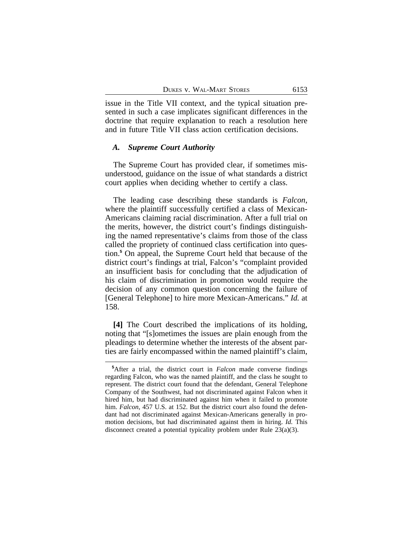issue in the Title VII context, and the typical situation presented in such a case implicates significant differences in the doctrine that require explanation to reach a resolution here and in future Title VII class action certification decisions.

#### *A. Supreme Court Authority*

The Supreme Court has provided clear, if sometimes misunderstood, guidance on the issue of what standards a district court applies when deciding whether to certify a class.

The leading case describing these standards is *Falcon*, where the plaintiff successfully certified a class of Mexican-Americans claiming racial discrimination. After a full trial on the merits, however, the district court's findings distinguishing the named representative's claims from those of the class called the propriety of continued class certification into question.**<sup>5</sup>** On appeal, the Supreme Court held that because of the district court's findings at trial, Falcon's "complaint provided an insufficient basis for concluding that the adjudication of his claim of discrimination in promotion would require the decision of any common question concerning the failure of [General Telephone] to hire more Mexican-Americans." *Id.* at 158.

**[4]** The Court described the implications of its holding, noting that "[s]ometimes the issues are plain enough from the pleadings to determine whether the interests of the absent parties are fairly encompassed within the named plaintiff's claim,

**<sup>5</sup>**After a trial, the district court in *Falcon* made converse findings regarding Falcon, who was the named plaintiff, and the class he sought to represent. The district court found that the defendant, General Telephone Company of the Southwest, had not discriminated against Falcon when it hired him, but had discriminated against him when it failed to promote him. *Falcon*, 457 U.S. at 152. But the district court also found the defendant had not discriminated against Mexican-Americans generally in promotion decisions, but had discriminated against them in hiring. *Id.* This disconnect created a potential typicality problem under Rule 23(a)(3).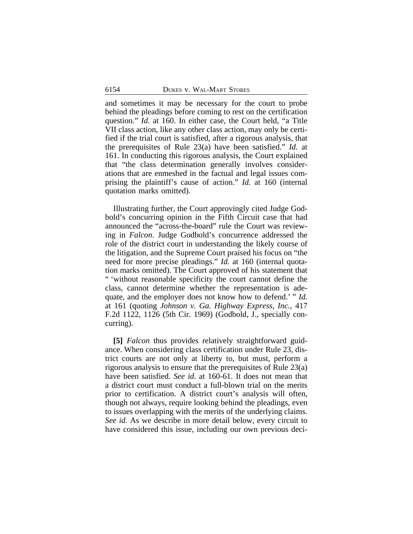and sometimes it may be necessary for the court to probe behind the pleadings before coming to rest on the certification question." *Id.* at 160. In either case, the Court held, "a Title VII class action, like any other class action, may only be certified if the trial court is satisfied, after a rigorous analysis, that the prerequisites of Rule 23(a) have been satisfied." *Id.* at 161. In conducting this rigorous analysis, the Court explained that "the class determination generally involves considerations that are enmeshed in the factual and legal issues comprising the plaintiff's cause of action." *Id.* at 160 (internal quotation marks omitted).

Illustrating further, the Court approvingly cited Judge Godbold's concurring opinion in the Fifth Circuit case that had announced the "across-the-board" rule the Court was reviewing in *Falcon*. Judge Godbold's concurrence addressed the role of the district court in understanding the likely course of the litigation, and the Supreme Court praised his focus on "the need for more precise pleadings." *Id.* at 160 (internal quotation marks omitted). The Court approved of his statement that " 'without reasonable specificity the court cannot define the class, cannot determine whether the representation is adequate, and the employer does not know how to defend.' " *Id.* at 161 (quoting *Johnson v. Ga. Highway Express, Inc.*, 417 F.2d 1122, 1126 (5th Cir. 1969) (Godbold, J., specially concurring).

**[5]** *Falcon* thus provides relatively straightforward guidance. When considering class certification under Rule 23, district courts are not only at liberty to, but must, perform a rigorous analysis to ensure that the prerequisites of Rule 23(a) have been satisfied. *See id.* at 160-61. It does not mean that a district court must conduct a full-blown trial on the merits prior to certification. A district court's analysis will often, though not always, require looking behind the pleadings, even to issues overlapping with the merits of the underlying claims. *See id.* As we describe in more detail below, every circuit to have considered this issue, including our own previous deci-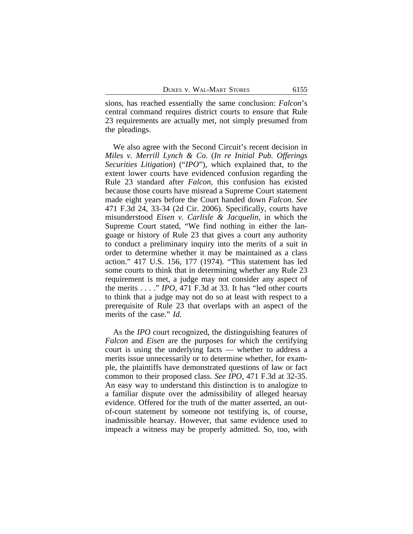sions, has reached essentially the same conclusion: *Falcon*'s central command requires district courts to ensure that Rule 23 requirements are actually met, not simply presumed from the pleadings.

We also agree with the Second Circuit's recent decision in *Miles v. Merrill Lynch & Co.* (*In re Initial Pub. Offerings Securities Litigation*) ("*IPO*"), which explained that, to the extent lower courts have evidenced confusion regarding the Rule 23 standard after *Falcon*, this confusion has existed because those courts have misread a Supreme Court statement made eight years before the Court handed down *Falcon*. *See* 471 F.3d 24, 33-34 (2d Cir. 2006). Specifically, courts have misunderstood *Eisen v. Carlisle & Jacquelin*, in which the Supreme Court stated, "We find nothing in either the language or history of Rule 23 that gives a court any authority to conduct a preliminary inquiry into the merits of a suit in order to determine whether it may be maintained as a class action." 417 U.S. 156, 177 (1974). "This statement has led some courts to think that in determining whether any Rule 23 requirement is met, a judge may not consider any aspect of the merits . . . ." *IPO*, 471 F.3d at 33. It has "led other courts to think that a judge may not do so at least with respect to a prerequisite of Rule 23 that overlaps with an aspect of the merits of the case." *Id.*

As the *IPO* court recognized, the distinguishing features of *Falcon* and *Eisen* are the purposes for which the certifying court is using the underlying facts — whether to address a merits issue unnecessarily or to determine whether, for example, the plaintiffs have demonstrated questions of law or fact common to their proposed class. *See IPO*, 471 F.3d at 32-35. An easy way to understand this distinction is to analogize to a familiar dispute over the admissibility of alleged hearsay evidence. Offered for the truth of the matter asserted, an outof-court statement by someone not testifying is, of course, inadmissible hearsay. However, that same evidence used to impeach a witness may be properly admitted. So, too, with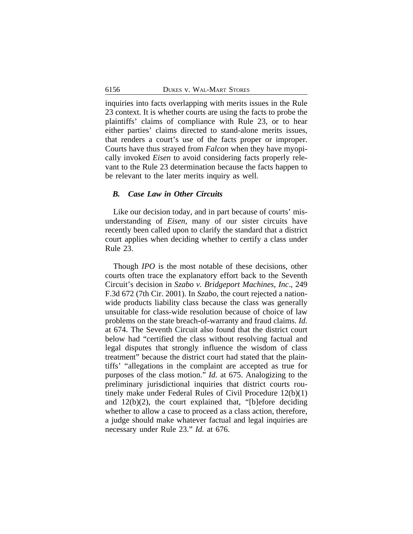inquiries into facts overlapping with merits issues in the Rule 23 context. It is whether courts are using the facts to probe the plaintiffs' claims of compliance with Rule 23, or to hear either parties' claims directed to stand-alone merits issues, that renders a court's use of the facts proper or improper. Courts have thus strayed from *Falcon* when they have myopically invoked *Eisen* to avoid considering facts properly relevant to the Rule 23 determination because the facts happen to be relevant to the later merits inquiry as well.

### *B. Case Law in Other Circuits*

Like our decision today, and in part because of courts' misunderstanding of *Eisen*, many of our sister circuits have recently been called upon to clarify the standard that a district court applies when deciding whether to certify a class under Rule 23.

Though *IPO* is the most notable of these decisions, other courts often trace the explanatory effort back to the Seventh Circuit's decision in *Szabo v. Bridgeport Machines, Inc*., 249 F.3d 672 (7th Cir. 2001). In *Szabo*, the court rejected a nationwide products liability class because the class was generally unsuitable for class-wide resolution because of choice of law problems on the state breach-of-warranty and fraud claims. *Id.* at 674. The Seventh Circuit also found that the district court below had "certified the class without resolving factual and legal disputes that strongly influence the wisdom of class treatment" because the district court had stated that the plaintiffs' "allegations in the complaint are accepted as true for purposes of the class motion." *Id.* at 675. Analogizing to the preliminary jurisdictional inquiries that district courts routinely make under Federal Rules of Civil Procedure 12(b)(1) and 12(b)(2), the court explained that, "[b]efore deciding whether to allow a case to proceed as a class action, therefore, a judge should make whatever factual and legal inquiries are necessary under Rule 23." *Id.* at 676.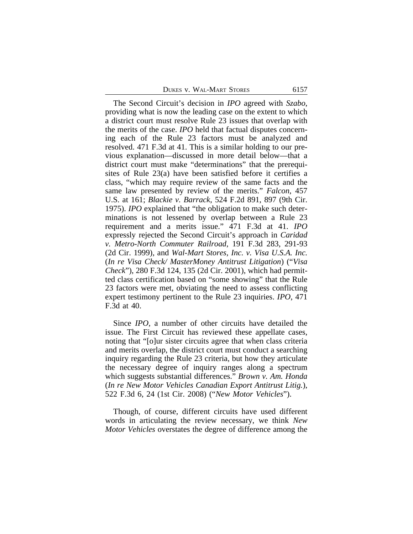The Second Circuit's decision in *IPO* agreed with *Szabo*, providing what is now the leading case on the extent to which a district court must resolve Rule 23 issues that overlap with the merits of the case. *IPO* held that factual disputes concerning each of the Rule 23 factors must be analyzed and resolved. 471 F.3d at 41. This is a similar holding to our previous explanation—discussed in more detail below—that a district court must make "determinations" that the prerequisites of Rule 23(a) have been satisfied before it certifies a class, "which may require review of the same facts and the same law presented by review of the merits." *Falcon*, 457 U.S. at 161; *Blackie v. Barrack*, 524 F.2d 891, 897 (9th Cir. 1975). *IPO* explained that "the obligation to make such determinations is not lessened by overlap between a Rule 23 requirement and a merits issue." 471 F.3d at 41. *IPO* expressly rejected the Second Circuit's approach in *Caridad v. Metro-North Commuter Railroad*, 191 F.3d 283, 291-93 (2d Cir. 1999), and *Wal-Mart Stores, Inc. v. Visa U.S.A. Inc.* (*In re Visa Check/ MasterMoney Antitrust Litigation*) ("*Visa Check*"), 280 F.3d 124, 135 (2d Cir. 2001), which had permitted class certification based on "some showing" that the Rule 23 factors were met, obviating the need to assess conflicting expert testimony pertinent to the Rule 23 inquiries. *IPO*, 471 F.3d at 40.

Since *IPO*, a number of other circuits have detailed the issue. The First Circuit has reviewed these appellate cases, noting that "[o]ur sister circuits agree that when class criteria and merits overlap, the district court must conduct a searching inquiry regarding the Rule 23 criteria, but how they articulate the necessary degree of inquiry ranges along a spectrum which suggests substantial differences." *Brown v. Am. Honda* (*In re New Motor Vehicles Canadian Export Antitrust Litig.*), 522 F.3d 6, 24 (1st Cir. 2008) ("*New Motor Vehicles*").

Though, of course, different circuits have used different words in articulating the review necessary, we think *New Motor Vehicles* overstates the degree of difference among the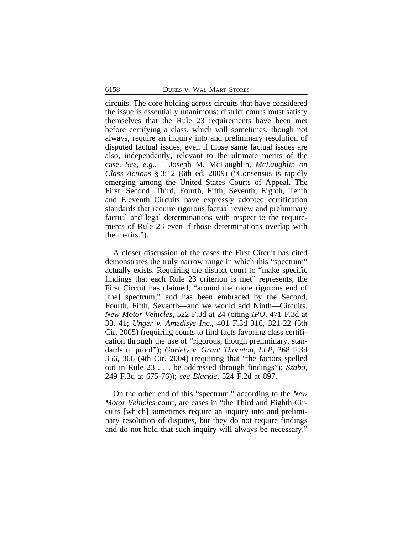circuits. The core holding across circuits that have considered the issue is essentially unanimous: district courts must satisfy themselves that the Rule 23 requirements have been met before certifying a class, which will sometimes, though not always, require an inquiry into and preliminary resolution of disputed factual issues, even if those same factual issues are also, independently, relevant to the ultimate merits of the case. *See, e.g.*, 1 Joseph M. McLaughlin, *McLaughlin on Class Actions* § 3:12 (6th ed. 2009) ("Consensus is rapidly emerging among the United States Courts of Appeal. The First, Second, Third, Fourth, Fifth, Seventh, Eighth, Tenth and Eleventh Circuits have expressly adopted certification standards that require rigorous factual review and preliminary factual and legal determinations with respect to the requirements of Rule 23 even if those determinations overlap with the merits.").

A closer discussion of the cases the First Circuit has cited demonstrates the truly narrow range in which this "spectrum" actually exists. Requiring the district court to "make specific findings that each Rule 23 criterion is met" represents, the First Circuit has claimed, "around the more rigorous end of [the] spectrum," and has been embraced by the Second, Fourth, Fifth, Seventh—and we would add Ninth—Circuits. *New Motor Vehicles*, 522 F.3d at 24 (citing *IPO*, 471 F.3d at 33, 41; *Unger v. Amedisys Inc.*, 401 F.3d 316, 321-22 (5th Cir. 2005) (requiring courts to find facts favoring class certification through the use of "rigorous, though preliminary, standards of proof"); *Gariety v. Grant Thornton, LLP*, 368 F.3d 356, 366 (4th Cir. 2004) (requiring that "the factors spelled out in Rule 23 . . . be addressed through findings"); *Szabo*, 249 F.3d at 675-76)); *see Blackie*, 524 F.2d at 897.

On the other end of this "spectrum," according to the *New Motor Vehicles* court, are cases in "the Third and Eighth Circuits [which] sometimes require an inquiry into and preliminary resolution of disputes, but they do not require findings and do not hold that such inquiry will always be necessary."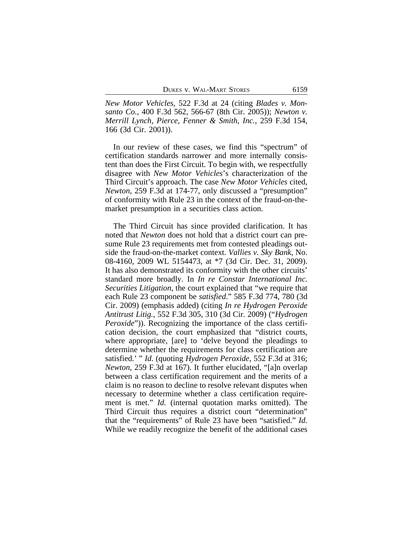*New Motor Vehicles*, 522 F.3d at 24 (citing *Blades v. Monsanto Co.*, 400 F.3d 562, 566-67 (8th Cir. 2005)); *Newton v. Merrill Lynch, Pierce, Fenner & Smith, Inc.*, 259 F.3d 154, 166 (3d Cir. 2001)).

In our review of these cases, we find this "spectrum" of certification standards narrower and more internally consistent than does the First Circuit. To begin with, we respectfully disagree with *New Motor Vehicles*'s characterization of the Third Circuit's approach. The case *New Motor Vehicles* cited, *Newton*, 259 F.3d at 174-77, only discussed a "presumption" of conformity with Rule 23 in the context of the fraud-on-themarket presumption in a securities class action.

The Third Circuit has since provided clarification. It has noted that *Newton* does not hold that a district court can presume Rule 23 requirements met from contested pleadings outside the fraud-on-the-market context. *Vallies v. Sky Bank*, No. 08-4160, 2009 WL 5154473, at \*7 (3d Cir. Dec. 31, 2009). It has also demonstrated its conformity with the other circuits' standard more broadly. In *In re Constar International Inc. Securities Litigation*, the court explained that "we require that each Rule 23 component be *satisfied*." 585 F.3d 774, 780 (3d Cir. 2009) (emphasis added) (citing *In re Hydrogen Peroxide Antitrust Litig.*, 552 F.3d 305, 310 (3d Cir. 2009) ("*Hydrogen Peroxide*")). Recognizing the importance of the class certification decision, the court emphasized that "district courts, where appropriate, [are] to 'delve beyond the pleadings to determine whether the requirements for class certification are satisfied.' " *Id.* (quoting *Hydrogen Peroxide*, 552 F.3d at 316; *Newton*, 259 F.3d at 167). It further elucidated, "[a]n overlap between a class certification requirement and the merits of a claim is no reason to decline to resolve relevant disputes when necessary to determine whether a class certification requirement is met." *Id.* (internal quotation marks omitted). The Third Circuit thus requires a district court "determination" that the "requirements" of Rule 23 have been "satisfied." *Id.* While we readily recognize the benefit of the additional cases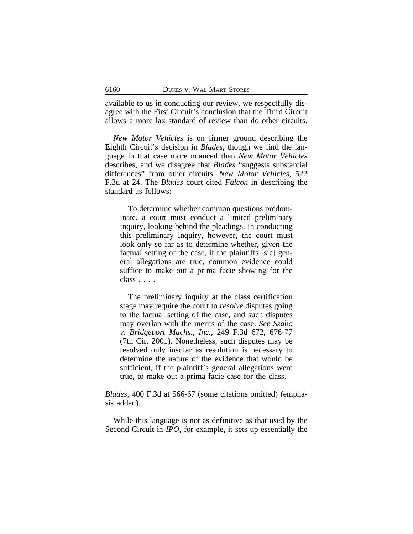available to us in conducting our review, we respectfully disagree with the First Circuit's conclusion that the Third Circuit allows a more lax standard of review than do other circuits.

*New Motor Vehicles* is on firmer ground describing the Eighth Circuit's decision in *Blades*, though we find the language in that case more nuanced than *New Motor Vehicles* describes, and we disagree that *Blades* "suggests substantial differences" from other circuits. *New Motor Vehicles*, 522 F.3d at 24. The *Blades* court cited *Falcon* in describing the standard as follows:

To determine whether common questions predominate, a court must conduct a limited preliminary inquiry, looking behind the pleadings. In conducting this preliminary inquiry, however, the court must look only so far as to determine whether, given the factual setting of the case, if the plaintiffs [sic] general allegations are true, common evidence could suffice to make out a prima facie showing for the class . . . .

The preliminary inquiry at the class certification stage may require the court to *resolve* disputes going to the factual setting of the case, and such disputes may overlap with the merits of the case. *See Szabo v. Bridgeport Machs., Inc.*, 249 F.3d 672, 676-77 (7th Cir. 2001). Nonetheless, such disputes may be resolved only insofar as resolution is necessary to determine the nature of the evidence that would be sufficient, if the plaintiff's general allegations were true, to make out a prima facie case for the class.

*Blades*, 400 F.3d at 566-67 (some citations omitted) (emphasis added).

While this language is not as definitive as that used by the Second Circuit in *IPO*, for example, it sets up essentially the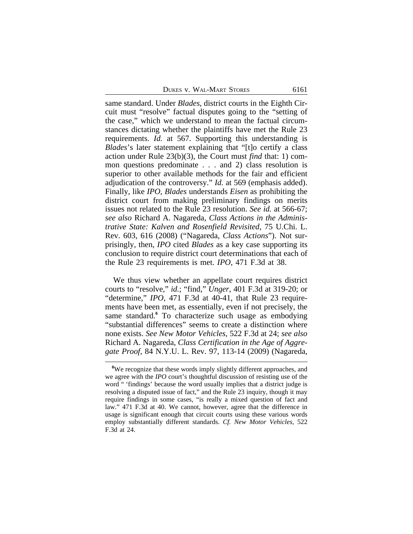same standard. Under *Blades*, district courts in the Eighth Circuit must "resolve" factual disputes going to the "setting of the case," which we understand to mean the factual circumstances dictating whether the plaintiffs have met the Rule 23 requirements. *Id.* at 567. Supporting this understanding is *Blades*'s later statement explaining that "[t]o certify a class action under Rule 23(b)(3), the Court must *find* that: 1) common questions predominate . . . and 2) class resolution is superior to other available methods for the fair and efficient adjudication of the controversy." *Id.* at 569 (emphasis added). Finally, like *IPO*, *Blades* understands *Eisen* as prohibiting the district court from making preliminary findings on merits issues not related to the Rule 23 resolution. *See id.* at 566-67; *see also* Richard A. Nagareda, *Class Actions in the Administrative State: Kalven and Rosenfield Revisited*, 75 U.Chi. L. Rev. 603, 616 (2008) ("Nagareda, *Class Actions*"). Not surprisingly, then, *IPO* cited *Blades* as a key case supporting its conclusion to require district court determinations that each of the Rule 23 requirements is met. *IPO*, 471 F.3d at 38.

We thus view whether an appellate court requires district courts to "resolve," *id.*; "find," *Unger*, 401 F.3d at 319-20; or "determine," *IPO*, 471 F.3d at 40-41, that Rule 23 requirements have been met, as essentially, even if not precisely, the same standard.<sup>6</sup> To characterize such usage as embodying "substantial differences" seems to create a distinction where none exists. *See New Motor Vehicles*, 522 F.3d at 24; *see also* Richard A. Nagareda, *Class Certification in the Age of Aggregate Proof*, 84 N.Y.U. L. Rev. 97, 113-14 (2009) (Nagareda,

<sup>&</sup>lt;sup>6</sup>We recognize that these words imply slightly different approaches, and we agree with the *IPO* court's thoughtful discussion of resisting use of the word " 'findings' because the word usually implies that a district judge is resolving a disputed issue of fact," and the Rule 23 inquiry, though it may require findings in some cases, "is really a mixed question of fact and law." 471 F.3d at 40. We cannot, however, agree that the difference in usage is significant enough that circuit courts using these various words employ substantially different standards. *Cf. New Motor Vehicles*, 522 F.3d at 24.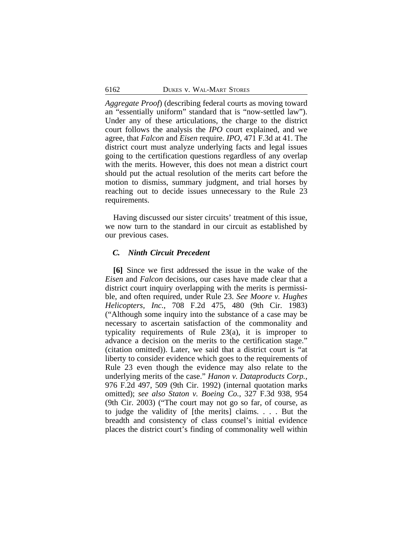*Aggregate Proof*) (describing federal courts as moving toward an "essentially uniform" standard that is "now-settled law"). Under any of these articulations, the charge to the district court follows the analysis the *IPO* court explained, and we agree, that *Falcon* and *Eisen* require. *IPO*, 471 F.3d at 41. The district court must analyze underlying facts and legal issues going to the certification questions regardless of any overlap with the merits. However, this does not mean a district court should put the actual resolution of the merits cart before the motion to dismiss, summary judgment, and trial horses by reaching out to decide issues unnecessary to the Rule 23 requirements.

Having discussed our sister circuits' treatment of this issue, we now turn to the standard in our circuit as established by our previous cases.

# *C. Ninth Circuit Precedent*

**[6]** Since we first addressed the issue in the wake of the *Eisen* and *Falcon* decisions, our cases have made clear that a district court inquiry overlapping with the merits is permissible, and often required, under Rule 23. *See Moore v. Hughes Helicopters, Inc.*, 708 F.2d 475, 480 (9th Cir. 1983) ("Although some inquiry into the substance of a case may be necessary to ascertain satisfaction of the commonality and typicality requirements of Rule 23(a), it is improper to advance a decision on the merits to the certification stage." (citation omitted)). Later, we said that a district court is "at liberty to consider evidence which goes to the requirements of Rule 23 even though the evidence may also relate to the underlying merits of the case." *Hanon v. Dataproducts Corp.*, 976 F.2d 497, 509 (9th Cir. 1992) (internal quotation marks omitted); *see also Staton v. Boeing Co.*, 327 F.3d 938, 954 (9th Cir. 2003) ("The court may not go so far, of course, as to judge the validity of [the merits] claims. . . . But the breadth and consistency of class counsel's initial evidence places the district court's finding of commonality well within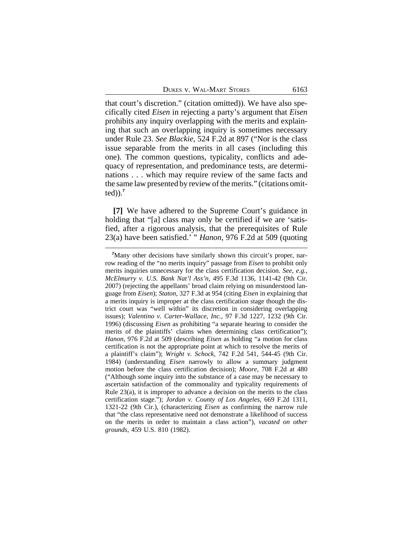that court's discretion." (citation omitted)). We have also specifically cited *Eisen* in rejecting a party's argument that *Eisen* prohibits any inquiry overlapping with the merits and explaining that such an overlapping inquiry is sometimes necessary under Rule 23. *See Blackie*, 524 F.2d at 897 ("Nor is the class issue separable from the merits in all cases (including this one). The common questions, typicality, conflicts and adequacy of representation, and predominance tests, are determinations . . . which may require review of the same facts and the same law presented by review of the merits." (citations omitted)).**<sup>7</sup>**

**[7]** We have adhered to the Supreme Court's guidance in holding that "[a] class may only be certified if we are 'satisfied, after a rigorous analysis, that the prerequisites of Rule 23(a) have been satisfied.' " *Hanon*, 976 F.2d at 509 (quoting

**<sup>7</sup>**Many other decisions have similarly shown this circuit's proper, narrow reading of the "no merits inquiry" passage from *Eisen* to prohibit only merits inquiries unnecessary for the class certification decision. *See, e.g.*, *McElmurry v. U.S. Bank Nat'l Ass'n*, 495 F.3d 1136, 1141-42 (9th Cir. 2007) (rejecting the appellants' broad claim relying on misunderstood language from *Eisen*); *Staton*, 327 F.3d at 954 (citing *Eisen* in explaining that a merits inquiry is improper at the class certification stage though the district court was "well within" its discretion in considering overlapping issues); *Valentino v. Carter-Wallace, Inc.*, 97 F.3d 1227, 1232 (9th Cir. 1996) (discussing *Eisen* as prohibiting "a separate hearing to consider the merits of the plaintiffs' claims when determining class certification"); *Hanon*, 976 F.2d at 509 (describing *Eisen* as holding "a motion for class certification is not the appropriate point at which to resolve the merits of a plaintiff's claim"); *Wright v. Schock*, 742 F.2d 541, 544-45 (9th Cir. 1984) (understanding *Eisen* narrowly to allow a summary judgment motion before the class certification decision); *Moore*, 708 F.2d at 480 ("Although some inquiry into the substance of a case may be necessary to ascertain satisfaction of the commonality and typicality requirements of Rule 23(a), it is improper to advance a decision on the merits to the class certification stage."); *Jordan v. County of Los Angeles*, 669 F.2d 1311, 1321-22 (9th Cir.), (characterizing *Eisen* as confirming the narrow rule that "the class representative need not demonstrate a likelihood of success on the merits in order to maintain a class action"), *vacated on other grounds*, 459 U.S. 810 (1982).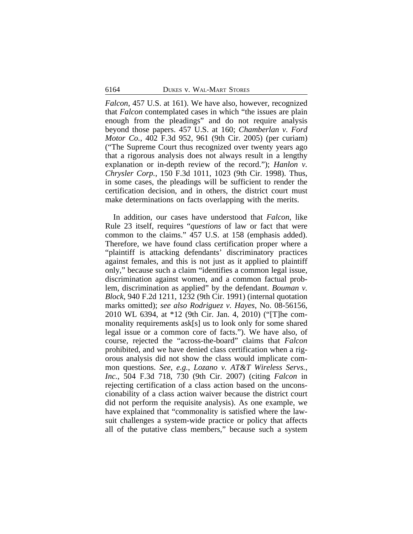*Falcon*, 457 U.S. at 161). We have also, however, recognized that *Falcon* contemplated cases in which "the issues are plain enough from the pleadings" and do not require analysis beyond those papers. 457 U.S. at 160; *Chamberlan v. Ford Motor Co.*, 402 F.3d 952, 961 (9th Cir. 2005) (per curiam) ("The Supreme Court thus recognized over twenty years ago that a rigorous analysis does not always result in a lengthy explanation or in-depth review of the record."); *Hanlon v. Chrysler Corp.*, 150 F.3d 1011, 1023 (9th Cir. 1998). Thus, in some cases, the pleadings will be sufficient to render the certification decision, and in others, the district court must make determinations on facts overlapping with the merits.

In addition, our cases have understood that *Falcon*, like Rule 23 itself, requires "*questions* of law or fact that were common to the claims." 457 U.S. at 158 (emphasis added). Therefore, we have found class certification proper where a "plaintiff is attacking defendants' discriminatory practices against females, and this is not just as it applied to plaintiff only," because such a claim "identifies a common legal issue, discrimination against women, and a common factual problem, discrimination as applied" by the defendant. *Bouman v. Block*, 940 F.2d 1211, 1232 (9th Cir. 1991) (internal quotation marks omitted); *see also Rodriguez v. Hayes*, No. 08-56156, 2010 WL 6394, at \*12 (9th Cir. Jan. 4, 2010) ("[T]he commonality requirements ask[s] us to look only for some shared legal issue or a common core of facts."). We have also, of course, rejected the "across-the-board" claims that *Falcon* prohibited, and we have denied class certification when a rigorous analysis did not show the class would implicate common questions. *See, e.g.*, *Lozano v. AT&T Wireless Servs., Inc.*, 504 F.3d 718, 730 (9th Cir. 2007) (citing *Falcon* in rejecting certification of a class action based on the unconscionability of a class action waiver because the district court did not perform the requisite analysis). As one example, we have explained that "commonality is satisfied where the lawsuit challenges a system-wide practice or policy that affects all of the putative class members," because such a system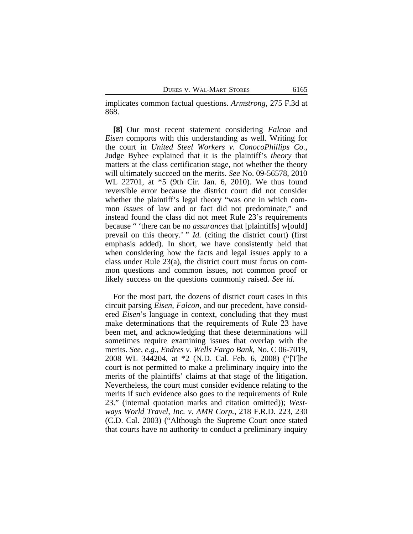implicates common factual questions. *Armstrong*, 275 F.3d at 868.

**[8]** Our most recent statement considering *Falcon* and *Eisen* comports with this understanding as well. Writing for the court in *United Steel Workers v. ConocoPhillips Co.*, Judge Bybee explained that it is the plaintiff's *theory* that matters at the class certification stage, not whether the theory will ultimately succeed on the merits. *See* No. 09-56578, 2010 WL 22701, at \*5 (9th Cir. Jan. 6, 2010). We thus found reversible error because the district court did not consider whether the plaintiff's legal theory "was one in which common *issues* of law and or fact did not predominate," and instead found the class did not meet Rule 23's requirements because " 'there can be no *assurances* that [plaintiffs] w[ould] prevail on this theory.' " *Id.* (citing the district court) (first emphasis added). In short, we have consistently held that when considering how the facts and legal issues apply to a class under Rule 23(a), the district court must focus on common questions and common issues, not common proof or likely success on the questions commonly raised. *See id.* 

For the most part, the dozens of district court cases in this circuit parsing *Eisen*, *Falcon*, and our precedent, have considered *Eisen*'s language in context, concluding that they must make determinations that the requirements of Rule 23 have been met, and acknowledging that these determinations will sometimes require examining issues that overlap with the merits. *See, e.g.*, *Endres v. Wells Fargo Bank*, No. C 06-7019, 2008 WL 344204, at \*2 (N.D. Cal. Feb. 6, 2008) ("[T]he court is not permitted to make a preliminary inquiry into the merits of the plaintiffs' claims at that stage of the litigation. Nevertheless, the court must consider evidence relating to the merits if such evidence also goes to the requirements of Rule 23." (internal quotation marks and citation omitted)); *Westways World Travel, Inc. v. AMR Corp.*, 218 F.R.D. 223, 230 (C.D. Cal. 2003) ("Although the Supreme Court once stated that courts have no authority to conduct a preliminary inquiry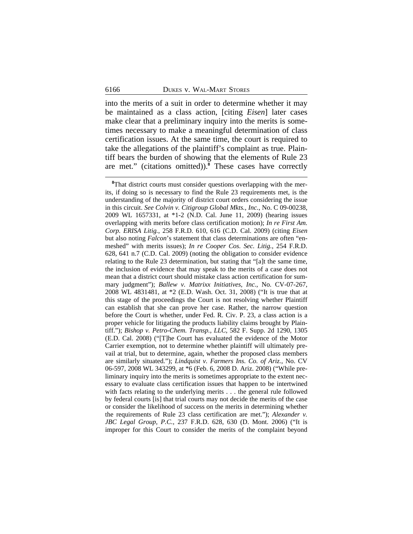into the merits of a suit in order to determine whether it may be maintained as a class action, [citing *Eisen*] later cases make clear that a preliminary inquiry into the merits is sometimes necessary to make a meaningful determination of class certification issues. At the same time, the court is required to take the allegations of the plaintiff's complaint as true. Plaintiff bears the burden of showing that the elements of Rule 23 are met." (citations omitted)).**<sup>8</sup>** These cases have correctly

**<sup>8</sup>**That district courts must consider questions overlapping with the merits, if doing so is necessary to find the Rule 23 requirements met, is the understanding of the majority of district court orders considering the issue in this circuit. *See Colvin v. Citigroup Global Mkts., Inc.*, No. C 09-00238, 2009 WL 1657331, at \*1-2 (N.D. Cal. June 11, 2009) (hearing issues overlapping with merits before class certification motion); *In re First Am. Corp. ERISA Litig.*, 258 F.R.D. 610, 616 (C.D. Cal. 2009) (citing *Eisen* but also noting *Falcon*'s statement that class determinations are often "enmeshed" with merits issues); *In re Cooper Cos. Sec. Litig.*, 254 F.R.D. 628, 641 n.7 (C.D. Cal. 2009) (noting the obligation to consider evidence relating to the Rule 23 determination, but stating that "[a]t the same time, the inclusion of evidence that may speak to the merits of a case does not mean that a district court should mistake class action certification for summary judgment"); *Ballew v. Matrixx Initiatives, Inc.*, No. CV-07-267, 2008 WL 4831481, at \*2 (E.D. Wash. Oct. 31, 2008) ("It is true that at this stage of the proceedings the Court is not resolving whether Plaintiff can establish that she can prove her case. Rather, the narrow question before the Court is whether, under Fed. R. Civ. P. 23, a class action is a proper vehicle for litigating the products liability claims brought by Plaintiff."); *Bishop v. Petro-Chem. Transp., LLC*, 582 F. Supp. 2d 1290, 1305 (E.D. Cal. 2008) ("[T]he Court has evaluated the evidence of the Motor Carrier exemption, not to determine whether plaintiff will ultimately prevail at trial, but to determine, again, whether the proposed class members are similarly situated."); *Lindquist v. Farmers Ins. Co. of Ariz.*, No. CV 06-597, 2008 WL 343299, at \*6 (Feb. 6, 2008 D. Ariz. 2008) ("While preliminary inquiry into the merits is sometimes appropriate to the extent necessary to evaluate class certification issues that happen to be intertwined with facts relating to the underlying merits . . . the general rule followed by federal courts [is] that trial courts may not decide the merits of the case or consider the likelihood of success on the merits in determining whether the requirements of Rule 23 class certification are met."); *Alexander v. JBC Legal Group, P.C.*, 237 F.R.D. 628, 630 (D. Mont. 2006) ("It is improper for this Court to consider the merits of the complaint beyond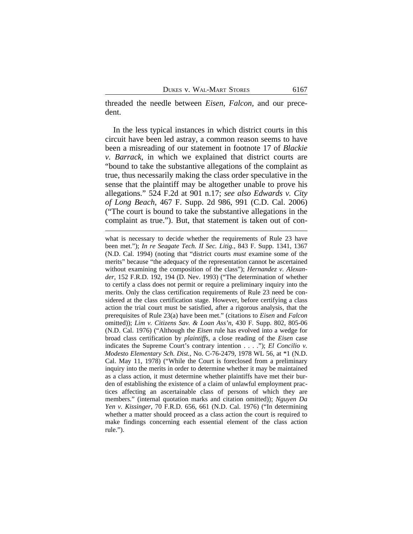threaded the needle between *Eisen*, *Falcon*, and our precedent.

In the less typical instances in which district courts in this circuit have been led astray, a common reason seems to have been a misreading of our statement in footnote 17 of *Blackie v. Barrack*, in which we explained that district courts are "bound to take the substantive allegations of the complaint as true, thus necessarily making the class order speculative in the sense that the plaintiff may be altogether unable to prove his allegations." 524 F.2d at 901 n.17; *see also Edwards v. City of Long Beach*, 467 F. Supp. 2d 986, 991 (C.D. Cal. 2006) ("The court is bound to take the substantive allegations in the complaint as true."). But, that statement is taken out of con-

what is necessary to decide whether the requirements of Rule 23 have been met."); *In re Seagate Tech. II Sec. Litig.*, 843 F. Supp. 1341, 1367 (N.D. Cal. 1994) (noting that "district courts *must* examine some of the merits" because "the adequacy of the representation cannot be ascertained without examining the composition of the class"); *Hernandez v. Alexander,* 152 F.R.D. 192, 194 (D. Nev. 1993) ("The determination of whether to certify a class does not permit or require a preliminary inquiry into the merits. Only the class certification requirements of Rule 23 need be considered at the class certification stage. However, before certifying a class action the trial court must be satisfied, after a rigorous analysis, that the prerequisites of Rule 23(a) have been met." (citations to *Eisen* and *Falcon* omitted)); *Lim v. Citizens Sav. & Loan Ass'n*, 430 F. Supp. 802, 805-06 (N.D. Cal. 1976) ("Although the *Eisen* rule has evolved into a wedge for broad class certification by *plaintiffs*, a close reading of the *Eisen* case indicates the Supreme Court's contrary intention . . . ."); *El Concilio v. Modesto Elementary Sch. Dist.*, No. C-76-2479, 1978 WL 56, at \*1 (N.D. Cal. May 11, 1978) ("While the Court is foreclosed from a preliminary inquiry into the merits in order to determine whether it may be maintained as a class action, it must determine whether plaintiffs have met their burden of establishing the existence of a claim of unlawful employment practices affecting an ascertainable class of persons of which they are members." (internal quotation marks and citation omitted)); *Nguyen Da Yen v. Kissinger*, 70 F.R.D. 656, 661 (N.D. Cal. 1976) ("In determining whether a matter should proceed as a class action the court is required to make findings concerning each essential element of the class action rule.").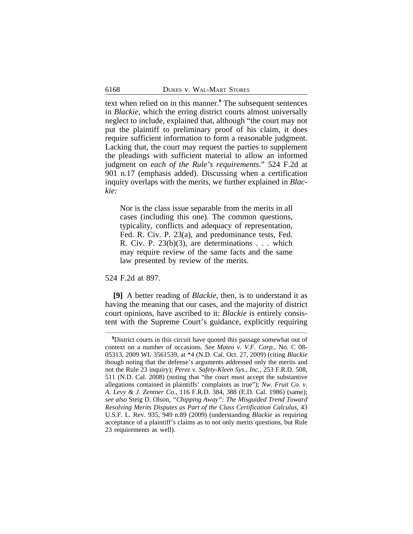text when relied on in this manner.**<sup>9</sup>** The subsequent sentences in *Blackie*, which the erring district courts almost universally neglect to include, explained that, although "the court may not put the plaintiff to preliminary proof of his claim, it does require sufficient information to form a reasonable judgment. Lacking that, the court may request the parties to supplement the pleadings with sufficient material to allow an informed judgment on *each of the Rule's requirements*." 524 F.2d at 901 n.17 (emphasis added). Discussing when a certification inquiry overlaps with the merits, we further explained in *Blackie:* 

Nor is the class issue separable from the merits in all cases (including this one). The common questions, typicality, conflicts and adequacy of representation, Fed. R. Civ. P. 23(a), and predominance tests, Fed. R. Civ. P. 23(b)(3), are determinations . . . which may require review of the same facts and the same law presented by review of the merits.

524 F.2d at 897.

**[9]** A better reading of *Blackie*, then, is to understand it as having the meaning that our cases, and the majority of district court opinions, have ascribed to it: *Blackie* is entirely consistent with the Supreme Court's guidance, explicitly requiring

**<sup>9</sup>**District courts in this circuit have quoted this passage somewhat out of context on a number of occasions. *See Mateo v. V.F. Corp.*, No. C 08- 05313, 2009 WL 3561539, at \*4 (N.D. Cal. Oct. 27, 2009) (citing *Blackie* though noting that the defense's arguments addressed only the merits and not the Rule 23 inquiry); *Perez v. Safety-Kleen Sys., Inc.*, 253 F.R.D. 508, 511 (N.D. Cal. 2008) (noting that "the court must accept the substantive allegations contained in plaintiffs' complaints as true"); *Nw. Fruit Co. v. A. Levy & J. Zentner Co.*, 116 F.R.D. 384, 388 (E.D. Cal. 1986) (same); *see also* Steig D. Olson, *"Chipping Away": The Misguided Trend Toward Resolving Merits Disputes as Part of the Class Certification Calculus*, 43 U.S.F. L. Rev. 935, 949 n.89 (2009) (understanding *Blackie* as requiring acceptance of a plaintiff's claims as to not only merits questions, but Rule 23 requirements as well).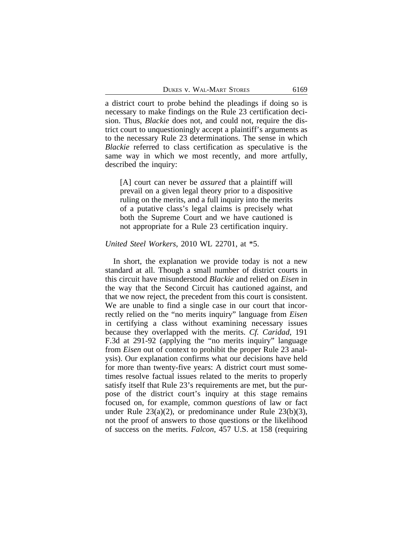a district court to probe behind the pleadings if doing so is necessary to make findings on the Rule 23 certification decision. Thus, *Blackie* does not, and could not, require the district court to unquestioningly accept a plaintiff's arguments as to the necessary Rule 23 determinations. The sense in which *Blackie* referred to class certification as speculative is the same way in which we most recently, and more artfully, described the inquiry:

[A] court can never be *assured* that a plaintiff will prevail on a given legal theory prior to a dispositive ruling on the merits, and a full inquiry into the merits of a putative class's legal claims is precisely what both the Supreme Court and we have cautioned is not appropriate for a Rule 23 certification inquiry.

#### *United Steel Workers*, 2010 WL 22701, at \*5.

In short, the explanation we provide today is not a new standard at all. Though a small number of district courts in this circuit have misunderstood *Blackie* and relied on *Eisen* in the way that the Second Circuit has cautioned against, and that we now reject, the precedent from this court is consistent. We are unable to find a single case in our court that incorrectly relied on the "no merits inquiry" language from *Eisen* in certifying a class without examining necessary issues because they overlapped with the merits. *Cf. Caridad*, 191 F.3d at 291-92 (applying the "no merits inquiry" language from *Eisen* out of context to prohibit the proper Rule 23 analysis). Our explanation confirms what our decisions have held for more than twenty-five years: A district court must sometimes resolve factual issues related to the merits to properly satisfy itself that Rule 23's requirements are met, but the purpose of the district court's inquiry at this stage remains focused on, for example, common *questions* of law or fact under Rule  $23(a)(2)$ , or predominance under Rule  $23(b)(3)$ , not the proof of answers to those questions or the likelihood of success on the merits. *Falcon*, 457 U.S. at 158 (requiring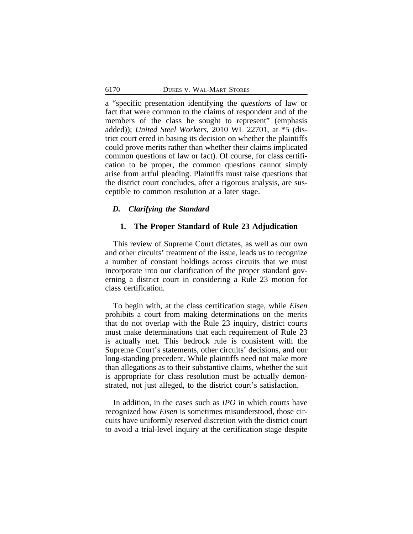a "specific presentation identifying the *questions* of law or fact that were common to the claims of respondent and of the members of the class he sought to represent" (emphasis added)); *United Steel Workers*, 2010 WL 22701, at \*5 (district court erred in basing its decision on whether the plaintiffs could prove merits rather than whether their claims implicated common questions of law or fact). Of course, for class certification to be proper, the common questions cannot simply arise from artful pleading. Plaintiffs must raise questions that the district court concludes, after a rigorous analysis, are susceptible to common resolution at a later stage.

# *D. Clarifying the Standard*

### **1. The Proper Standard of Rule 23 Adjudication**

This review of Supreme Court dictates, as well as our own and other circuits' treatment of the issue, leads us to recognize a number of constant holdings across circuits that we must incorporate into our clarification of the proper standard governing a district court in considering a Rule 23 motion for class certification.

To begin with, at the class certification stage, while *Eisen* prohibits a court from making determinations on the merits that do not overlap with the Rule 23 inquiry, district courts must make determinations that each requirement of Rule 23 is actually met. This bedrock rule is consistent with the Supreme Court's statements, other circuits' decisions, and our long-standing precedent. While plaintiffs need not make more than allegations as to their substantive claims, whether the suit is appropriate for class resolution must be actually demonstrated, not just alleged, to the district court's satisfaction.

In addition, in the cases such as *IPO* in which courts have recognized how *Eisen* is sometimes misunderstood, those circuits have uniformly reserved discretion with the district court to avoid a trial-level inquiry at the certification stage despite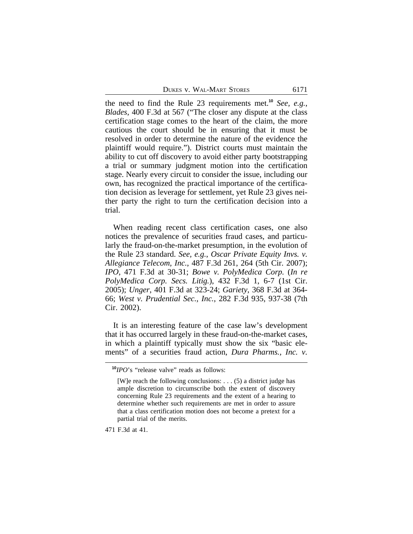| DUKES V. WAL-MART STORES |  |  | 6171 |  |
|--------------------------|--|--|------|--|
|--------------------------|--|--|------|--|

the need to find the Rule 23 requirements met.**<sup>10</sup>** *See, e.g.*, *Blades*, 400 F.3d at 567 ("The closer any dispute at the class certification stage comes to the heart of the claim, the more cautious the court should be in ensuring that it must be resolved in order to determine the nature of the evidence the plaintiff would require."). District courts must maintain the ability to cut off discovery to avoid either party bootstrapping a trial or summary judgment motion into the certification stage. Nearly every circuit to consider the issue, including our own, has recognized the practical importance of the certification decision as leverage for settlement, yet Rule 23 gives neither party the right to turn the certification decision into a trial.

When reading recent class certification cases, one also notices the prevalence of securities fraud cases, and particularly the fraud-on-the-market presumption, in the evolution of the Rule 23 standard. *See, e.g.*, *Oscar Private Equity Invs. v. Allegiance Telecom, Inc.*, 487 F.3d 261, 264 (5th Cir. 2007); *IPO*, 471 F.3d at 30-31; *Bowe v. PolyMedica Corp.* (*In re PolyMedica Corp. Secs. Litig.*), 432 F.3d 1, 6-7 (1st Cir. 2005); *Unger*, 401 F.3d at 323-24; *Gariety*, 368 F.3d at 364- 66; *West v. Prudential Sec., Inc.*, 282 F.3d 935, 937-38 (7th Cir. 2002).

It is an interesting feature of the case law's development that it has occurred largely in these fraud-on-the-market cases, in which a plaintiff typically must show the six "basic elements" of a securities fraud action, *Dura Pharms., Inc. v.*

471 F.3d at 41.

**<sup>10</sup>***IPO*'s "release valve" reads as follows:

<sup>[</sup>W]e reach the following conclusions: . . . (5) a district judge has ample discretion to circumscribe both the extent of discovery concerning Rule 23 requirements and the extent of a hearing to determine whether such requirements are met in order to assure that a class certification motion does not become a pretext for a partial trial of the merits.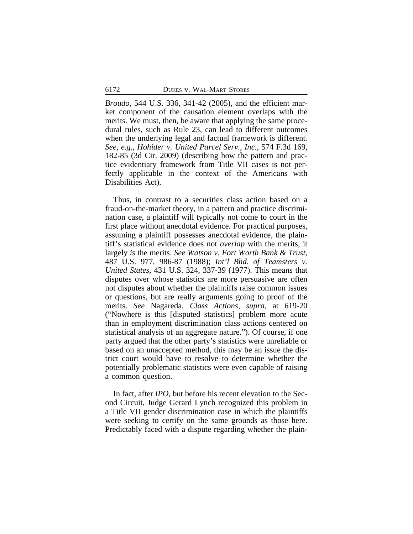*Broudo*, 544 U.S. 336, 341-42 (2005), and the efficient market component of the causation element overlaps with the merits. We must, then, be aware that applying the same procedural rules, such as Rule 23, can lead to different outcomes when the underlying legal and factual framework is different. *See, e.g.*, *Hohider v. United Parcel Serv., Inc.*, 574 F.3d 169, 182-85 (3d Cir. 2009) (describing how the pattern and practice evidentiary framework from Title VII cases is not perfectly applicable in the context of the Americans with Disabilities Act).

Thus, in contrast to a securities class action based on a fraud-on-the-market theory, in a pattern and practice discrimination case, a plaintiff will typically not come to court in the first place without anecdotal evidence. For practical purposes, assuming a plaintiff possesses anecdotal evidence, the plaintiff's statistical evidence does not *overlap* with the merits, it largely *is* the merits. *See Watson v. Fort Worth Bank & Trust*, 487 U.S. 977, 986-87 (1988); *Int'l Bhd. of Teamsters v. United States*, 431 U.S. 324, 337-39 (1977). This means that disputes over whose statistics are more persuasive are often not disputes about whether the plaintiffs raise common issues or questions, but are really arguments going to proof of the merits. *See* Nagareda, *Class Actions*, *supra*, at 619-20 ("Nowhere is this [disputed statistics] problem more acute than in employment discrimination class actions centered on statistical analysis of an aggregate nature."). Of course, if one party argued that the other party's statistics were unreliable or based on an unaccepted method, this may be an issue the district court would have to resolve to determine whether the potentially problematic statistics were even capable of raising a common question.

In fact, after *IPO*, but before his recent elevation to the Second Circuit, Judge Gerard Lynch recognized this problem in a Title VII gender discrimination case in which the plaintiffs were seeking to certify on the same grounds as those here. Predictably faced with a dispute regarding whether the plain-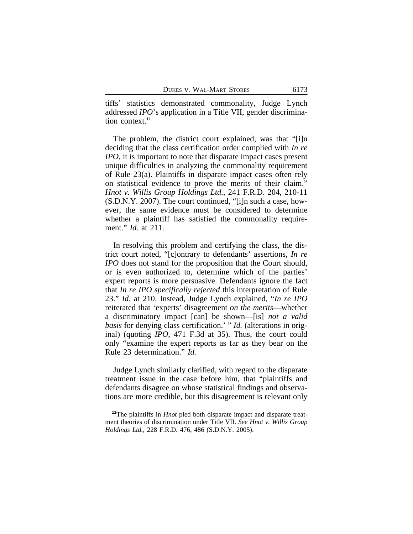tiffs' statistics demonstrated commonality, Judge Lynch addressed *IPO*'s application in a Title VII, gender discrimination context.**<sup>11</sup>**

The problem, the district court explained, was that "[i]n deciding that the class certification order complied with *In re IPO*, it is important to note that disparate impact cases present unique difficulties in analyzing the commonality requirement of Rule 23(a). Plaintiffs in disparate impact cases often rely on statistical evidence to prove the merits of their claim." *Hnot v. Willis Group Holdings Ltd.*, 241 F.R.D. 204, 210-11 (S.D.N.Y. 2007). The court continued, "[i]n such a case, however, the same evidence must be considered to determine whether a plaintiff has satisfied the commonality requirement." *Id.* at 211.

In resolving this problem and certifying the class, the district court noted, "[c]ontrary to defendants' assertions, *In re IPO* does not stand for the proposition that the Court should, or is even authorized to, determine which of the parties' expert reports is more persuasive. Defendants ignore the fact that *In re IPO specifically rejected* this interpretation of Rule 23." *Id.* at 210. Instead, Judge Lynch explained, "*In re IPO* reiterated that 'experts' disagreement *on the merits*—whether a discriminatory impact [can] be shown—[is] *not a valid basis* for denying class certification.' " *Id.* (alterations in original) (quoting *IPO*, 471 F.3d at 35). Thus, the court could only "examine the expert reports as far as they bear on the Rule 23 determination." *Id.*

Judge Lynch similarly clarified, with regard to the disparate treatment issue in the case before him, that "plaintiffs and defendants disagree on whose statistical findings and observations are more credible, but this disagreement is relevant only

**<sup>11</sup>**The plaintiffs in *Hnot* pled both disparate impact and disparate treatment theories of discrimination under Title VII. *See Hnot v. Willis Group Holdings Ltd.*, 228 F.R.D. 476, 486 (S.D.N.Y. 2005).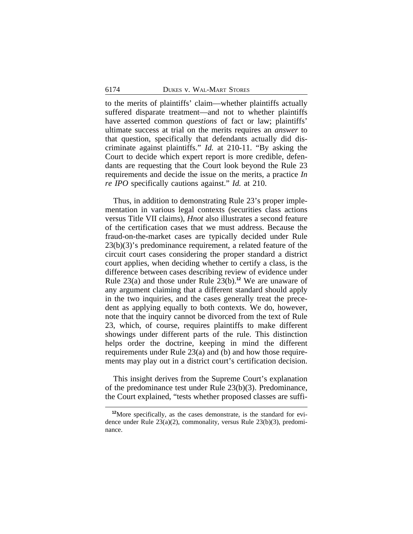to the merits of plaintiffs' claim—whether plaintiffs actually suffered disparate treatment—and not to whether plaintiffs have asserted common *questions* of fact or law; plaintiffs' ultimate success at trial on the merits requires an *answer* to that question, specifically that defendants actually did discriminate against plaintiffs." *Id.* at 210-11. "By asking the Court to decide which expert report is more credible, defendants are requesting that the Court look beyond the Rule 23 requirements and decide the issue on the merits, a practice *In re IPO* specifically cautions against." *Id.* at 210.

Thus, in addition to demonstrating Rule 23's proper implementation in various legal contexts (securities class actions versus Title VII claims), *Hnot* also illustrates a second feature of the certification cases that we must address. Because the fraud-on-the-market cases are typically decided under Rule 23(b)(3)'s predominance requirement, a related feature of the circuit court cases considering the proper standard a district court applies, when deciding whether to certify a class, is the difference between cases describing review of evidence under Rule 23(a) and those under Rule 23(b).**<sup>12</sup>** We are unaware of any argument claiming that a different standard should apply in the two inquiries, and the cases generally treat the precedent as applying equally to both contexts. We do, however, note that the inquiry cannot be divorced from the text of Rule 23, which, of course, requires plaintiffs to make different showings under different parts of the rule. This distinction helps order the doctrine, keeping in mind the different requirements under Rule 23(a) and (b) and how those requirements may play out in a district court's certification decision.

This insight derives from the Supreme Court's explanation of the predominance test under Rule 23(b)(3). Predominance, the Court explained, "tests whether proposed classes are suffi-

**<sup>12</sup>**More specifically, as the cases demonstrate, is the standard for evidence under Rule 23(a)(2), commonality, versus Rule 23(b)(3), predominance.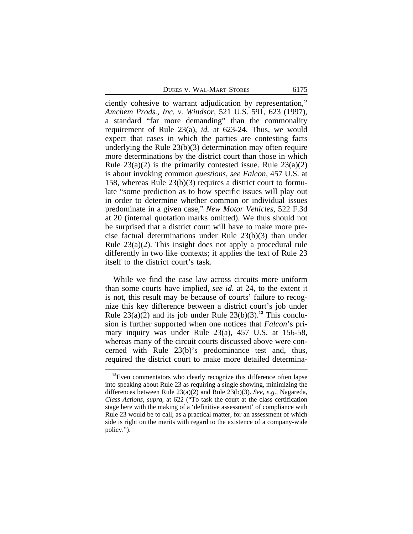DUKES V. WAL-MART STORES 6175

ciently cohesive to warrant adjudication by representation," *Amchem Prods., Inc. v. Windsor*, 521 U.S. 591, 623 (1997), a standard "far more demanding" than the commonality requirement of Rule 23(a), *id.* at 623-24. Thus, we would expect that cases in which the parties are contesting facts underlying the Rule 23(b)(3) determination may often require more determinations by the district court than those in which Rule  $23(a)(2)$  is the primarily contested issue. Rule  $23(a)(2)$ is about invoking common *questions*, *see Falcon*, 457 U.S. at 158, whereas Rule 23(b)(3) requires a district court to formulate "some prediction as to how specific issues will play out in order to determine whether common or individual issues predominate in a given case," *New Motor Vehicles*, 522 F.3d at 20 (internal quotation marks omitted). We thus should not be surprised that a district court will have to make more precise factual determinations under Rule 23(b)(3) than under Rule 23(a)(2). This insight does not apply a procedural rule differently in two like contexts; it applies the text of Rule 23 itself to the district court's task.

While we find the case law across circuits more uniform than some courts have implied, *see id.* at 24, to the extent it is not, this result may be because of courts' failure to recognize this key difference between a district court's job under Rule  $23(a)(2)$  and its job under Rule  $23(b)(3)$ .<sup>13</sup> This conclusion is further supported when one notices that *Falcon*'s primary inquiry was under Rule 23(a), 457 U.S. at 156-58, whereas many of the circuit courts discussed above were concerned with Rule 23(b)'s predominance test and, thus, required the district court to make more detailed determina-

<sup>&</sup>lt;sup>13</sup>Even commentators who clearly recognize this difference often lapse into speaking about Rule 23 as requiring a single showing, minimizing the differences between Rule 23(a)(2) and Rule 23(b)(3). *See, e.g.*, Nagareda, *Class Actions*, *supra*, at 622 ("To task the court at the class certification stage here with the making of a 'definitive assessment' of compliance with Rule 23 would be to call, as a practical matter, for an assessment of which side is right on the merits with regard to the existence of a company-wide policy.").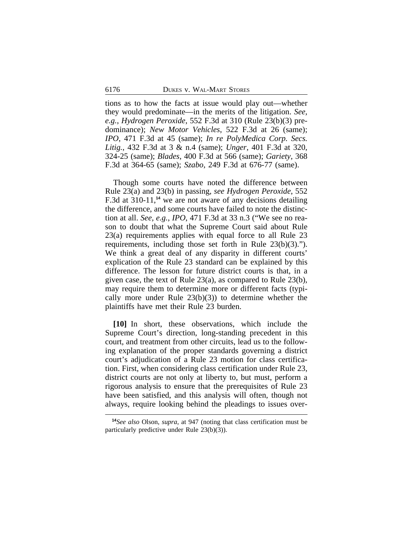tions as to how the facts at issue would play out—whether they would predominate—in the merits of the litigation. *See, e.g.*, *Hydrogen Peroxide*, 552 F.3d at 310 (Rule 23(b)(3) predominance); *New Motor Vehicles*, 522 F.3d at 26 (same); *IPO*, 471 F.3d at 45 (same); *In re PolyMedica Corp. Secs. Litig.*, 432 F.3d at 3 & n.4 (same); *Unger*, 401 F.3d at 320, 324-25 (same); *Blades*, 400 F.3d at 566 (same); *Gariety*, 368 F.3d at 364-65 (same); *Szabo*, 249 F.3d at 676-77 (same).

Though some courts have noted the difference between Rule 23(a) and 23(b) in passing, *see Hydrogen Peroxide*, 552 F.3d at 310-11,**<sup>14</sup>** we are not aware of any decisions detailing the difference, and some courts have failed to note the distinction at all. *See, e.g.*, *IPO*, 471 F.3d at 33 n.3 ("We see no reason to doubt that what the Supreme Court said about Rule 23(a) requirements applies with equal force to all Rule 23 requirements, including those set forth in Rule 23(b)(3)."). We think a great deal of any disparity in different courts' explication of the Rule 23 standard can be explained by this difference. The lesson for future district courts is that, in a given case, the text of Rule 23(a), as compared to Rule 23(b), may require them to determine more or different facts (typically more under Rule  $23(b)(3)$  to determine whether the plaintiffs have met their Rule 23 burden.

**[10]** In short, these observations, which include the Supreme Court's direction, long-standing precedent in this court, and treatment from other circuits, lead us to the following explanation of the proper standards governing a district court's adjudication of a Rule 23 motion for class certification. First, when considering class certification under Rule 23, district courts are not only at liberty to, but must, perform a rigorous analysis to ensure that the prerequisites of Rule 23 have been satisfied, and this analysis will often, though not always, require looking behind the pleadings to issues over-

**<sup>14</sup>***See also* Olson, *supra*, at 947 (noting that class certification must be particularly predictive under Rule 23(b)(3)).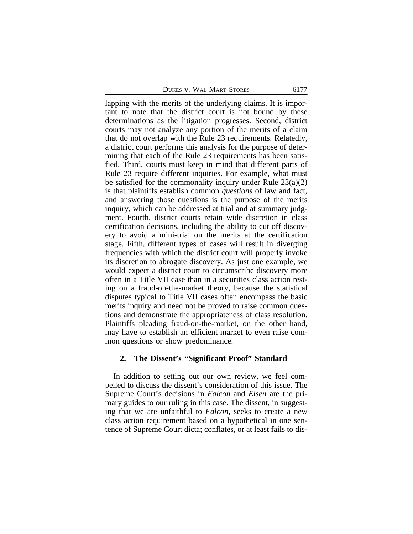DUKES V. WAL-MART STORES 6177

lapping with the merits of the underlying claims. It is important to note that the district court is not bound by these determinations as the litigation progresses. Second, district courts may not analyze any portion of the merits of a claim that do not overlap with the Rule 23 requirements. Relatedly, a district court performs this analysis for the purpose of determining that each of the Rule 23 requirements has been satisfied. Third, courts must keep in mind that different parts of Rule 23 require different inquiries. For example, what must be satisfied for the commonality inquiry under Rule  $23(a)(2)$ is that plaintiffs establish common *questions* of law and fact, and answering those questions is the purpose of the merits inquiry, which can be addressed at trial and at summary judgment. Fourth, district courts retain wide discretion in class certification decisions, including the ability to cut off discovery to avoid a mini-trial on the merits at the certification stage. Fifth, different types of cases will result in diverging frequencies with which the district court will properly invoke its discretion to abrogate discovery. As just one example, we would expect a district court to circumscribe discovery more often in a Title VII case than in a securities class action resting on a fraud-on-the-market theory, because the statistical disputes typical to Title VII cases often encompass the basic merits inquiry and need not be proved to raise common questions and demonstrate the appropriateness of class resolution. Plaintiffs pleading fraud-on-the-market, on the other hand, may have to establish an efficient market to even raise common questions or show predominance.

## **2. The Dissent's "Significant Proof" Standard**

In addition to setting out our own review, we feel compelled to discuss the dissent's consideration of this issue. The Supreme Court's decisions in *Falcon* and *Eisen* are the primary guides to our ruling in this case. The dissent, in suggesting that we are unfaithful to *Falcon*, seeks to create a new class action requirement based on a hypothetical in one sentence of Supreme Court dicta; conflates, or at least fails to dis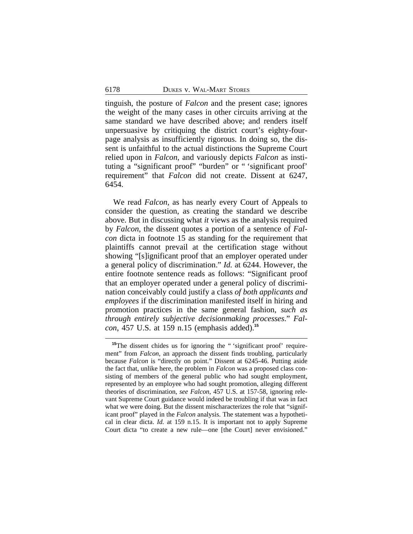tinguish, the posture of *Falcon* and the present case; ignores the weight of the many cases in other circuits arriving at the same standard we have described above; and renders itself unpersuasive by critiquing the district court's eighty-fourpage analysis as insufficiently rigorous. In doing so, the dissent is unfaithful to the actual distinctions the Supreme Court relied upon in *Falcon*, and variously depicts *Falcon* as instituting a "significant proof" "burden" or " 'significant proof' requirement" that *Falcon* did not create. Dissent at 6247, 6454.

We read *Falcon*, as has nearly every Court of Appeals to consider the question, as creating the standard we describe above. But in discussing what *it* views as the analysis required by *Falcon*, the dissent quotes a portion of a sentence of *Falcon* dicta in footnote 15 as standing for the requirement that plaintiffs cannot prevail at the certification stage without showing "[s]ignificant proof that an employer operated under a general policy of discrimination." *Id.* at 6244. However, the entire footnote sentence reads as follows: "Significant proof that an employer operated under a general policy of discrimination conceivably could justify a class *of both applicants and employees* if the discrimination manifested itself in hiring and promotion practices in the same general fashion, *such as through entirely subjective decisionmaking processes*." *Falcon*, 457 U.S. at 159 n.15 (emphasis added).**<sup>15</sup>**

<sup>&</sup>lt;sup>15</sup>The dissent chides us for ignoring the " 'significant proof' requirement" from *Falcon*, an approach the dissent finds troubling, particularly because *Falcon* is "directly on point." Dissent at 6245-46. Putting aside the fact that, unlike here, the problem in *Falcon* was a proposed class consisting of members of the general public who had sought employment, represented by an employee who had sought promotion, alleging different theories of discrimination, *see Falcon*, 457 U.S. at 157-58, ignoring relevant Supreme Court guidance would indeed be troubling if that was in fact what we were doing. But the dissent mischaracterizes the role that "significant proof" played in the *Falcon* analysis. The statement was a hypothetical in clear dicta. *Id.* at 159 n.15. It is important not to apply Supreme Court dicta "to create a new rule—one [the Court] never envisioned."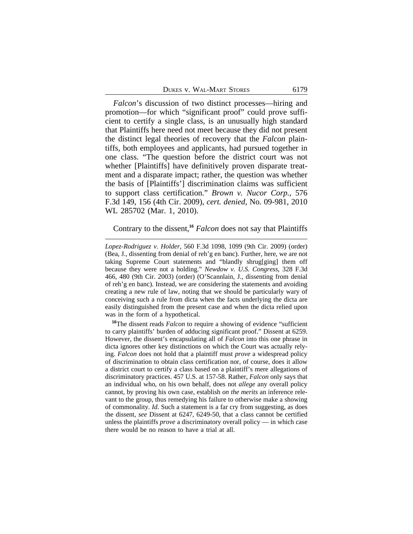| DUKES V. WAL-MART STORES | 6179 |
|--------------------------|------|
|--------------------------|------|

*Falcon*'s discussion of two distinct processes—hiring and promotion—for which "significant proof" could prove sufficient to certify a single class, is an unusually high standard that Plaintiffs here need not meet because they did not present the distinct legal theories of recovery that the *Falcon* plaintiffs, both employees and applicants, had pursued together in one class. "The question before the district court was not whether [Plaintiffs] have definitively proven disparate treatment and a disparate impact; rather, the question was whether the basis of [Plaintiffs'] discrimination claims was sufficient to support class certification." *Brown v. Nucor Corp.*, 576 F.3d 149, 156 (4th Cir. 2009), *cert. denied*, No. 09-981, 2010 WL 285702 (Mar. 1, 2010).

Contrary to the dissent,**<sup>16</sup>** *Falcon* does not say that Plaintiffs

**<sup>16</sup>**The dissent reads *Falcon* to require a showing of evidence "sufficient to carry plaintiffs' burden of adducing significant proof." Dissent at 6259. However, the dissent's encapsulating all of *Falcon* into this one phrase in dicta ignores other key distinctions on which the Court was actually relying. *Falcon* does not hold that a plaintiff must *prove* a widespread policy of discrimination to obtain class certification nor, of course, does it allow a district court to certify a class based on a plaintiff's mere allegations of discriminatory practices. 457 U.S. at 157-58. Rather, *Falcon* only says that an individual who, on his own behalf, does not *allege* any overall policy cannot, by proving his own case, establish *on the merits* an inference relevant to the group, thus remedying his failure to otherwise make a showing of commonality. *Id*. Such a statement is a far cry from suggesting, as does the dissent, *see* Dissent at 6247, 6249-50, that a class cannot be certified unless the plaintiffs *prove* a discriminatory overall policy — in which case there would be no reason to have a trial at all.

*Lopez-Rodriguez v. Holder*, 560 F.3d 1098, 1099 (9th Cir. 2009) (order) (Bea, J., dissenting from denial of reh'g en banc). Further, here, we are not taking Supreme Court statements and "blandly shrug[ging] them off because they were not a holding." *Newdow v. U.S. Congress*, 328 F.3d 466, 480 (9th Cir. 2003) (order) (O'Scannlain, J., dissenting from denial of reh'g en banc). Instead, we are considering the statements and avoiding creating a new rule of law, noting that we should be particularly wary of conceiving such a rule from dicta when the facts underlying the dicta are easily distinguished from the present case and when the dicta relied upon was in the form of a hypothetical.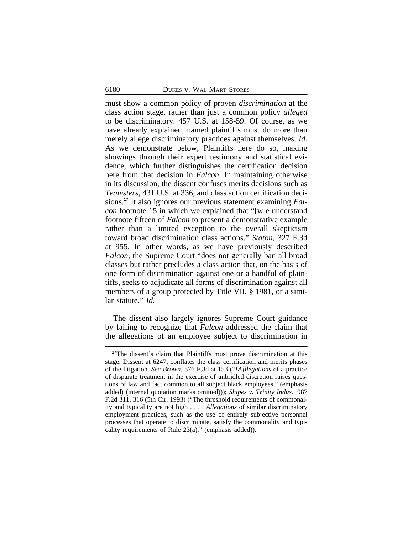must show a common policy of proven *discrimination* at the class action stage, rather than just a common policy *alleged* to be discriminatory. 457 U.S. at 158-59. Of course, as we have already explained, named plaintiffs must do more than merely allege discriminatory practices against themselves. *Id.* As we demonstrate below, Plaintiffs here do so, making showings through their expert testimony and statistical evidence, which further distinguishes the certification decision here from that decision in *Falcon*. In maintaining otherwise in its discussion, the dissent confuses merits decisions such as *Teamsters*, 431 U.S. at 336, and class action certification decisions.**17** It also ignores our previous statement examining *Falcon* footnote 15 in which we explained that "[w]e understand footnote fifteen of *Falcon* to present a demonstrative example rather than a limited exception to the overall skepticism toward broad discrimination class actions." *Staton*, 327 F.3d at 955. In other words, as we have previously described *Falcon*, the Supreme Court "does not generally ban all broad classes but rather precludes a class action that, on the basis of one form of discrimination against one or a handful of plaintiffs, seeks to adjudicate all forms of discrimination against all members of a group protected by Title VII, § 1981, or a similar statute." *Id.*

The dissent also largely ignores Supreme Court guidance by failing to recognize that *Falcon* addressed the claim that the allegations of an employee subject to discrimination in

**<sup>17</sup>**The dissent's claim that Plaintiffs must prove discrimination at this stage, Dissent at 6247, conflates the class certification and merits phases of the litigation. *See Brown*, 576 F.3d at 153 ("*[A]llegations* of a practice of disparate treatment in the exercise of unbridled discretion raises questions of law and fact common to all subject black employees." (emphasis added) (internal quotation marks omitted))); *Shipes v. Trinity Indus.*, 987 F.2d 311, 316 (5th Cir. 1993) ("The threshold requirements of commonality and typicality are not high . . . . *Allegations* of similar discriminatory employment practices, such as the use of entirely subjective personnel processes that operate to discriminate, satisfy the commonality and typicality requirements of Rule 23(a)." (emphasis added)).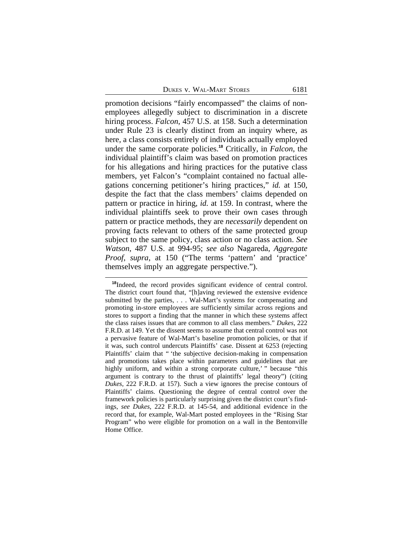promotion decisions "fairly encompassed" the claims of nonemployees allegedly subject to discrimination in a discrete hiring process. *Falcon*, 457 U.S. at 158. Such a determination under Rule 23 is clearly distinct from an inquiry where, as here, a class consists entirely of individuals actually employed under the same corporate policies.**<sup>18</sup>** Critically, in *Falcon*, the individual plaintiff's claim was based on promotion practices for his allegations and hiring practices for the putative class members, yet Falcon's "complaint contained no factual allegations concerning petitioner's hiring practices," *id.* at 150, despite the fact that the class members' claims depended on pattern or practice in hiring, *id.* at 159. In contrast, where the individual plaintiffs seek to prove their own cases through pattern or practice methods, they are *necessarily* dependent on proving facts relevant to others of the same protected group subject to the same policy, class action or no class action. *See Watson*, 487 U.S. at 994-95; *see also* Nagareda, *Aggregate Proof*, *supra*, at 150 ("The terms 'pattern' and 'practice' themselves imply an aggregate perspective.").

**<sup>18</sup>**Indeed, the record provides significant evidence of central control. The district court found that, "[h]aving reviewed the extensive evidence submitted by the parties, . . . Wal-Mart's systems for compensating and promoting in-store employees are sufficiently similar across regions and stores to support a finding that the manner in which these systems affect the class raises issues that are common to all class members." *Dukes*, 222 F.R.D. at 149. Yet the dissent seems to assume that central control was not a pervasive feature of Wal-Mart's baseline promotion policies, or that if it was, such control undercuts Plaintiffs' case. Dissent at 6253 (rejecting Plaintiffs' claim that " 'the subjective decision-making in compensation and promotions takes place within parameters and guidelines that are highly uniform, and within a strong corporate culture,' " because "this argument is contrary to the thrust of plaintiffs' legal theory") (citing *Dukes*, 222 F.R.D. at 157). Such a view ignores the precise contours of Plaintiffs' claims. Questioning the degree of central control over the framework policies is particularly surprising given the district court's findings, *see Dukes*, 222 F.R.D. at 145-54, and additional evidence in the record that, for example, Wal-Mart posted employees in the "Rising Star Program" who were eligible for promotion on a wall in the Bentonville Home Office.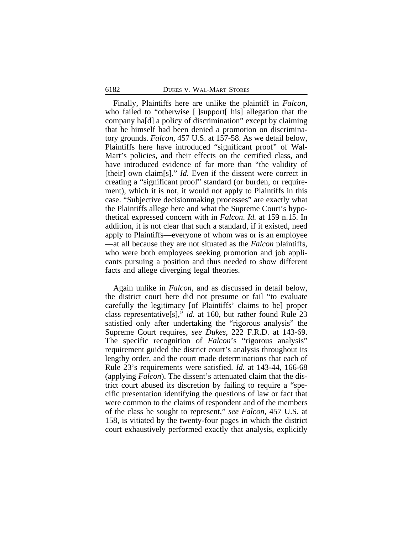Finally, Plaintiffs here are unlike the plaintiff in *Falcon*, who failed to "otherwise [ ]support [ his] allegation that the company ha[d] a policy of discrimination" except by claiming that he himself had been denied a promotion on discriminatory grounds. *Falcon*, 457 U.S. at 157-58. As we detail below, Plaintiffs here have introduced "significant proof" of Wal-Mart's policies, and their effects on the certified class, and have introduced evidence of far more than "the validity of [their] own claim[s]." *Id.* Even if the dissent were correct in creating a "significant proof" standard (or burden, or requirement), which it is not, it would not apply to Plaintiffs in this case. "Subjective decisionmaking processes" are exactly what the Plaintiffs allege here and what the Supreme Court's hypothetical expressed concern with in *Falcon*. *Id.* at 159 n.15. In addition, it is not clear that such a standard, if it existed, need apply to Plaintiffs—everyone of whom was or is an employee —at all because they are not situated as the *Falcon* plaintiffs, who were both employees seeking promotion and job applicants pursuing a position and thus needed to show different facts and allege diverging legal theories.

Again unlike in *Falcon*, and as discussed in detail below, the district court here did not presume or fail "to evaluate carefully the legitimacy [of Plaintiffs' claims to be] proper class representative[s]," *id.* at 160, but rather found Rule 23 satisfied only after undertaking the "rigorous analysis" the Supreme Court requires, *see Dukes*, 222 F.R.D. at 143-69. The specific recognition of *Falcon*'s "rigorous analysis" requirement guided the district court's analysis throughout its lengthy order, and the court made determinations that each of Rule 23's requirements were satisfied. *Id.* at 143-44, 166-68 (applying *Falcon*). The dissent's attenuated claim that the district court abused its discretion by failing to require a "specific presentation identifying the questions of law or fact that were common to the claims of respondent and of the members of the class he sought to represent," *see Falcon*, 457 U.S. at 158, is vitiated by the twenty-four pages in which the district court exhaustively performed exactly that analysis, explicitly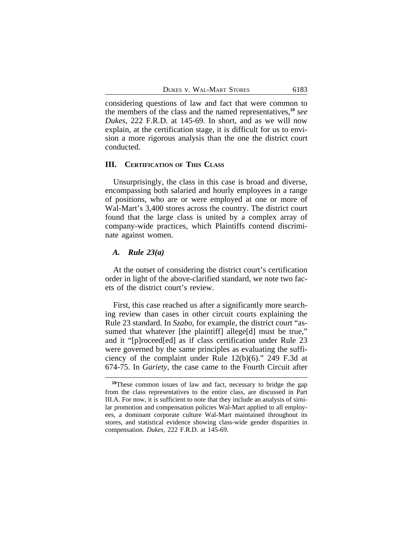considering questions of law and fact that were common to the members of the class and the named representatives,**<sup>19</sup>** *see Dukes*, 222 F.R.D. at 145-69. In short, and as we will now explain, at the certification stage, it is difficult for us to envision a more rigorous analysis than the one the district court conducted.

#### **III. CERTIFICATION OF THIS CLASS**

Unsurprisingly, the class in this case is broad and diverse, encompassing both salaried and hourly employees in a range of positions, who are or were employed at one or more of Wal-Mart's 3,400 stores across the country. The district court found that the large class is united by a complex array of company-wide practices, which Plaintiffs contend discriminate against women.

# *A. Rule 23(a)*

At the outset of considering the district court's certification order in light of the above-clarified standard, we note two facets of the district court's review.

First, this case reached us after a significantly more searching review than cases in other circuit courts explaining the Rule 23 standard. In *Szabo*, for example, the district court "assumed that whatever [the plaintiff] allege[d] must be true," and it "[p]roceed[ed] as if class certification under Rule 23 were governed by the same principles as evaluating the sufficiency of the complaint under Rule 12(b)(6)." 249 F.3d at 674-75. In *Gariety*, the case came to the Fourth Circuit after

**<sup>19</sup>**These common issues of law and fact, necessary to bridge the gap from the class representatives to the entire class, are discussed in Part III.A. For now, it is sufficient to note that they include an analysis of similar promotion and compensation policies Wal-Mart applied to all employees, a dominant corporate culture Wal-Mart maintained throughout its stores, and statistical evidence showing class-wide gender disparities in compensation. *Dukes*, 222 F.R.D. at 145-69.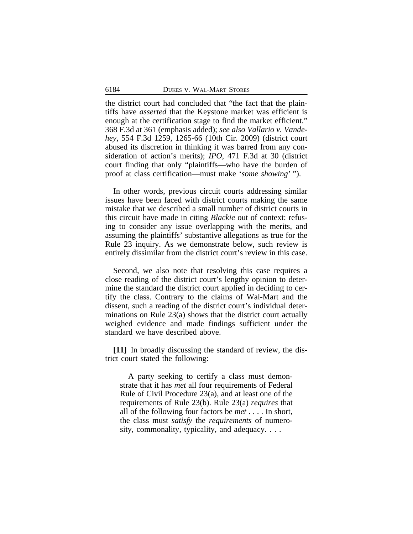the district court had concluded that "the fact that the plaintiffs have *asserted* that the Keystone market was efficient is enough at the certification stage to find the market efficient." 368 F.3d at 361 (emphasis added); *see also Vallario v. Vandehey*, 554 F.3d 1259*,* 1265-66 (10th Cir. 2009) (district court abused its discretion in thinking it was barred from any consideration of action's merits); *IPO*, 471 F.3d at 30 (district court finding that only "plaintiffs—who have the burden of proof at class certification—must make '*some showing*' ").

In other words, previous circuit courts addressing similar issues have been faced with district courts making the same mistake that we described a small number of district courts in this circuit have made in citing *Blackie* out of context: refusing to consider any issue overlapping with the merits, and assuming the plaintiffs' substantive allegations as true for the Rule 23 inquiry. As we demonstrate below, such review is entirely dissimilar from the district court's review in this case.

Second, we also note that resolving this case requires a close reading of the district court's lengthy opinion to determine the standard the district court applied in deciding to certify the class. Contrary to the claims of Wal-Mart and the dissent, such a reading of the district court's individual determinations on Rule 23(a) shows that the district court actually weighed evidence and made findings sufficient under the standard we have described above.

**[11]** In broadly discussing the standard of review, the district court stated the following:

A party seeking to certify a class must demonstrate that it has *met* all four requirements of Federal Rule of Civil Procedure 23(a), and at least one of the requirements of Rule 23(b). Rule 23(a) *requires* that all of the following four factors be *met* . . . . In short, the class must *satisfy* the *requirements* of numerosity, commonality, typicality, and adequacy. . . .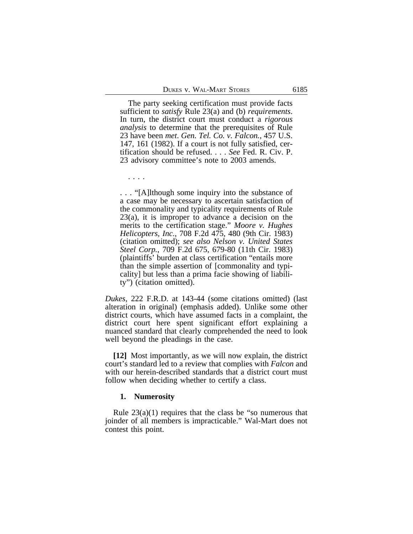The party seeking certification must provide facts sufficient to *satisfy* Rule 23(a) and (b) *requirements*. In turn, the district court must conduct a *rigorous analysis* to determine that the prerequisites of Rule 23 have been *met*. *Gen. Tel. Co. v. Falcon.*, 457 U.S. 147, 161 (1982). If a court is not fully satisfied, certification should be refused. . . . *See* Fed. R. Civ. P. 23 advisory committee's note to 2003 amends.

. . . .

. . . "[A]lthough some inquiry into the substance of a case may be necessary to ascertain satisfaction of the commonality and typicality requirements of Rule 23(a), it is improper to advance a decision on the merits to the certification stage." *Moore v. Hughes Helicopters, Inc.*, 708 F.2d 475, 480 (9th Cir. 1983) (citation omitted); *see also Nelson v. United States Steel Corp.*, 709 F.2d 675, 679-80 (11th Cir. 1983) (plaintiffs' burden at class certification "entails more than the simple assertion of [commonality and typicality] but less than a prima facie showing of liability") (citation omitted).

*Dukes*, 222 F.R.D. at 143-44 (some citations omitted) (last alteration in original) (emphasis added). Unlike some other district courts, which have assumed facts in a complaint, the district court here spent significant effort explaining a nuanced standard that clearly comprehended the need to look well beyond the pleadings in the case.

**[12]** Most importantly, as we will now explain, the district court's standard led to a review that complies with *Falcon* and with our herein-described standards that a district court must follow when deciding whether to certify a class.

## **1. Numerosity**

Rule  $23(a)(1)$  requires that the class be "so numerous that joinder of all members is impracticable." Wal-Mart does not contest this point.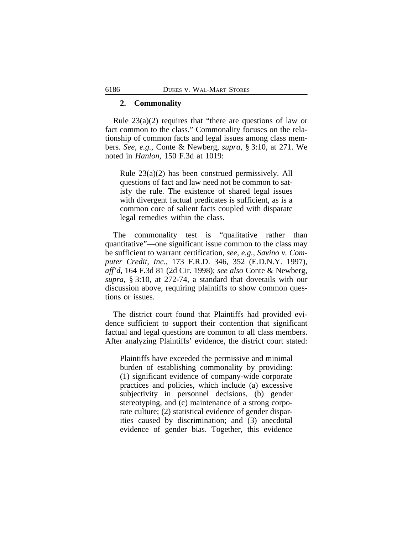## **2. Commonality**

Rule  $23(a)(2)$  requires that "there are questions of law or fact common to the class." Commonality focuses on the relationship of common facts and legal issues among class members. *See, e.g.*, Conte & Newberg, *supra*, § 3:10, at 271. We noted in *Hanlon*, 150 F.3d at 1019:

Rule 23(a)(2) has been construed permissively. All questions of fact and law need not be common to satisfy the rule. The existence of shared legal issues with divergent factual predicates is sufficient, as is a common core of salient facts coupled with disparate legal remedies within the class.

The commonality test is "qualitative rather than quantitative"—one significant issue common to the class may be sufficient to warrant certification, *see, e.g.*, *Savino v. Computer Credit, Inc*., 173 F.R.D. 346, 352 (E.D.N.Y. 1997), *aff'd*, 164 F.3d 81 (2d Cir. 1998); *see also* Conte & Newberg, *supra*, § 3:10, at 272-74, a standard that dovetails with our discussion above, requiring plaintiffs to show common questions or issues.

The district court found that Plaintiffs had provided evidence sufficient to support their contention that significant factual and legal questions are common to all class members. After analyzing Plaintiffs' evidence, the district court stated:

Plaintiffs have exceeded the permissive and minimal burden of establishing commonality by providing: (1) significant evidence of company-wide corporate practices and policies, which include (a) excessive subjectivity in personnel decisions, (b) gender stereotyping, and (c) maintenance of a strong corporate culture; (2) statistical evidence of gender disparities caused by discrimination; and (3) anecdotal evidence of gender bias. Together, this evidence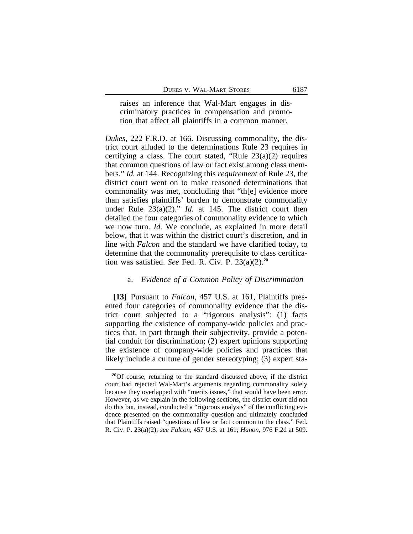raises an inference that Wal-Mart engages in discriminatory practices in compensation and promotion that affect all plaintiffs in a common manner.

*Dukes*, 222 F.R.D. at 166. Discussing commonality, the district court alluded to the determinations Rule 23 requires in certifying a class. The court stated, "Rule  $23(a)(2)$  requires that common questions of law or fact exist among class members." *Id.* at 144. Recognizing this *requirement* of Rule 23, the district court went on to make reasoned determinations that commonality was met, concluding that "th[e] evidence more than satisfies plaintiffs' burden to demonstrate commonality under Rule 23(a)(2)." *Id.* at 145. The district court then detailed the four categories of commonality evidence to which we now turn. *Id.* We conclude, as explained in more detail below, that it was within the district court's discretion, and in line with *Falcon* and the standard we have clarified today, to determine that the commonality prerequisite to class certification was satisfied. *See* Fed. R. Civ. P. 23(a)(2).**<sup>20</sup>**

## a. *Evidence of a Common Policy of Discrimination*

**[13]** Pursuant to *Falcon*, 457 U.S. at 161, Plaintiffs presented four categories of commonality evidence that the district court subjected to a "rigorous analysis": (1) facts supporting the existence of company-wide policies and practices that, in part through their subjectivity, provide a potential conduit for discrimination; (2) expert opinions supporting the existence of company-wide policies and practices that likely include a culture of gender stereotyping; (3) expert sta-

**<sup>20</sup>**Of course, returning to the standard discussed above, if the district court had rejected Wal-Mart's arguments regarding commonality solely because they overlapped with "merits issues," that would have been error. However, as we explain in the following sections, the district court did not do this but, instead, conducted a "rigorous analysis" of the conflicting evidence presented on the commonality question and ultimately concluded that Plaintiffs raised "questions of law or fact common to the class." Fed. R. Civ. P. 23(a)(2); *see Falcon*, 457 U.S. at 161; *Hanon*, 976 F.2d at 509.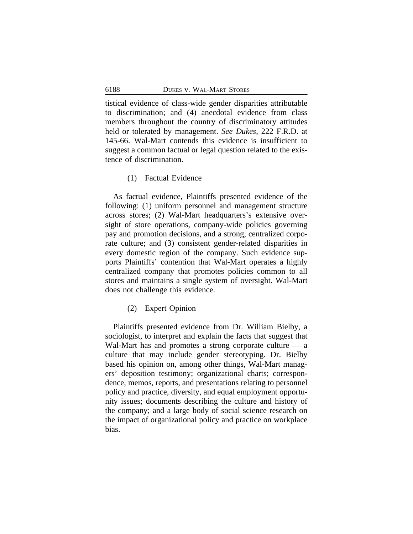tistical evidence of class-wide gender disparities attributable to discrimination; and (4) anecdotal evidence from class members throughout the country of discriminatory attitudes held or tolerated by management. *See Dukes*, 222 F.R.D. at 145-66. Wal-Mart contends this evidence is insufficient to suggest a common factual or legal question related to the existence of discrimination.

(1) Factual Evidence

As factual evidence, Plaintiffs presented evidence of the following: (1) uniform personnel and management structure across stores; (2) Wal-Mart headquarters's extensive oversight of store operations, company-wide policies governing pay and promotion decisions, and a strong, centralized corporate culture; and (3) consistent gender-related disparities in every domestic region of the company. Such evidence supports Plaintiffs' contention that Wal-Mart operates a highly centralized company that promotes policies common to all stores and maintains a single system of oversight. Wal-Mart does not challenge this evidence.

(2) Expert Opinion

Plaintiffs presented evidence from Dr. William Bielby, a sociologist, to interpret and explain the facts that suggest that Wal-Mart has and promotes a strong corporate culture — a culture that may include gender stereotyping. Dr. Bielby based his opinion on, among other things, Wal-Mart managers' deposition testimony; organizational charts; correspondence, memos, reports, and presentations relating to personnel policy and practice, diversity, and equal employment opportunity issues; documents describing the culture and history of the company; and a large body of social science research on the impact of organizational policy and practice on workplace bias.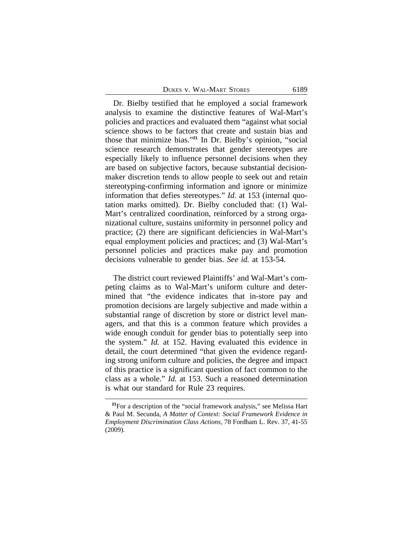| 6189<br>DUKES V. WAL-MART STORES |  |
|----------------------------------|--|
|----------------------------------|--|

Dr. Bielby testified that he employed a social framework analysis to examine the distinctive features of Wal-Mart's policies and practices and evaluated them "against what social science shows to be factors that create and sustain bias and those that minimize bias." **<sup>21</sup>** In Dr. Bielby's opinion, "social science research demonstrates that gender stereotypes are especially likely to influence personnel decisions when they are based on subjective factors, because substantial decisionmaker discretion tends to allow people to seek out and retain stereotyping-confirming information and ignore or minimize information that defies stereotypes." *Id.* at 153 (internal quotation marks omitted). Dr. Bielby concluded that: (1) Wal-Mart's centralized coordination, reinforced by a strong organizational culture, sustains uniformity in personnel policy and practice; (2) there are significant deficiencies in Wal-Mart's equal employment policies and practices; and (3) Wal-Mart's personnel policies and practices make pay and promotion decisions vulnerable to gender bias. *See id.* at 153-54.

The district court reviewed Plaintiffs' and Wal-Mart's competing claims as to Wal-Mart's uniform culture and determined that "the evidence indicates that in-store pay and promotion decisions are largely subjective and made within a substantial range of discretion by store or district level managers, and that this is a common feature which provides a wide enough conduit for gender bias to potentially seep into the system." *Id.* at 152. Having evaluated this evidence in detail, the court determined "that given the evidence regarding strong uniform culture and policies, the degree and impact of this practice is a significant question of fact common to the class as a whole." *Id.* at 153. Such a reasoned determination is what our standard for Rule 23 requires.

**<sup>21</sup>**For a description of the "social framework analysis," see Melissa Hart & Paul M. Secunda, *A Matter of Context: Social Framework Evidence in Employment Discrimination Class Actions*, 78 Fordham L. Rev. 37, 41-55 (2009).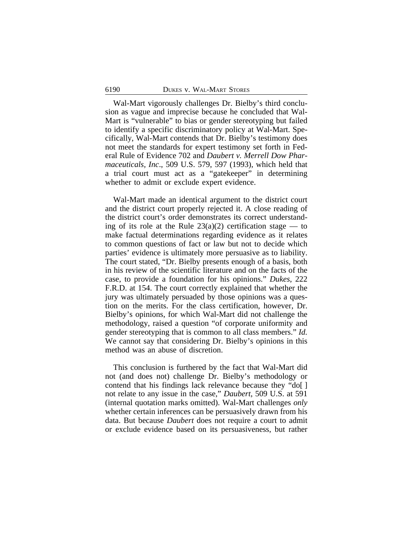Wal-Mart vigorously challenges Dr. Bielby's third conclusion as vague and imprecise because he concluded that Wal-Mart is "vulnerable" to bias or gender stereotyping but failed to identify a specific discriminatory policy at Wal-Mart. Specifically, Wal-Mart contends that Dr. Bielby's testimony does not meet the standards for expert testimony set forth in Federal Rule of Evidence 702 and *Daubert v. Merrell Dow Pharmaceuticals, Inc*., 509 U.S. 579, 597 (1993), which held that a trial court must act as a "gatekeeper" in determining whether to admit or exclude expert evidence.

Wal-Mart made an identical argument to the district court and the district court properly rejected it. A close reading of the district court's order demonstrates its correct understanding of its role at the Rule  $23(a)(2)$  certification stage — to make factual determinations regarding evidence as it relates to common questions of fact or law but not to decide which parties' evidence is ultimately more persuasive as to liability. The court stated, "Dr. Bielby presents enough of a basis, both in his review of the scientific literature and on the facts of the case, to provide a foundation for his opinions." *Dukes*, 222 F.R.D. at 154. The court correctly explained that whether the jury was ultimately persuaded by those opinions was a question on the merits. For the class certification, however, Dr. Bielby's opinions, for which Wal-Mart did not challenge the methodology, raised a question "of corporate uniformity and gender stereotyping that is common to all class members." *Id.* We cannot say that considering Dr. Bielby's opinions in this method was an abuse of discretion.

This conclusion is furthered by the fact that Wal-Mart did not (and does not) challenge Dr. Bielby's methodology or contend that his findings lack relevance because they "do[ ] not relate to any issue in the case," *Daubert*, 509 U.S. at 591 (internal quotation marks omitted). Wal-Mart challenges *only* whether certain inferences can be persuasively drawn from his data. But because *Daubert* does not require a court to admit or exclude evidence based on its persuasiveness, but rather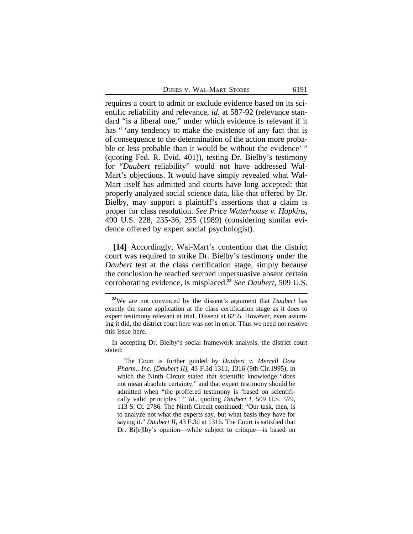requires a court to admit or exclude evidence based on its scientific reliability and relevance, *id.* at 587-92 (relevance standard "is a liberal one," under which evidence is relevant if it has " 'any tendency to make the existence of any fact that is of consequence to the determination of the action more probable or less probable than it would be without the evidence'" (quoting Fed. R. Evid. 401)), testing Dr. Bielby's testimony for "*Daubert* reliability" would not have addressed Wal-Mart's objections. It would have simply revealed what Wal-Mart itself has admitted and courts have long accepted: that properly analyzed social science data, like that offered by Dr. Bielby, may support a plaintiff's assertions that a claim is proper for class resolution. *See Price Waterhouse v. Hopkins*, 490 U.S. 228, 235-36, 255 (1989) (considering similar evidence offered by expert social psychologist).

**[14]** Accordingly, Wal-Mart's contention that the district court was required to strike Dr. Bielby's testimony under the *Daubert* test at the class certification stage, simply because the conclusion he reached seemed unpersuasive absent certain corroborating evidence, is misplaced.**<sup>22</sup>** *See Daubert*, 509 U.S.

The Court is further guided by *Daubert v. Merrell Dow Pharm., Inc. (Daubert II)*, 43 F.3d 1311, 1316 (9th Cir.1995), in which the Ninth Circuit stated that scientific knowledge "does not mean absolute certainty," and that expert testimony should be admitted when "the proffered testimony is 'based on scientifically valid principles.' " *Id.*, quoting *Daubert I*, 509 U.S. 579, 113 S. Ct. 2786. The Ninth Circuit continued: "Our task, then, is to analyze not what the experts say, but what basis they have for saying it." *Daubert II*, 43 F.3d at 1316. The Court is satisfied that Dr. Bi[e]lby's opinion—while subject to critique—is based on

**<sup>22</sup>**We are not convinced by the dissent's argument that *Daubert* has exactly the same application at the class certification stage as it does to expert testimony relevant at trial. Dissent at 6255. However, even assuming it did, the district court here was not in error. Thus we need not resolve this issue here.

In accepting Dr. Bielby's social framework analysis, the district court stated: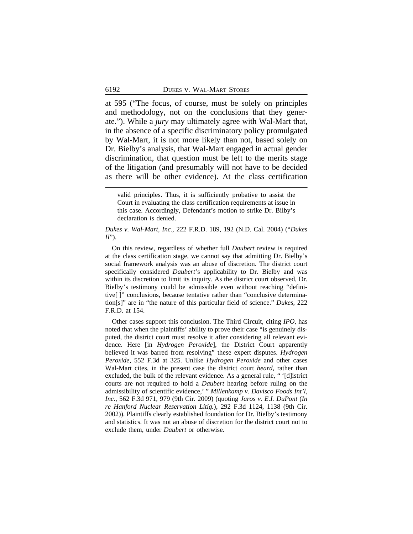at 595 ("The focus, of course, must be solely on principles and methodology, not on the conclusions that they generate."). While a *jury* may ultimately agree with Wal-Mart that, in the absence of a specific discriminatory policy promulgated by Wal-Mart, it is not more likely than not, based solely on Dr. Bielby's analysis, that Wal-Mart engaged in actual gender discrimination, that question must be left to the merits stage of the litigation (and presumably will not have to be decided as there will be other evidence). At the class certification

*Dukes v. Wal-Mart, Inc.*, 222 F.R.D. 189, 192 (N.D. Cal. 2004) ("*Dukes II*").

On this review, regardless of whether full *Daubert* review is required at the class certification stage, we cannot say that admitting Dr. Bielby's social framework analysis was an abuse of discretion. The district court specifically considered *Daubert*'s applicability to Dr. Bielby and was within its discretion to limit its inquiry. As the district court observed, Dr. Bielby's testimony could be admissible even without reaching "definitive[ ]" conclusions, because tentative rather than "conclusive determination[s]" are in "the nature of this particular field of science." *Dukes*, 222 F.R.D. at 154.

Other cases support this conclusion. The Third Circuit, citing *IPO*, has noted that when the plaintiffs' ability to prove their case "is genuinely disputed, the district court must resolve it after considering all relevant evidence. Here [in *Hydrogen Peroxide*], the District Court apparently believed it was barred from resolving" these expert disputes. *Hydrogen Peroxide*, 552 F.3d at 325. Unlike *Hydrogen Peroxide* and other cases Wal-Mart cites, in the present case the district court *heard*, rather than excluded, the bulk of the relevant evidence. As a general rule, " '[d]istrict courts are not required to hold a *Daubert* hearing before ruling on the admissibility of scientific evidence,' " *Millenkamp v. Davisco Foods Int'l, Inc.*, 562 F.3d 971, 979 (9th Cir. 2009) (quoting *Jaros v. E.I. DuPont* (*In re Hanford Nuclear Reservation Litig.*), 292 F.3d 1124, 1138 (9th Cir. 2002)). Plaintiffs clearly established foundation for Dr. Bielby's testimony and statistics. It was not an abuse of discretion for the district court not to exclude them, under *Daubert* or otherwise.

valid principles. Thus, it is sufficiently probative to assist the Court in evaluating the class certification requirements at issue in this case. Accordingly, Defendant's motion to strike Dr. Bilby's declaration is denied.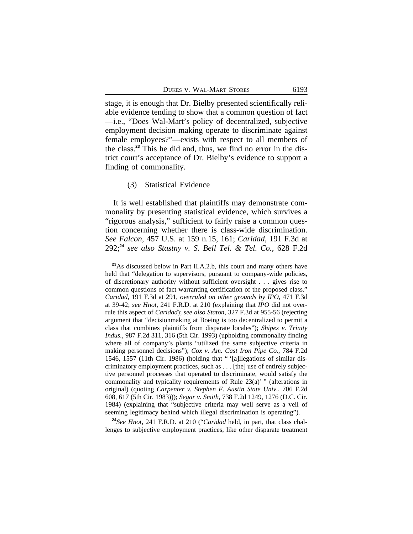DUKES V. WAL-MART STORES 6193

stage, it is enough that Dr. Bielby presented scientifically reliable evidence tending to show that a common question of fact —i.e., "Does Wal-Mart's policy of decentralized, subjective employment decision making operate to discriminate against female employees?"—exists with respect to all members of the class.**23** This he did and, thus, we find no error in the district court's acceptance of Dr. Bielby's evidence to support a finding of commonality.

## (3) Statistical Evidence

It is well established that plaintiffs may demonstrate commonality by presenting statistical evidence, which survives a "rigorous analysis," sufficient to fairly raise a common question concerning whether there is class-wide discrimination. *See Falcon*, 457 U.S. at 159 n.15, 161; *Caridad*, 191 F.3d at 292;**<sup>24</sup>** *see also Stastny v. S. Bell Tel. & Tel. Co.*, 628 F.2d

**<sup>24</sup>***See Hnot*, 241 F.R.D. at 210 ("*Caridad* held, in part, that class challenges to subjective employment practices, like other disparate treatment

**<sup>23</sup>**As discussed below in Part II.A.2.b, this court and many others have held that "delegation to supervisors, pursuant to company-wide policies, of discretionary authority without sufficient oversight . . . gives rise to common questions of fact warranting certification of the proposed class." *Caridad*, 191 F.3d at 291, *overruled on other grounds by IPO*, 471 F.3d at 39-42; *see Hnot*, 241 F.R.D. at 210 (explaining that *IPO* did not overrule this aspect of *Caridad*); *see also Staton*, 327 F.3d at 955-56 (rejecting argument that "decisionmaking at Boeing is too decentralized to permit a class that combines plaintiffs from disparate locales"); *Shipes v. Trinity Indus.*, 987 F.2d 311, 316 (5th Cir. 1993) (upholding commonality finding where all of company's plants "utilized the same subjective criteria in making personnel decisions"); *Cox v. Am. Cast Iron Pipe Co.*, 784 F.2d 1546, 1557 (11th Cir. 1986) (holding that " '[a]llegations of similar discriminatory employment practices, such as . . . [the] use of entirely subjective personnel processes that operated to discriminate, would satisfy the commonality and typicality requirements of Rule 23(a)' " (alterations in original) (quoting *Carpenter v. Stephen F. Austin State Univ.*, 706 F.2d 608, 617 (5th Cir. 1983))); *Segar v. Smith*, 738 F.2d 1249, 1276 (D.C. Cir. 1984) (explaining that "subjective criteria may well serve as a veil of seeming legitimacy behind which illegal discrimination is operating").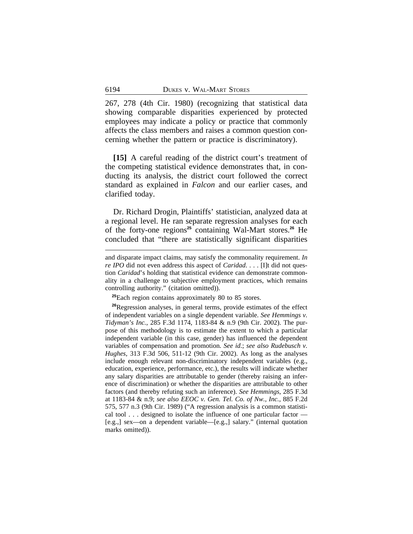267, 278 (4th Cir. 1980) (recognizing that statistical data showing comparable disparities experienced by protected employees may indicate a policy or practice that commonly affects the class members and raises a common question concerning whether the pattern or practice is discriminatory).

**[15]** A careful reading of the district court's treatment of the competing statistical evidence demonstrates that, in conducting its analysis, the district court followed the correct standard as explained in *Falcon* and our earlier cases, and clarified today.

Dr. Richard Drogin, Plaintiffs' statistician, analyzed data at a regional level. He ran separate regression analyses for each of the forty-one regions**<sup>25</sup>** containing Wal-Mart stores.**<sup>26</sup>** He concluded that "there are statistically significant disparities

<sup>25</sup>Each region contains approximately 80 to 85 stores.

**<sup>26</sup>**Regression analyses, in general terms, provide estimates of the effect of independent variables on a single dependent variable. *See Hemmings v. Tidyman's Inc.*, 285 F.3d 1174, 1183-84 & n.9 (9th Cir. 2002). The purpose of this methodology is to estimate the extent to which a particular independent variable (in this case, gender) has influenced the dependent variables of compensation and promotion. *See id*.; *see also Rudebusch v. Hughes*, 313 F.3d 506, 511-12 (9th Cir. 2002). As long as the analyses include enough relevant non-discriminatory independent variables (e.g., education, experience, performance, etc.), the results will indicate whether any salary disparities are attributable to gender (thereby raising an inference of discrimination) or whether the disparities are attributable to other factors (and thereby refuting such an inference). *See Hemmings*, 285 F.3d at 1183-84 & n.9; *see also EEOC v. Gen. Tel. Co. of Nw., Inc.*, 885 F.2d 575, 577 n.3 (9th Cir. 1989) ("A regression analysis is a common statistical tool . . . designed to isolate the influence of one particular factor — [e.g.,] sex—on a dependent variable—[e.g.,] salary." (internal quotation marks omitted)).

and disparate impact claims, may satisfy the commonality requirement. *In re IPO* did not even address this aspect of *Caridad*. . . . [I]t did not question *Caridad*'s holding that statistical evidence can demonstrate commonality in a challenge to subjective employment practices, which remains controlling authority." (citation omitted)).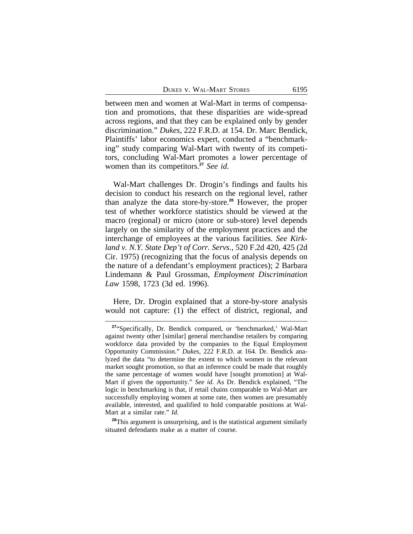between men and women at Wal-Mart in terms of compensation and promotions, that these disparities are wide-spread across regions, and that they can be explained only by gender discrimination." *Dukes*, 222 F.R.D. at 154. Dr. Marc Bendick, Plaintiffs' labor economics expert, conducted a "benchmarking" study comparing Wal-Mart with twenty of its competitors, concluding Wal-Mart promotes a lower percentage of women than its competitors.**<sup>27</sup>** *See id*.

Wal-Mart challenges Dr. Drogin's findings and faults his decision to conduct his research on the regional level, rather than analyze the data store-by-store.**<sup>28</sup>** However, the proper test of whether workforce statistics should be viewed at the macro (regional) or micro (store or sub-store) level depends largely on the similarity of the employment practices and the interchange of employees at the various facilities. *See Kirkland v. N.Y. State Dep't of Corr. Servs.*, 520 F.2d 420, 425 (2d Cir. 1975) (recognizing that the focus of analysis depends on the nature of a defendant's employment practices); 2 Barbara Lindemann & Paul Grossman, *Employment Discrimination Law* 1598, 1723 (3d ed. 1996).

Here, Dr. Drogin explained that a store-by-store analysis would not capture: (1) the effect of district, regional, and

**<sup>27</sup>**"Specifically, Dr. Bendick compared, or 'benchmarked,' Wal-Mart against twenty other [similar] general merchandise retailers by comparing workforce data provided by the companies to the Equal Employment Opportunity Commission." *Dukes*, 222 F.R.D. at 164. Dr. Bendick analyzed the data "to determine the extent to which women in the relevant market sought promotion, so that an inference could be made that roughly the same percentage of women would have [sought promotion] at Wal-Mart if given the opportunity." *See id.* As Dr. Bendick explained, "The logic in benchmarking is that, if retail chains comparable to Wal-Mart are successfully employing women at some rate, then women are presumably available, interested, and qualified to hold comparable positions at Wal-Mart at a similar rate." *Id.* 

**<sup>28</sup>**This argument is unsurprising, and is the statistical argument similarly situated defendants make as a matter of course.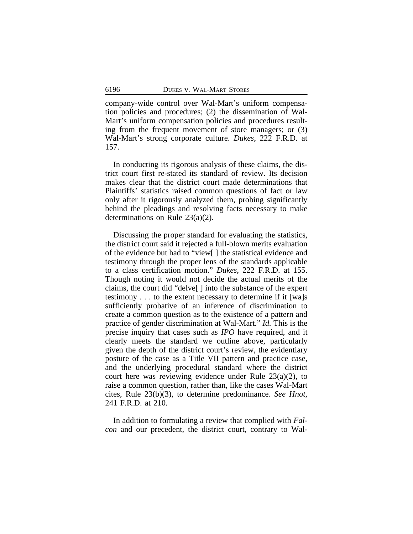company-wide control over Wal-Mart's uniform compensation policies and procedures; (2) the dissemination of Wal-Mart's uniform compensation policies and procedures resulting from the frequent movement of store managers; or (3) Wal-Mart's strong corporate culture. *Dukes*, 222 F.R.D. at 157.

In conducting its rigorous analysis of these claims, the district court first re-stated its standard of review. Its decision makes clear that the district court made determinations that Plaintiffs' statistics raised common questions of fact or law only after it rigorously analyzed them, probing significantly behind the pleadings and resolving facts necessary to make determinations on Rule 23(a)(2).

Discussing the proper standard for evaluating the statistics, the district court said it rejected a full-blown merits evaluation of the evidence but had to "view[ ] the statistical evidence and testimony through the proper lens of the standards applicable to a class certification motion." *Dukes*, 222 F.R.D. at 155. Though noting it would not decide the actual merits of the claims, the court did "delve[ ] into the substance of the expert testimony . . . to the extent necessary to determine if it [wa]s sufficiently probative of an inference of discrimination to create a common question as to the existence of a pattern and practice of gender discrimination at Wal-Mart." *Id.* This is the precise inquiry that cases such as *IPO* have required, and it clearly meets the standard we outline above, particularly given the depth of the district court's review, the evidentiary posture of the case as a Title VII pattern and practice case, and the underlying procedural standard where the district court here was reviewing evidence under Rule 23(a)(2), to raise a common question, rather than, like the cases Wal-Mart cites, Rule 23(b)(3), to determine predominance. *See Hnot*, 241 F.R.D. at 210.

In addition to formulating a review that complied with *Falcon* and our precedent, the district court, contrary to Wal-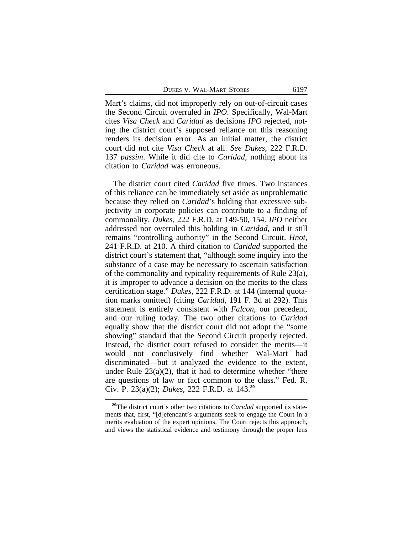DUKES V. WAL-MART STORES 6197

Mart's claims, did not improperly rely on out-of-circuit cases the Second Circuit overruled in *IPO*. Specifically, Wal-Mart cites *Visa Check* and *Caridad* as decisions *IPO* rejected, noting the district court's supposed reliance on this reasoning renders its decision error. As an initial matter, the district court did not cite *Visa Check* at all. *See Dukes*, 222 F.R.D. 137 *passim*. While it did cite to *Caridad*, nothing about its citation to *Caridad* was erroneous.

The district court cited *Caridad* five times. Two instances of this reliance can be immediately set aside as unproblematic because they relied on *Caridad*'s holding that excessive subjectivity in corporate policies can contribute to a finding of commonality. *Dukes*, 222 F.R.D. at 149-50, 154. *IPO* neither addressed nor overruled this holding in *Caridad*, and it still remains "controlling authority" in the Second Circuit. *Hnot*, 241 F.R.D. at 210. A third citation to *Caridad* supported the district court's statement that, "although some inquiry into the substance of a case may be necessary to ascertain satisfaction of the commonality and typicality requirements of Rule 23(a), it is improper to advance a decision on the merits to the class certification stage." *Dukes*, 222 F.R.D. at 144 (internal quotation marks omitted) (citing *Caridad*, 191 F. 3d at 292). This statement is entirely consistent with *Falcon*, our precedent, and our ruling today. The two other citations to *Caridad* equally show that the district court did not adopt the "some showing" standard that the Second Circuit properly rejected. Instead, the district court refused to consider the merits—it would not conclusively find whether Wal-Mart had discriminated—but it analyzed the evidence to the extent, under Rule  $23(a)(2)$ , that it had to determine whether "there" are questions of law or fact common to the class." Fed. R. Civ. P. 23(a)(2); *Dukes*, 222 F.R.D. at 143.**<sup>29</sup>**

**<sup>29</sup>**The district court's other two citations to *Caridad* supported its statements that, first, "[d]efendant's arguments seek to engage the Court in a merits evaluation of the expert opinions. The Court rejects this approach, and views the statistical evidence and testimony through the proper lens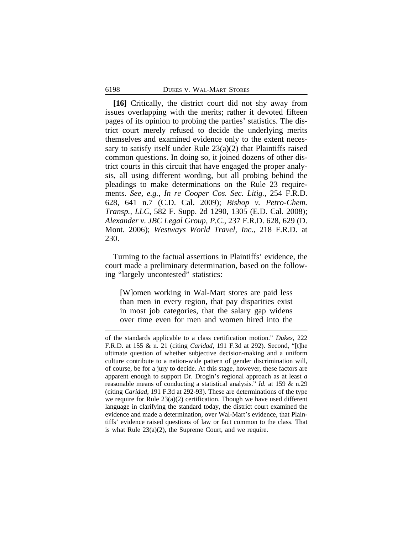**[16]** Critically, the district court did not shy away from issues overlapping with the merits; rather it devoted fifteen pages of its opinion to probing the parties' statistics. The district court merely refused to decide the underlying merits themselves and examined evidence only to the extent necessary to satisfy itself under Rule  $23(a)(2)$  that Plaintiffs raised common questions. In doing so, it joined dozens of other district courts in this circuit that have engaged the proper analysis, all using different wording, but all probing behind the pleadings to make determinations on the Rule 23 requirements. *See, e.g.*, *In re Cooper Cos. Sec. Litig.*, 254 F.R.D. 628, 641 n.7 (C.D. Cal. 2009); *Bishop v. Petro-Chem. Transp., LLC*, 582 F. Supp. 2d 1290, 1305 (E.D. Cal. 2008); *Alexander v. JBC Legal Group, P.C.*, 237 F.R.D. 628, 629 (D. Mont. 2006); *Westways World Travel, Inc.*, 218 F.R.D. at 230.

Turning to the factual assertions in Plaintiffs' evidence, the court made a preliminary determination, based on the following "largely uncontested" statistics:

[W]omen working in Wal-Mart stores are paid less than men in every region, that pay disparities exist in most job categories, that the salary gap widens over time even for men and women hired into the

of the standards applicable to a class certification motion." *Dukes*, 222 F.R.D. at 155 & n. 21 (citing *Caridad*, 191 F.3d at 292). Second, "[t]he ultimate question of whether subjective decision-making and a uniform culture contribute to a nation-wide pattern of gender discrimination will, of course, be for a jury to decide. At this stage, however, these factors are apparent enough to support Dr. Drogin's regional approach as at least *a* reasonable means of conducting a statistical analysis." *Id.* at 159 & n.29 (citing *Caridad*, 191 F.3d at 292-93). These are determinations of the type we require for Rule 23(a)(2) certification. Though we have used different language in clarifying the standard today, the district court examined the evidence and made a determination, over Wal-Mart's evidence, that Plaintiffs' evidence raised questions of law or fact common to the class. That is what Rule 23(a)(2), the Supreme Court, and we require.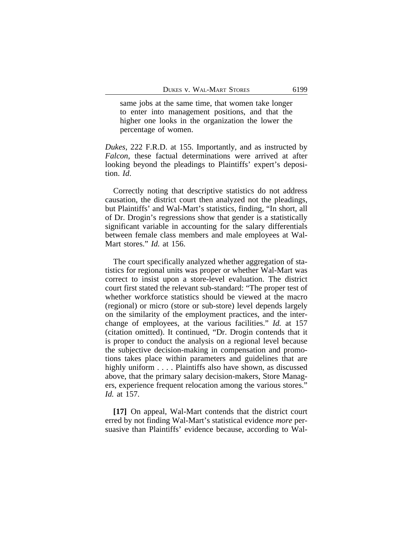same jobs at the same time, that women take longer to enter into management positions, and that the higher one looks in the organization the lower the percentage of women.

*Dukes*, 222 F.R.D. at 155. Importantly, and as instructed by *Falcon*, these factual determinations were arrived at after looking beyond the pleadings to Plaintiffs' expert's deposition. *Id*.

Correctly noting that descriptive statistics do not address causation, the district court then analyzed not the pleadings, but Plaintiffs' and Wal-Mart's statistics, finding, "In short, all of Dr. Drogin's regressions show that gender is a statistically significant variable in accounting for the salary differentials between female class members and male employees at Wal-Mart stores." *Id.* at 156.

The court specifically analyzed whether aggregation of statistics for regional units was proper or whether Wal-Mart was correct to insist upon a store-level evaluation. The district court first stated the relevant sub-standard: "The proper test of whether workforce statistics should be viewed at the macro (regional) or micro (store or sub-store) level depends largely on the similarity of the employment practices, and the interchange of employees, at the various facilities." *Id.* at 157 (citation omitted). It continued, "Dr. Drogin contends that it is proper to conduct the analysis on a regional level because the subjective decision-making in compensation and promotions takes place within parameters and guidelines that are highly uniform . . . . Plaintiffs also have shown, as discussed above, that the primary salary decision-makers, Store Managers, experience frequent relocation among the various stores." *Id.* at 157.

**[17]** On appeal, Wal-Mart contends that the district court erred by not finding Wal-Mart's statistical evidence *more* persuasive than Plaintiffs' evidence because, according to Wal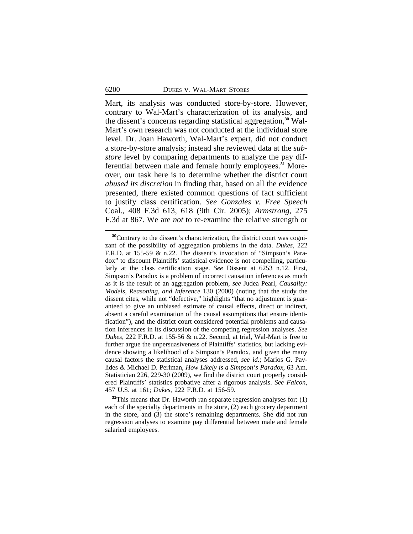Mart, its analysis was conducted store-by-store. However, contrary to Wal-Mart's characterization of its analysis, and the dissent's concerns regarding statistical aggregation,**30** Wal-Mart's own research was not conducted at the individual store level. Dr. Joan Haworth, Wal-Mart's expert, did not conduct a store-by-store analysis; instead she reviewed data at the *substore* level by comparing departments to analyze the pay differential between male and female hourly employees.**31** Moreover, our task here is to determine whether the district court *abused its discretion* in finding that, based on all the evidence presented, there existed common questions of fact sufficient to justify class certification. *See Gonzales v. Free Speech* Coal., 408 F.3d 613, 618 (9th Cir. 2005); *Armstrong*, 275 F.3d at 867. We are *not* to re-examine the relative strength or

**<sup>30</sup>**Contrary to the dissent's characterization, the district court was cognizant of the possibility of aggregation problems in the data. *Dukes*, 222 F.R.D. at 155-59 & n.22. The dissent's invocation of "Simpson's Paradox" to discount Plaintiffs' statistical evidence is not compelling, particularly at the class certification stage. *See* Dissent at 6253 n.12. First, Simpson's Paradox is a problem of incorrect causation inferences as much as it is the result of an aggregation problem, *see* Judea Pearl, *Causality: Models, Reasoning, and Inference* 130 (2000) (noting that the study the dissent cites, while not "defective," highlights "that no adjustment is guaranteed to give an unbiased estimate of causal effects, direct or indirect, absent a careful examination of the causal assumptions that ensure identification"), and the district court considered potential problems and causation inferences in its discussion of the competing regression analyses. *See Dukes*, 222 F.R.D. at 155-56 & n.22. Second, at trial, Wal-Mart is free to further argue the unpersuasiveness of Plaintiffs' statistics, but lacking evidence showing a likelihood of a Simpson's Paradox, and given the many causal factors the statistical analyses addressed, *see id.*; Marios G. Pavlides & Michael D. Perlman, *How Likely is a Simpson's Paradox*, 63 Am. Statistician 226, 229-30 (2009), we find the district court properly considered Plaintiffs' statistics probative after a rigorous analysis. *See Falcon*, 457 U.S. at 161; *Dukes*, 222 F.R.D. at 156-59.

**<sup>31</sup>**This means that Dr. Haworth ran separate regression analyses for: (1) each of the specialty departments in the store, (2) each grocery department in the store, and (3) the store's remaining departments. She did not run regression analyses to examine pay differential between male and female salaried employees.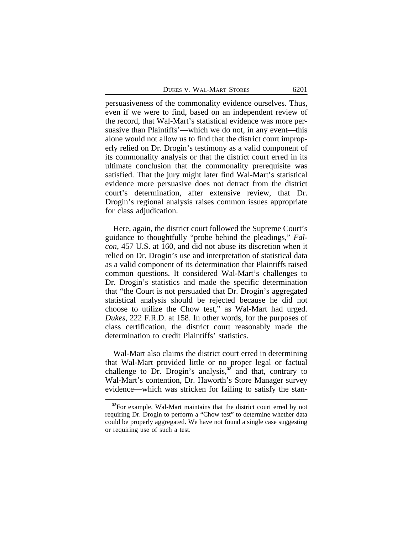| DUKES V. WAL-MART STORES |  |  |  | 6201 |
|--------------------------|--|--|--|------|
|--------------------------|--|--|--|------|

persuasiveness of the commonality evidence ourselves. Thus, even if we were to find, based on an independent review of the record, that Wal-Mart's statistical evidence was more persuasive than Plaintiffs'—which we do not, in any event—this alone would not allow us to find that the district court improperly relied on Dr. Drogin's testimony as a valid component of its commonality analysis or that the district court erred in its ultimate conclusion that the commonality prerequisite was satisfied. That the jury might later find Wal-Mart's statistical evidence more persuasive does not detract from the district court's determination, after extensive review, that Dr. Drogin's regional analysis raises common issues appropriate for class adjudication.

Here, again, the district court followed the Supreme Court's guidance to thoughtfully "probe behind the pleadings," *Falcon*, 457 U.S. at 160, and did not abuse its discretion when it relied on Dr. Drogin's use and interpretation of statistical data as a valid component of its determination that Plaintiffs raised common questions. It considered Wal-Mart's challenges to Dr. Drogin's statistics and made the specific determination that "the Court is not persuaded that Dr. Drogin's aggregated statistical analysis should be rejected because he did not choose to utilize the Chow test," as Wal-Mart had urged. *Dukes*, 222 F.R.D. at 158. In other words, for the purposes of class certification, the district court reasonably made the determination to credit Plaintiffs' statistics.

Wal-Mart also claims the district court erred in determining that Wal-Mart provided little or no proper legal or factual challenge to Dr. Drogin's analysis,**<sup>32</sup>** and that, contrary to Wal-Mart's contention, Dr. Haworth's Store Manager survey evidence—which was stricken for failing to satisfy the stan-

**<sup>32</sup>**For example, Wal-Mart maintains that the district court erred by not requiring Dr. Drogin to perform a "Chow test" to determine whether data could be properly aggregated. We have not found a single case suggesting or requiring use of such a test.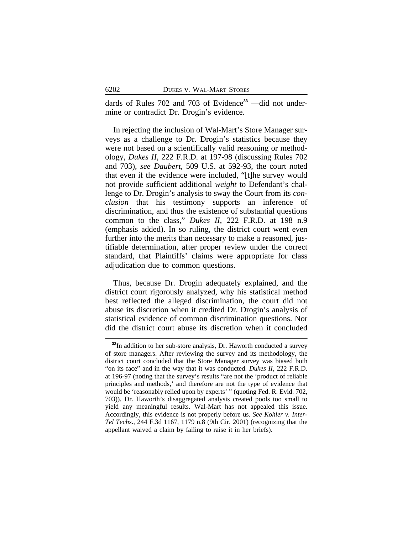dards of Rules 702 and 703 of Evidence**33** —did not undermine or contradict Dr. Drogin's evidence.

In rejecting the inclusion of Wal-Mart's Store Manager surveys as a challenge to Dr. Drogin's statistics because they were not based on a scientifically valid reasoning or methodology, *Dukes II*, 222 F.R.D. at 197-98 (discussing Rules 702 and 703), *see Daubert*, 509 U.S. at 592-93, the court noted that even if the evidence were included, "[t]he survey would not provide sufficient additional *weight* to Defendant's challenge to Dr. Drogin's analysis to sway the Court from its *conclusion* that his testimony supports an inference of discrimination, and thus the existence of substantial questions common to the class," *Dukes II*, 222 F.R.D. at 198 n.9 (emphasis added). In so ruling, the district court went even further into the merits than necessary to make a reasoned, justifiable determination, after proper review under the correct standard, that Plaintiffs' claims were appropriate for class adjudication due to common questions.

Thus, because Dr. Drogin adequately explained, and the district court rigorously analyzed, why his statistical method best reflected the alleged discrimination, the court did not abuse its discretion when it credited Dr. Drogin's analysis of statistical evidence of common discrimination questions. Nor did the district court abuse its discretion when it concluded

**<sup>33</sup>**In addition to her sub-store analysis, Dr. Haworth conducted a survey of store managers. After reviewing the survey and its methodology, the district court concluded that the Store Manager survey was biased both "on its face" and in the way that it was conducted. *Dukes II*, 222 F.R.D. at 196-97 (noting that the survey's results "are not the 'product of reliable principles and methods,' and therefore are not the type of evidence that would be 'reasonably relied upon by experts' " (quoting Fed. R. Evid. 702, 703)). Dr. Haworth's disaggregated analysis created pools too small to yield any meaningful results. Wal-Mart has not appealed this issue. Accordingly, this evidence is not properly before us. *See Kohler v. Inter-Tel Techs*., 244 F.3d 1167, 1179 n.8 (9th Cir. 2001) (recognizing that the appellant waived a claim by failing to raise it in her briefs).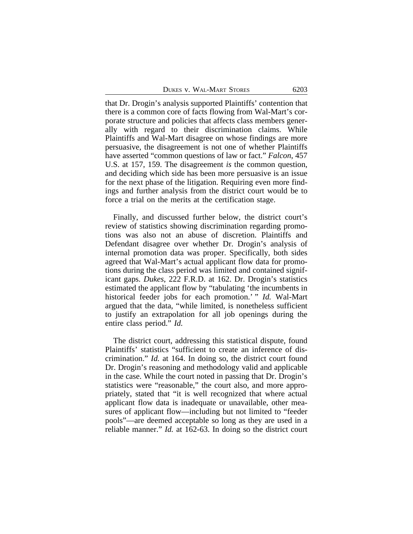that Dr. Drogin's analysis supported Plaintiffs' contention that there is a common core of facts flowing from Wal-Mart's corporate structure and policies that affects class members generally with regard to their discrimination claims. While Plaintiffs and Wal-Mart disagree on whose findings are more persuasive, the disagreement is not one of whether Plaintiffs have asserted "common questions of law or fact." *Falcon*, 457 U.S. at 157, 159. The disagreement *is* the common question, and deciding which side has been more persuasive is an issue for the next phase of the litigation. Requiring even more findings and further analysis from the district court would be to force a trial on the merits at the certification stage.

Finally, and discussed further below, the district court's review of statistics showing discrimination regarding promotions was also not an abuse of discretion. Plaintiffs and Defendant disagree over whether Dr. Drogin's analysis of internal promotion data was proper. Specifically, both sides agreed that Wal-Mart's actual applicant flow data for promotions during the class period was limited and contained significant gaps. *Dukes*, 222 F.R.D. at 162. Dr. Drogin's statistics estimated the applicant flow by "tabulating 'the incumbents in historical feeder jobs for each promotion.' " *Id.* Wal-Mart argued that the data, "while limited, is nonetheless sufficient to justify an extrapolation for all job openings during the entire class period." *Id.* 

The district court, addressing this statistical dispute, found Plaintiffs' statistics "sufficient to create an inference of discrimination." *Id.* at 164. In doing so, the district court found Dr. Drogin's reasoning and methodology valid and applicable in the case. While the court noted in passing that Dr. Drogin's statistics were "reasonable," the court also, and more appropriately, stated that "it is well recognized that where actual applicant flow data is inadequate or unavailable, other measures of applicant flow—including but not limited to "feeder pools"—are deemed acceptable so long as they are used in a reliable manner." *Id.* at 162-63. In doing so the district court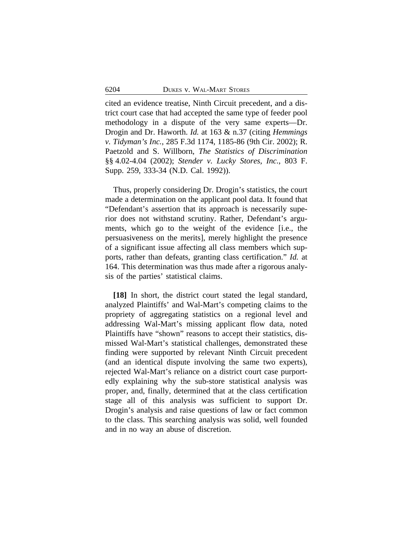cited an evidence treatise, Ninth Circuit precedent, and a district court case that had accepted the same type of feeder pool methodology in a dispute of the very same experts—Dr. Drogin and Dr. Haworth. *Id.* at 163 & n.37 (citing *Hemmings v. Tidyman's Inc.*, 285 F.3d 1174, 1185-86 (9th Cir. 2002); R. Paetzold and S. Willborn, *The Statistics of Discrimination* §§ 4.02-4.04 (2002); *Stender v. Lucky Stores, Inc.*, 803 F. Supp. 259, 333-34 (N.D. Cal. 1992)).

Thus, properly considering Dr. Drogin's statistics, the court made a determination on the applicant pool data. It found that "Defendant's assertion that its approach is necessarily superior does not withstand scrutiny. Rather, Defendant's arguments, which go to the weight of the evidence [i.e., the persuasiveness on the merits], merely highlight the presence of a significant issue affecting all class members which supports, rather than defeats, granting class certification." *Id.* at 164. This determination was thus made after a rigorous analysis of the parties' statistical claims.

**[18]** In short, the district court stated the legal standard, analyzed Plaintiffs' and Wal-Mart's competing claims to the propriety of aggregating statistics on a regional level and addressing Wal-Mart's missing applicant flow data, noted Plaintiffs have "shown" reasons to accept their statistics, dismissed Wal-Mart's statistical challenges, demonstrated these finding were supported by relevant Ninth Circuit precedent (and an identical dispute involving the same two experts), rejected Wal-Mart's reliance on a district court case purportedly explaining why the sub-store statistical analysis was proper, and, finally, determined that at the class certification stage all of this analysis was sufficient to support Dr. Drogin's analysis and raise questions of law or fact common to the class. This searching analysis was solid, well founded and in no way an abuse of discretion.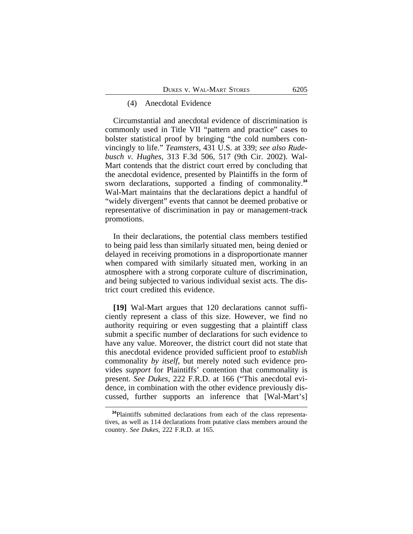# (4) Anecdotal Evidence

Circumstantial and anecdotal evidence of discrimination is commonly used in Title VII "pattern and practice" cases to bolster statistical proof by bringing "the cold numbers convincingly to life." *Teamsters*, 431 U.S. at 339; *see also Rudebusch v. Hughes*, 313 F.3d 506, 517 (9th Cir. 2002). Wal-Mart contends that the district court erred by concluding that the anecdotal evidence, presented by Plaintiffs in the form of sworn declarations, supported a finding of commonality.**<sup>34</sup>** Wal-Mart maintains that the declarations depict a handful of "widely divergent" events that cannot be deemed probative or representative of discrimination in pay or management-track promotions.

In their declarations, the potential class members testified to being paid less than similarly situated men, being denied or delayed in receiving promotions in a disproportionate manner when compared with similarly situated men, working in an atmosphere with a strong corporate culture of discrimination, and being subjected to various individual sexist acts. The district court credited this evidence.

**[19]** Wal-Mart argues that 120 declarations cannot sufficiently represent a class of this size. However, we find no authority requiring or even suggesting that a plaintiff class submit a specific number of declarations for such evidence to have any value. Moreover, the district court did not state that this anecdotal evidence provided sufficient proof to *establish* commonality *by itself*, but merely noted such evidence provides *support* for Plaintiffs' contention that commonality is present. *See Dukes*, 222 F.R.D. at 166 ("This anecdotal evidence, in combination with the other evidence previously discussed, further supports an inference that [Wal-Mart's]

**<sup>34</sup>**Plaintiffs submitted declarations from each of the class representatives, as well as 114 declarations from putative class members around the country. *See Dukes*, 222 F.R.D. at 165.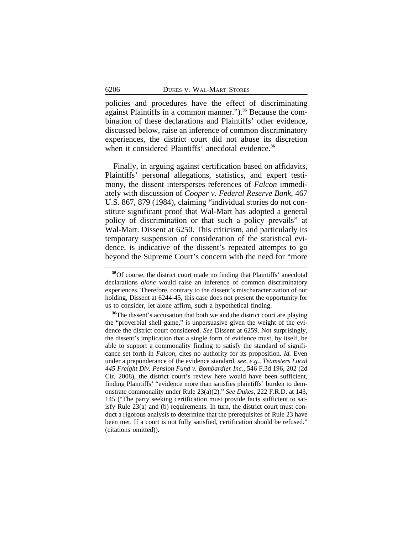policies and procedures have the effect of discriminating against Plaintiffs in a common manner.").**35** Because the combination of these declarations and Plaintiffs' other evidence, discussed below, raise an inference of common discriminatory experiences, the district court did not abuse its discretion when it considered Plaintiffs' anecdotal evidence.**<sup>36</sup>**

Finally, in arguing against certification based on affidavits, Plaintiffs' personal allegations, statistics, and expert testimony, the dissent intersperses references of *Falcon* immediately with discussion of *Cooper v. Federal Reserve Bank*, 467 U.S. 867, 879 (1984), claiming "individual stories do not constitute significant proof that Wal-Mart has adopted a general policy of discrimination or that such a policy prevails" at Wal-Mart. Dissent at 6250. This criticism, and particularly its temporary suspension of consideration of the statistical evidence, is indicative of the dissent's repeated attempts to go beyond the Supreme Court's concern with the need for "more

**<sup>35</sup>**Of course, the district court made no finding that Plaintiffs' anecdotal declarations *alone* would raise an inference of common discriminatory experiences. Therefore, contrary to the dissent's mischaracterization of our holding, Dissent at 6244-45, this case does not present the opportunity for us to consider, let alone affirm, such a hypothetical finding.

**<sup>36</sup>**The dissent's accusation that both we and the district court are playing the "proverbial shell game," is unpersuasive given the weight of the evidence the district court considered. *See* Dissent at 6259. Not surprisingly, the dissent's implication that a single form of evidence must, by itself, be able to support a commonality finding to satisfy the standard of significance set forth in *Falcon*, cites no authority for its proposition. *Id.* Even under a preponderance of the evidence standard, *see, e.g.*, *Teamsters Local 445 Freight Div. Pension Fund v. Bombardier Inc.*, 546 F.3d 196, 202 (2d Cir. 2008), the district court's review here would have been sufficient, finding Plaintiffs' "evidence more than satisfies plaintiffs' burden to demonstrate commonality under Rule 23(a)(2)." *See Dukes*, 222 F.R.D. at 143, 145 ("The party seeking certification must provide facts sufficient to satisfy Rule 23(a) and (b) requirements. In turn, the district court must conduct a rigorous analysis to determine that the prerequisites of Rule 23 have been met. If a court is not fully satisfied, certification should be refused*.*" (citations omitted)).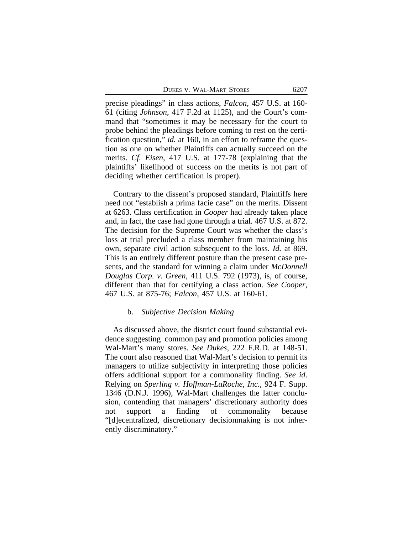DUKES V. WAL-MART STORES 6207

precise pleadings" in class actions, *Falcon*, 457 U.S. at 160- 61 (citing *Johnson*, 417 F.2d at 1125), and the Court's command that "sometimes it may be necessary for the court to probe behind the pleadings before coming to rest on the certification question," *id.* at 160, in an effort to reframe the question as one on whether Plaintiffs can actually succeed on the merits. *Cf. Eisen*, 417 U.S. at 177-78 (explaining that the plaintiffs' likelihood of success on the merits is not part of deciding whether certification is proper).

Contrary to the dissent's proposed standard, Plaintiffs here need not "establish a prima facie case" on the merits. Dissent at 6263. Class certification in *Cooper* had already taken place and, in fact, the case had gone through a trial. 467 U.S. at 872. The decision for the Supreme Court was whether the class's loss at trial precluded a class member from maintaining his own, separate civil action subsequent to the loss. *Id.* at 869. This is an entirely different posture than the present case presents, and the standard for winning a claim under *McDonnell Douglas Corp. v. Green*, 411 U.S. 792 (1973), is, of course, different than that for certifying a class action. *See Cooper*, 467 U.S. at 875-76; *Falcon*, 457 U.S. at 160-61.

## b. *Subjective Decision Making*

As discussed above, the district court found substantial evidence suggesting common pay and promotion policies among Wal-Mart's many stores. *See Dukes*, 222 F.R.D. at 148-51. The court also reasoned that Wal-Mart's decision to permit its managers to utilize subjectivity in interpreting those policies offers additional support for a commonality finding. *See id*. Relying on *Sperling v. Hoffman-LaRoche, Inc.*, 924 F. Supp. 1346 (D.N.J. 1996), Wal-Mart challenges the latter conclusion, contending that managers' discretionary authority does not support a finding of commonality because "[d]ecentralized, discretionary decisionmaking is not inherently discriminatory."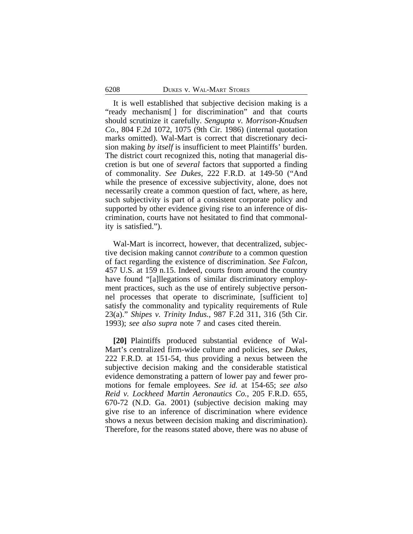It is well established that subjective decision making is a "ready mechanism[ ] for discrimination" and that courts should scrutinize it carefully. *Sengupta v. Morrison-Knudsen Co.*, 804 F.2d 1072, 1075 (9th Cir. 1986) (internal quotation marks omitted). Wal-Mart is correct that discretionary decision making *by itself* is insufficient to meet Plaintiffs' burden. The district court recognized this, noting that managerial discretion is but one of *several* factors that supported a finding of commonality. *See Dukes*, 222 F.R.D. at 149-50 ("And while the presence of excessive subjectivity, alone, does not necessarily create a common question of fact, where, as here, such subjectivity is part of a consistent corporate policy and supported by other evidence giving rise to an inference of discrimination, courts have not hesitated to find that commonality is satisfied.").

Wal-Mart is incorrect, however, that decentralized, subjective decision making cannot *contribute* to a common question of fact regarding the existence of discrimination. *See Falcon*, 457 U.S. at 159 n.15. Indeed, courts from around the country have found "[a]llegations of similar discriminatory employment practices, such as the use of entirely subjective personnel processes that operate to discriminate, [sufficient to] satisfy the commonality and typicality requirements of Rule 23(a)." *Shipes v. Trinity Indus.*, 987 F.2d 311, 316 (5th Cir. 1993); *see also supra* note 7 and cases cited therein.

**[20]** Plaintiffs produced substantial evidence of Wal-Mart's centralized firm-wide culture and policies, *see Dukes*, 222 F.R.D. at 151-54, thus providing a nexus between the subjective decision making and the considerable statistical evidence demonstrating a pattern of lower pay and fewer promotions for female employees. *See id.* at 154-65; *see also Reid v. Lockheed Martin Aeronautics Co.*, 205 F.R.D. 655, 670-72 (N.D. Ga. 2001) (subjective decision making may give rise to an inference of discrimination where evidence shows a nexus between decision making and discrimination). Therefore, for the reasons stated above, there was no abuse of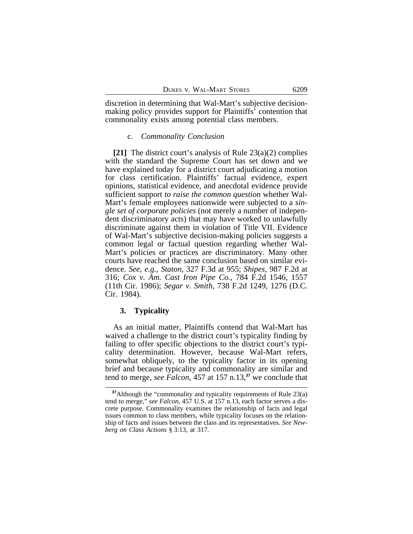discretion in determining that Wal-Mart's subjective decisionmaking policy provides support for Plaintiffs' contention that commonality exists among potential class members.

#### c. *Commonality Conclusion*

**[21]** The district court's analysis of Rule 23(a)(2) complies with the standard the Supreme Court has set down and we have explained today for a district court adjudicating a motion for class certification. Plaintiffs' factual evidence, expert opinions, statistical evidence, and anecdotal evidence provide sufficient support *to raise the common question* whether Wal-Mart's female employees nationwide were subjected to a *single set of corporate policies* (not merely a number of independent discriminatory acts) that may have worked to unlawfully discriminate against them in violation of Title VII. Evidence of Wal-Mart's subjective decision-making policies suggests a common legal or factual question regarding whether Wal-Mart's policies or practices are discriminatory. Many other courts have reached the same conclusion based on similar evidence. *See, e.g.*, *Staton*, 327 F.3d at 955; *Shipes*, 987 F.2d at 316; *Cox v. Am. Cast Iron Pipe Co.*, 784 F.2d 1546, 1557 (11th Cir. 1986); *Segar v. Smith*, 738 F.2d 1249, 1276 (D.C. Cir. 1984).

## **3. Typicality**

As an initial matter, Plaintiffs contend that Wal-Mart has waived a challenge to the district court's typicality finding by failing to offer specific objections to the district court's typicality determination. However, because Wal-Mart refers, somewhat obliquely, to the typicality factor in its opening brief and because typicality and commonality are similar and tend to merge, *see Falcon*, 457 at 157 n.13,**<sup>37</sup>** we conclude that

<sup>&</sup>lt;sup>37</sup>Although the "commonality and typicality requirements of Rule 23(a) tend to merge," *see Falcon*, 457 U.S. at 157 n.13, each factor serves a discrete purpose. Commonality examines the relationship of facts and legal issues common to class members, while typicality focuses on the relationship of facts and issues between the class and its representatives. *See Newberg on Class Actions* § 3:13, at 317.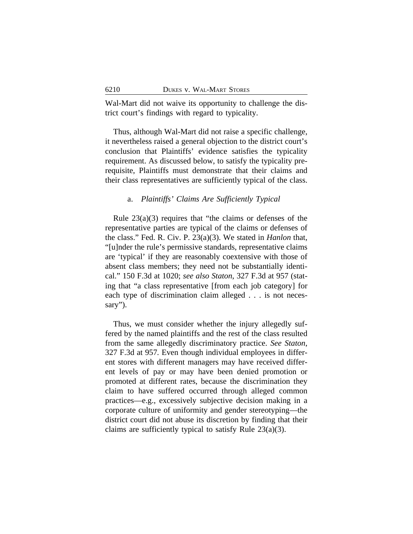Wal-Mart did not waive its opportunity to challenge the district court's findings with regard to typicality.

Thus, although Wal-Mart did not raise a specific challenge, it nevertheless raised a general objection to the district court's conclusion that Plaintiffs' evidence satisfies the typicality requirement. As discussed below, to satisfy the typicality prerequisite, Plaintiffs must demonstrate that their claims and their class representatives are sufficiently typical of the class.

## a. *Plaintiffs' Claims Are Sufficiently Typical*

Rule  $23(a)(3)$  requires that "the claims or defenses of the representative parties are typical of the claims or defenses of the class." Fed. R. Civ. P. 23(a)(3). We stated in *Hanlon* that, "[u]nder the rule's permissive standards, representative claims are 'typical' if they are reasonably coextensive with those of absent class members; they need not be substantially identical." 150 F.3d at 1020; *see also Staton*, 327 F.3d at 957 (stating that "a class representative [from each job category] for each type of discrimination claim alleged . . . is not necessary").

Thus, we must consider whether the injury allegedly suffered by the named plaintiffs and the rest of the class resulted from the same allegedly discriminatory practice. *See Staton*, 327 F.3d at 957*.* Even though individual employees in different stores with different managers may have received different levels of pay or may have been denied promotion or promoted at different rates, because the discrimination they claim to have suffered occurred through alleged common practices—e.g., excessively subjective decision making in a corporate culture of uniformity and gender stereotyping—the district court did not abuse its discretion by finding that their claims are sufficiently typical to satisfy Rule  $23(a)(3)$ .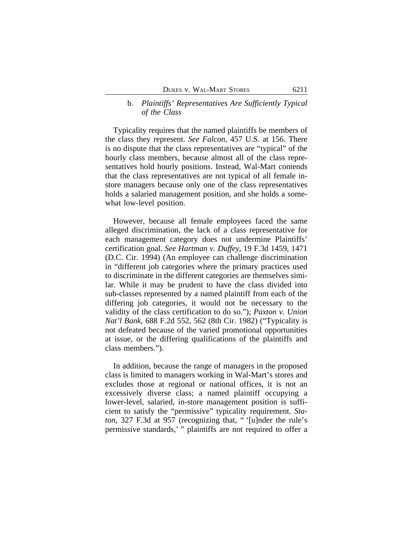# b. *Plaintiffs' Representatives Are Sufficiently Typical of the Class*

Typicality requires that the named plaintiffs be members of the class they represent. *See Falcon*, 457 U.S. at 156. There is no dispute that the class representatives are "typical" of the hourly class members, because almost all of the class representatives hold hourly positions. Instead, Wal-Mart contends that the class representatives are not typical of all female instore managers because only one of the class representatives holds a salaried management position, and she holds a somewhat low-level position.

However, because all female employees faced the same alleged discrimination, the lack of a class representative for each management category does not undermine Plaintiffs' certification goal. *See Hartman v. Duffey*, 19 F.3d 1459, 1471 (D.C. Cir. 1994) (An employee can challenge discrimination in "different job categories where the primary practices used to discriminate in the different categories are themselves similar. While it may be prudent to have the class divided into sub-classes represented by a named plaintiff from each of the differing job categories, it would not be necessary to the validity of the class certification to do so."); *Paxton v. Union Nat'l Bank*, 688 F.2d 552, 562 (8th Cir. 1982) ("Typicality is not defeated because of the varied promotional opportunities at issue, or the differing qualifications of the plaintiffs and class members.").

In addition, because the range of managers in the proposed class is limited to managers working in Wal-Mart's stores and excludes those at regional or national offices, it is not an excessively diverse class; a named plaintiff occupying a lower-level, salaried, in-store management position is sufficient to satisfy the "permissive" typicality requirement. *Staton*, 327 F.3d at 957 (recognizing that, " '[u]nder the rule's permissive standards,' " plaintiffs are not required to offer a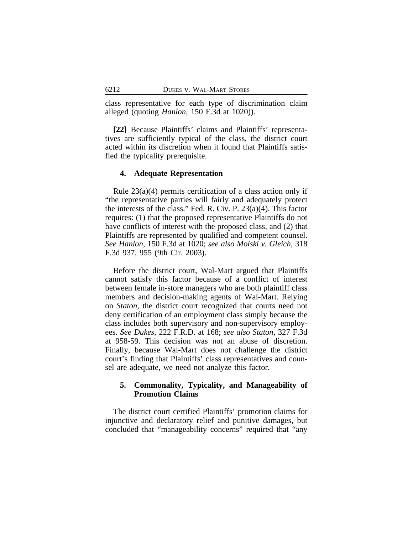class representative for each type of discrimination claim alleged (quoting *Hanlon*, 150 F.3d at 1020)).

**[22]** Because Plaintiffs' claims and Plaintiffs' representatives are sufficiently typical of the class, the district court acted within its discretion when it found that Plaintiffs satisfied the typicality prerequisite.

## **4. Adequate Representation**

Rule  $23(a)(4)$  permits certification of a class action only if "the representative parties will fairly and adequately protect the interests of the class." Fed. R. Civ. P. 23(a)(4). This factor requires: (1) that the proposed representative Plaintiffs do not have conflicts of interest with the proposed class, and (2) that Plaintiffs are represented by qualified and competent counsel. *See Hanlon*, 150 F.3d at 1020; *see also Molski v. Gleich*, 318 F.3d 937, 955 (9th Cir. 2003).

Before the district court, Wal-Mart argued that Plaintiffs cannot satisfy this factor because of a conflict of interest between female in-store managers who are both plaintiff class members and decision-making agents of Wal-Mart. Relying on *Staton*, the district court recognized that courts need not deny certification of an employment class simply because the class includes both supervisory and non-supervisory employees. *See Dukes*, 222 F.R.D. at 168; *see also Staton*, 327 F.3d at 958-59. This decision was not an abuse of discretion. Finally, because Wal-Mart does not challenge the district court's finding that Plaintiffs' class representatives and counsel are adequate, we need not analyze this factor.

# **5. Commonality, Typicality, and Manageability of Promotion Claims**

The district court certified Plaintiffs' promotion claims for injunctive and declaratory relief and punitive damages, but concluded that "manageability concerns" required that "any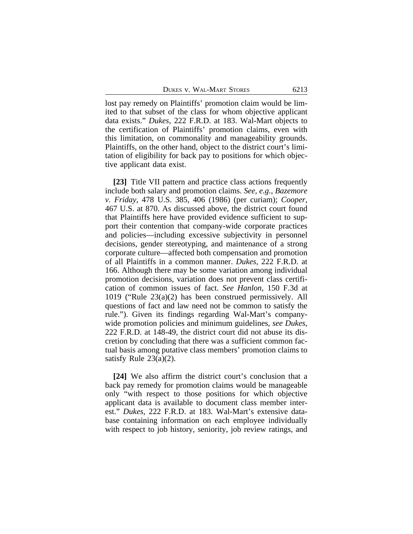DUKES V. WAL-MART STORES 6213

lost pay remedy on Plaintiffs' promotion claim would be limited to that subset of the class for whom objective applicant data exists." *Dukes*, 222 F.R.D. at 183. Wal-Mart objects to the certification of Plaintiffs' promotion claims, even with this limitation, on commonality and manageability grounds. Plaintiffs, on the other hand, object to the district court's limitation of eligibility for back pay to positions for which objective applicant data exist.

**[23]** Title VII pattern and practice class actions frequently include both salary and promotion claims. *See, e.g.*, *Bazemore v. Friday*, 478 U.S. 385, 406 (1986) (per curiam); *Cooper*, 467 U.S. at 870. As discussed above, the district court found that Plaintiffs here have provided evidence sufficient to support their contention that company-wide corporate practices and policies—including excessive subjectivity in personnel decisions, gender stereotyping, and maintenance of a strong corporate culture—affected both compensation and promotion of all Plaintiffs in a common manner. *Dukes*, 222 F.R.D. at 166. Although there may be some variation among individual promotion decisions, variation does not prevent class certification of common issues of fact. *See Hanlon*, 150 F.3d at 1019 ("Rule 23(a)(2) has been construed permissively. All questions of fact and law need not be common to satisfy the rule."). Given its findings regarding Wal-Mart's companywide promotion policies and minimum guidelines, *see Dukes*, 222 F.R.D. at 148-49, the district court did not abuse its discretion by concluding that there was a sufficient common factual basis among putative class members' promotion claims to satisfy Rule  $23(a)(2)$ .

**[24]** We also affirm the district court's conclusion that a back pay remedy for promotion claims would be manageable only "with respect to those positions for which objective applicant data is available to document class member interest." *Dukes*, 222 F.R.D. at 183. Wal-Mart's extensive database containing information on each employee individually with respect to job history, seniority, job review ratings, and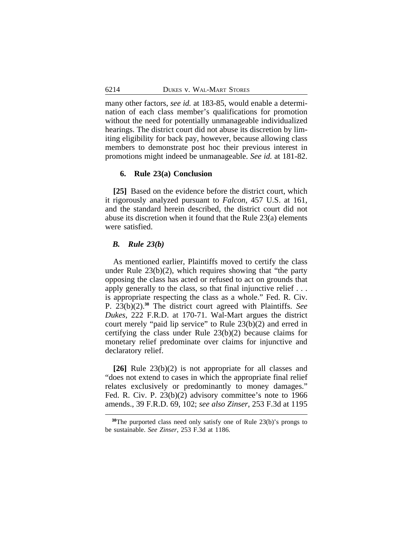many other factors, *see id.* at 183-85, would enable a determination of each class member's qualifications for promotion without the need for potentially unmanageable individualized hearings. The district court did not abuse its discretion by limiting eligibility for back pay, however, because allowing class members to demonstrate post hoc their previous interest in promotions might indeed be unmanageable. *See id.* at 181-82.

## **6. Rule 23(a) Conclusion**

**[25]** Based on the evidence before the district court, which it rigorously analyzed pursuant to *Falcon*, 457 U.S. at 161, and the standard herein described, the district court did not abuse its discretion when it found that the Rule 23(a) elements were satisfied.

## *B. Rule 23(b)*

As mentioned earlier, Plaintiffs moved to certify the class under Rule  $23(b)(2)$ , which requires showing that "the party" opposing the class has acted or refused to act on grounds that apply generally to the class, so that final injunctive relief . . . is appropriate respecting the class as a whole." Fed. R. Civ. P. 23(b)(2).**<sup>38</sup>** The district court agreed with Plaintiffs. *See Dukes*, 222 F.R.D. at 170-71. Wal-Mart argues the district court merely "paid lip service" to Rule 23(b)(2) and erred in certifying the class under Rule 23(b)(2) because claims for monetary relief predominate over claims for injunctive and declaratory relief.

**[26]** Rule 23(b)(2) is not appropriate for all classes and "does not extend to cases in which the appropriate final relief relates exclusively or predominantly to money damages." Fed. R. Civ. P. 23(b)(2) advisory committee's note to 1966 amends., 39 F.R.D. 69, 102; *see also Zinser*, 253 F.3d at 1195

**<sup>38</sup>**The purported class need only satisfy one of Rule 23(b)'s prongs to be sustainable. *See Zinser*, 253 F.3d at 1186.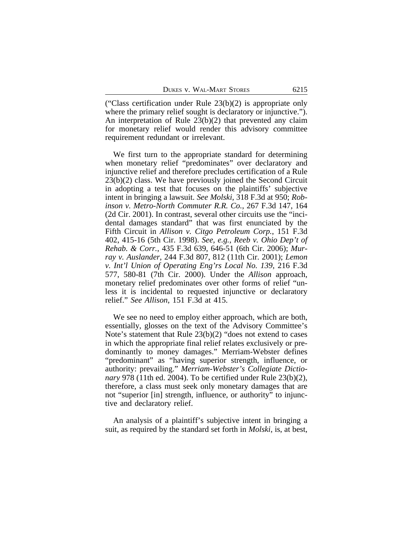("Class certification under Rule 23(b)(2) is appropriate only where the primary relief sought is declaratory or injunctive."). An interpretation of Rule 23(b)(2) that prevented any claim for monetary relief would render this advisory committee requirement redundant or irrelevant.

We first turn to the appropriate standard for determining when monetary relief "predominates" over declaratory and injunctive relief and therefore precludes certification of a Rule 23(b)(2) class. We have previously joined the Second Circuit in adopting a test that focuses on the plaintiffs' subjective intent in bringing a lawsuit. *See Molski*, 318 F.3d at 950; *Robinson v. Metro-North Commuter R.R. Co.*, 267 F.3d 147, 164 (2d Cir. 2001). In contrast, several other circuits use the "incidental damages standard" that was first enunciated by the Fifth Circuit in *Allison v. Citgo Petroleum Corp.*, 151 F.3d 402, 415-16 (5th Cir. 1998). *See, e.g.*, *Reeb v. Ohio Dep't of Rehab. & Corr.*, 435 F.3d 639, 646-51 (6th Cir. 2006); *Murray v. Auslander*, 244 F.3d 807, 812 (11th Cir. 2001); *Lemon v. Int'l Union of Operating Eng'rs Local No. 139*, 216 F.3d 577, 580-81 (7th Cir. 2000). Under the *Allison* approach, monetary relief predominates over other forms of relief "unless it is incidental to requested injunctive or declaratory relief." *See Allison*, 151 F.3d at 415.

We see no need to employ either approach, which are both, essentially, glosses on the text of the Advisory Committee's Note's statement that Rule 23(b)(2) "does not extend to cases in which the appropriate final relief relates exclusively or predominantly to money damages." Merriam-Webster defines "predominant" as "having superior strength, influence, or authority: prevailing." *Merriam-Webster's Collegiate Dictionary* 978 (11th ed. 2004). To be certified under Rule 23(b)(2), therefore, a class must seek only monetary damages that are not "superior [in] strength, influence, or authority" to injunctive and declaratory relief.

An analysis of a plaintiff's subjective intent in bringing a suit, as required by the standard set forth in *Molski*, is, at best,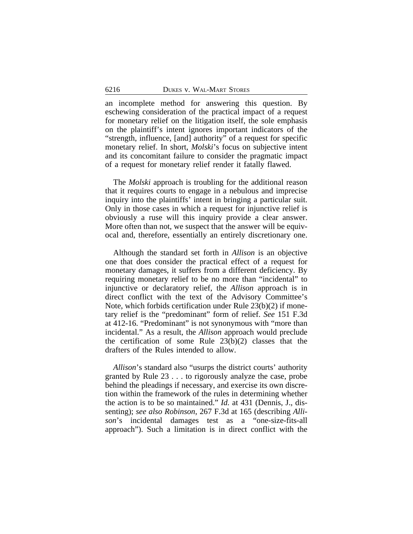an incomplete method for answering this question. By eschewing consideration of the practical impact of a request for monetary relief on the litigation itself, the sole emphasis on the plaintiff's intent ignores important indicators of the "strength, influence, [and] authority" of a request for specific monetary relief. In short, *Molski*'s focus on subjective intent and its concomitant failure to consider the pragmatic impact of a request for monetary relief render it fatally flawed.

The *Molski* approach is troubling for the additional reason that it requires courts to engage in a nebulous and imprecise inquiry into the plaintiffs' intent in bringing a particular suit. Only in those cases in which a request for injunctive relief is obviously a ruse will this inquiry provide a clear answer. More often than not, we suspect that the answer will be equivocal and, therefore, essentially an entirely discretionary one.

Although the standard set forth in *Allison* is an objective one that does consider the practical effect of a request for monetary damages, it suffers from a different deficiency. By requiring monetary relief to be no more than "incidental" to injunctive or declaratory relief, the *Allison* approach is in direct conflict with the text of the Advisory Committee's Note, which forbids certification under Rule 23(b)(2) if monetary relief is the "predominant" form of relief. *See* 151 F.3d at 412-16. "Predominant" is not synonymous with "more than incidental." As a result, the *Allison* approach would preclude the certification of some Rule 23(b)(2) classes that the drafters of the Rules intended to allow.

*Allison*'s standard also "usurps the district courts' authority granted by Rule 23 . . . to rigorously analyze the case, probe behind the pleadings if necessary, and exercise its own discretion within the framework of the rules in determining whether the action is to be so maintained." *Id.* at 431 (Dennis, J., dissenting); *see also Robinson*, 267 F.3d at 165 (describing *Allison*'s incidental damages test as a "one-size-fits-all approach"). Such a limitation is in direct conflict with the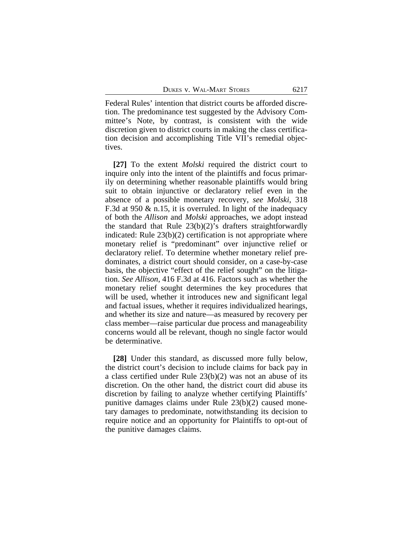Federal Rules' intention that district courts be afforded discretion. The predominance test suggested by the Advisory Committee's Note, by contrast, is consistent with the wide discretion given to district courts in making the class certification decision and accomplishing Title VII's remedial objectives.

**[27]** To the extent *Molski* required the district court to inquire only into the intent of the plaintiffs and focus primarily on determining whether reasonable plaintiffs would bring suit to obtain injunctive or declaratory relief even in the absence of a possible monetary recovery, *see Molski*, 318 F.3d at 950 & n.15, it is overruled. In light of the inadequacy of both the *Allison* and *Molski* approaches, we adopt instead the standard that Rule 23(b)(2)'s drafters straightforwardly indicated: Rule 23(b)(2) certification is not appropriate where monetary relief is "predominant" over injunctive relief or declaratory relief. To determine whether monetary relief predominates, a district court should consider, on a case-by-case basis, the objective "effect of the relief sought" on the litigation. *See Allison*, 416 F.3d at 416. Factors such as whether the monetary relief sought determines the key procedures that will be used, whether it introduces new and significant legal and factual issues, whether it requires individualized hearings, and whether its size and nature—as measured by recovery per class member—raise particular due process and manageability concerns would all be relevant, though no single factor would be determinative.

**[28]** Under this standard, as discussed more fully below, the district court's decision to include claims for back pay in a class certified under Rule 23(b)(2) was not an abuse of its discretion. On the other hand, the district court did abuse its discretion by failing to analyze whether certifying Plaintiffs' punitive damages claims under Rule 23(b)(2) caused monetary damages to predominate, notwithstanding its decision to require notice and an opportunity for Plaintiffs to opt-out of the punitive damages claims.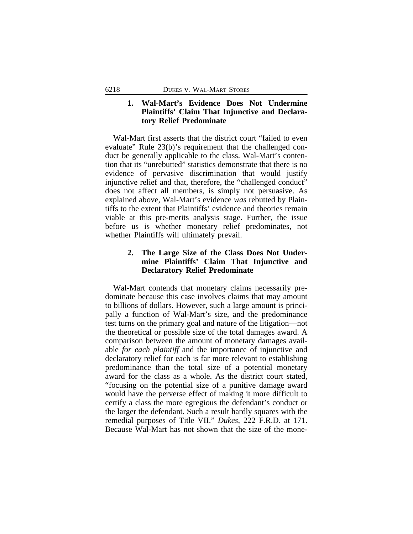### **1. Wal-Mart's Evidence Does Not Undermine Plaintiffs' Claim That Injunctive and Declaratory Relief Predominate**

Wal-Mart first asserts that the district court "failed to even evaluate" Rule 23(b)'s requirement that the challenged conduct be generally applicable to the class. Wal-Mart's contention that its "unrebutted" statistics demonstrate that there is no evidence of pervasive discrimination that would justify injunctive relief and that, therefore, the "challenged conduct" does not affect all members, is simply not persuasive. As explained above, Wal-Mart's evidence *was* rebutted by Plaintiffs to the extent that Plaintiffs' evidence and theories remain viable at this pre-merits analysis stage. Further, the issue before us is whether monetary relief predominates, not whether Plaintiffs will ultimately prevail.

### **2. The Large Size of the Class Does Not Undermine Plaintiffs' Claim That Injunctive and Declaratory Relief Predominate**

Wal-Mart contends that monetary claims necessarily predominate because this case involves claims that may amount to billions of dollars. However, such a large amount is principally a function of Wal-Mart's size, and the predominance test turns on the primary goal and nature of the litigation—not the theoretical or possible size of the total damages award. A comparison between the amount of monetary damages available *for each plaintiff* and the importance of injunctive and declaratory relief for each is far more relevant to establishing predominance than the total size of a potential monetary award for the class as a whole. As the district court stated, "focusing on the potential size of a punitive damage award would have the perverse effect of making it more difficult to certify a class the more egregious the defendant's conduct or the larger the defendant. Such a result hardly squares with the remedial purposes of Title VII." *Dukes*, 222 F.R.D. at 171. Because Wal-Mart has not shown that the size of the mone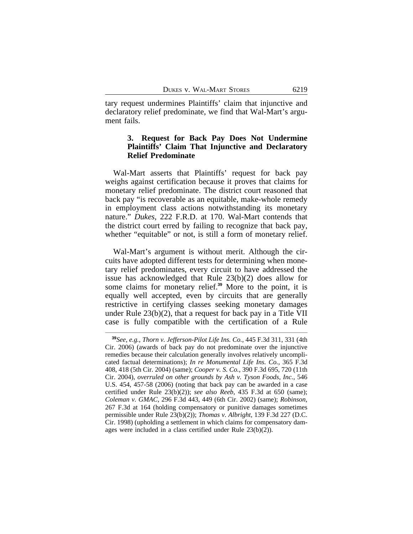tary request undermines Plaintiffs' claim that injunctive and declaratory relief predominate, we find that Wal-Mart's argument fails.

#### **3. Request for Back Pay Does Not Undermine Plaintiffs' Claim That Injunctive and Declaratory Relief Predominate**

Wal-Mart asserts that Plaintiffs' request for back pay weighs against certification because it proves that claims for monetary relief predominate. The district court reasoned that back pay "is recoverable as an equitable, make-whole remedy in employment class actions notwithstanding its monetary nature." *Dukes*, 222 F.R.D. at 170. Wal-Mart contends that the district court erred by failing to recognize that back pay, whether "equitable" or not, is still a form of monetary relief.

Wal-Mart's argument is without merit. Although the circuits have adopted different tests for determining when monetary relief predominates, every circuit to have addressed the issue has acknowledged that Rule 23(b)(2) does allow for some claims for monetary relief.**<sup>39</sup>** More to the point, it is equally well accepted, even by circuits that are generally restrictive in certifying classes seeking monetary damages under Rule  $23(b)(2)$ , that a request for back pay in a Title VII case is fully compatible with the certification of a Rule

**<sup>39</sup>***See, e.g.*, *Thorn v. Jefferson-Pilot Life Ins. Co.*, 445 F.3d 311, 331 (4th Cir. 2006) (awards of back pay do not predominate over the injunctive remedies because their calculation generally involves relatively uncomplicated factual determinations); *In re Monumental Life Ins. Co.*, 365 F.3d 408, 418 (5th Cir. 2004) (same); *Cooper v. S. Co.*, 390 F.3d 695, 720 (11th Cir. 2004), *overruled on other grounds by Ash v. Tyson Foods, Inc.*, 546 U.S. 454, 457-58 (2006) (noting that back pay can be awarded in a case certified under Rule 23(b)(2)); *see also Reeb*, 435 F.3d at 650 (same); *Coleman v. GMAC*, 296 F.3d 443, 449 (6th Cir. 2002) (same); *Robinson*, 267 F.3d at 164 (holding compensatory or punitive damages sometimes permissible under Rule 23(b)(2)); *Thomas v. Albright*, 139 F.3d 227 (D.C. Cir. 1998) (upholding a settlement in which claims for compensatory damages were included in a class certified under Rule 23(b)(2)).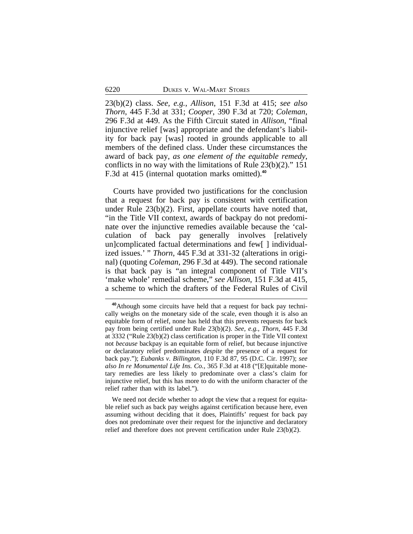23(b)(2) class. *See, e.g.*, *Allison*, 151 F.3d at 415; *see also Thorn*, 445 F.3d at 331; *Cooper*, 390 F.3d at 720; *Coleman*, 296 F.3d at 449. As the Fifth Circuit stated in *Allison*, "final injunctive relief [was] appropriate and the defendant's liability for back pay [was] rooted in grounds applicable to all members of the defined class. Under these circumstances the award of back pay, *as one element of the equitable remedy*, conflicts in no way with the limitations of Rule 23(b)(2)." 151 F.3d at 415 (internal quotation marks omitted).**<sup>40</sup>**

Courts have provided two justifications for the conclusion that a request for back pay is consistent with certification under Rule 23(b)(2). First, appellate courts have noted that, "in the Title VII context, awards of backpay do not predominate over the injunctive remedies available because the 'calculation of back pay generally involves [relatively un]complicated factual determinations and few[ ] individualized issues.' " *Thorn*, 445 F.3d at 331-32 (alterations in original) (quoting *Coleman*, 296 F.3d at 449). The second rationale is that back pay is "an integral component of Title VII's 'make whole' remedial scheme," *see Allison*, 151 F.3d at 415, a scheme to which the drafters of the Federal Rules of Civil

**<sup>40</sup>**Athough some circuits have held that a request for back pay technically weighs on the monetary side of the scale, even though it is also an equitable form of relief, none has held that this prevents requests for back pay from being certified under Rule 23(b)(2). *See, e.g.*, *Thorn*, 445 F.3d at 3332 ("Rule 23(b)(2) class certification is proper in the Title VII context not *because* backpay is an equitable form of relief, but because injunctive or declaratory relief predominates *despite* the presence of a request for back pay."); *Eubanks v. Billington*, 110 F.3d 87, 95 (D.C. Cir. 1997); *see also In re Monumental Life Ins. Co.*, 365 F.3d at 418 ("[E]quitable monetary remedies are less likely to predominate over a class's claim for injunctive relief, but this has more to do with the uniform character of the relief rather than with its label.").

We need not decide whether to adopt the view that a request for equitable relief such as back pay weighs against certification because here, even assuming without deciding that it does, Plaintiffs' request for back pay does not predominate over their request for the injunctive and declaratory relief and therefore does not prevent certification under Rule 23(b)(2).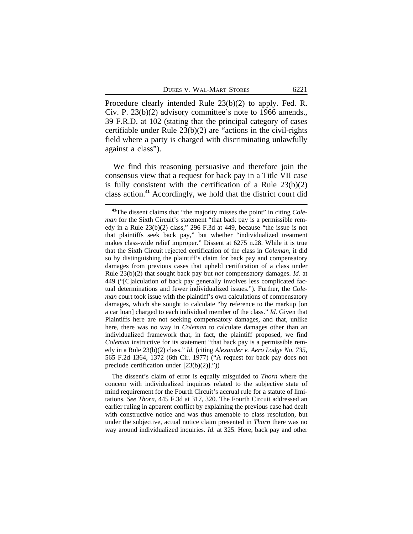Procedure clearly intended Rule 23(b)(2) to apply. Fed. R. Civ. P. 23(b)(2) advisory committee's note to 1966 amends., 39 F.R.D. at 102 (stating that the principal category of cases certifiable under Rule 23(b)(2) are "actions in the civil-rights field where a party is charged with discriminating unlawfully against a class").

We find this reasoning persuasive and therefore join the consensus view that a request for back pay in a Title VII case is fully consistent with the certification of a Rule  $23(b)(2)$ class action.**<sup>41</sup>** Accordingly, we hold that the district court did

The dissent's claim of error is equally misguided to *Thorn* where the concern with individualized inquiries related to the subjective state of mind requirement for the Fourth Circuit's accrual rule for a statute of limitations. *See Thorn*, 445 F.3d at 317, 320. The Fourth Circuit addressed an earlier ruling in apparent conflict by explaining the previous case had dealt with constructive notice and was thus amenable to class resolution, but under the subjective, actual notice claim presented in *Thorn* there was no way around individualized inquiries. *Id.* at 325. Here, back pay and other

**<sup>41</sup>**The dissent claims that "the majority misses the point" in citing *Coleman* for the Sixth Circuit's statement "that back pay is a permissible remedy in a Rule 23(b)(2) class," 296 F.3d at 449, because "the issue is not that plaintiffs seek back pay," but whether "individualized treatment makes class-wide relief improper." Dissent at 6275 n.28. While it is true that the Sixth Circuit rejected certification of the class in *Coleman*, it did so by distinguishing the plaintiff's claim for back pay and compensatory damages from previous cases that upheld certification of a class under Rule 23(b)(2) that sought back pay but *not* compensatory damages. *Id.* at 449 ("[C]alculation of back pay generally involves less complicated factual determinations and fewer individualized issues."). Further, the *Coleman* court took issue with the plaintiff's own calculations of compensatory damages, which she sought to calculate "by reference to the markup [on a car loan] charged to each individual member of the class." *Id.* Given that Plaintiffs here are not seeking compensatory damages, and that, unlike here, there was no way in *Coleman* to calculate damages other than an individualized framework that, in fact, the plaintiff proposed, we find *Coleman* instructive for its statement "that back pay is a permissible remedy in a Rule 23(b)(2) class." *Id.* (citing *Alexander v. Aero Lodge No. 735*, 565 F.2d 1364, 1372 (6th Cir. 1977) ("A request for back pay does not preclude certification under [23(b)(2)]."))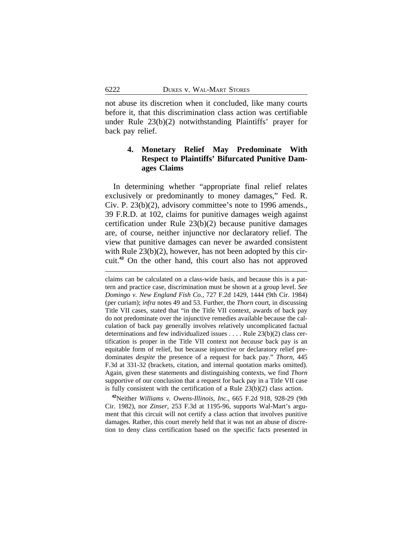not abuse its discretion when it concluded, like many courts before it, that this discrimination class action was certifiable under Rule 23(b)(2) notwithstanding Plaintiffs' prayer for back pay relief.

## **4. Monetary Relief May Predominate With Respect to Plaintiffs' Bifurcated Punitive Damages Claims**

In determining whether "appropriate final relief relates exclusively or predominantly to money damages," Fed. R. Civ. P. 23(b)(2), advisory committee's note to 1996 amends., 39 F.R.D. at 102, claims for punitive damages weigh against certification under Rule 23(b)(2) because punitive damages are, of course, neither injunctive nor declaratory relief. The view that punitive damages can never be awarded consistent with Rule 23(b)(2), however, has not been adopted by this circuit.**<sup>42</sup>** On the other hand, this court also has not approved

**<sup>42</sup>**Neither *Williams v. Owens-Illinois, Inc.*, 665 F.2d 918, 928-29 (9th Cir. 1982), nor *Zinser*, 253 F.3d at 1195-96, supports Wal-Mart's argument that this circuit will not certify a class action that involves punitive damages. Rather, this court merely held that it was not an abuse of discretion to deny class certification based on the specific facts presented in

claims can be calculated on a class-wide basis, and because this is a pattern and practice case, discrimination must be shown at a group level. *See Domingo v. New England Fish Co.*, 727 F.2d 1429, 1444 (9th Cir. 1984) (per curiam); *infra* notes 49 and 53. Further, the *Thorn* court, in discussing Title VII cases, stated that "in the Title VII context, awards of back pay do not predominate over the injunctive remedies available because the calculation of back pay generally involves relatively uncomplicated factual determinations and few individualized issues . . . . Rule 23(b)(2) class certification is proper in the Title VII context not *because* back pay is an equitable form of relief, but because injunctive or declaratory relief predominates *despite* the presence of a request for back pay." *Thorn*, 445 F.3d at 331-32 (brackets, citation, and internal quotation marks omitted). Again, given these statements and distinguishing contexts, we find *Thorn* supportive of our conclusion that a request for back pay in a Title VII case is fully consistent with the certification of a Rule 23(b)(2) class action.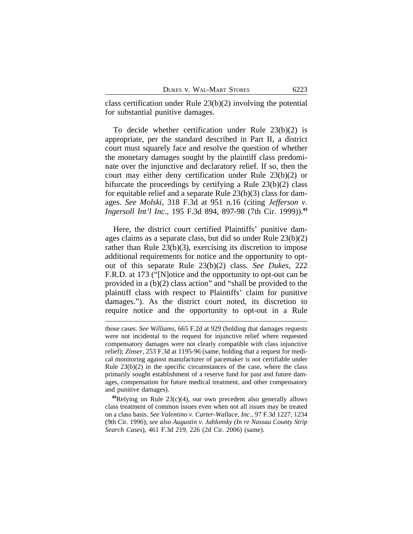class certification under Rule 23(b)(2) involving the potential for substantial punitive damages.

To decide whether certification under Rule 23(b)(2) is appropriate, per the standard described in Part II, a district court must squarely face and resolve the question of whether the monetary damages sought by the plaintiff class predominate over the injunctive and declaratory relief. If so, then the court may either deny certification under Rule 23(b)(2) or bifurcate the proceedings by certifying a Rule 23(b)(2) class for equitable relief and a separate Rule 23(b)(3) class for damages. *See Molski*, 318 F.3d at 951 n.16 (citing *Jefferson v. Ingersoll Int'l Inc.*, 195 F.3d 894, 897-98 (7th Cir. 1999)).**<sup>43</sup>**

Here, the district court certified Plaintiffs' punitive damages claims as a separate class, but did so under Rule 23(b)(2) rather than Rule 23(b)(3), exercising its discretion to impose additional requirements for notice and the opportunity to optout of this separate Rule 23(b)(2) class. *See Dukes*, 222 F.R.D. at 173 ("[N]otice and the opportunity to opt-out can be provided in a (b)(2) class action" and "shall be provided to the plaintiff class with respect to Plaintiffs' claim for punitive damages."). As the district court noted, its discretion to require notice and the opportunity to opt-out in a Rule

those cases. *See Williams*, 665 F.2d at 929 (holding that damages requests were not incidental to the request for injunctive relief where requested compensatory damages were not clearly compatible with class injunctive relief); *Zinser*, 253 F.3d at 1195-96 (same, holding that a request for medical monitoring against manufacturer of pacemaker is not certifiable under Rule  $23(b)(2)$  in the specific circumstances of the case, where the class primarily sought establishment of a reserve fund for past and future damages, compensation for future medical treatment, and other compensatory and punitive damages).

**<sup>43</sup>**Relying on Rule 23(c)(4), our own precedent also generally allows class treatment of common issues even when not all issues may be treated on a class basis. *See Valentino v. Carter-Wallace, Inc.*, 97 F.3d 1227, 1234 (9th Cir. 1996); *see also Augustin v. Jablonsky (In re Nassau County Strip Search Cases*), 461 F.3d 219, 226 (2d Cir. 2006) (same).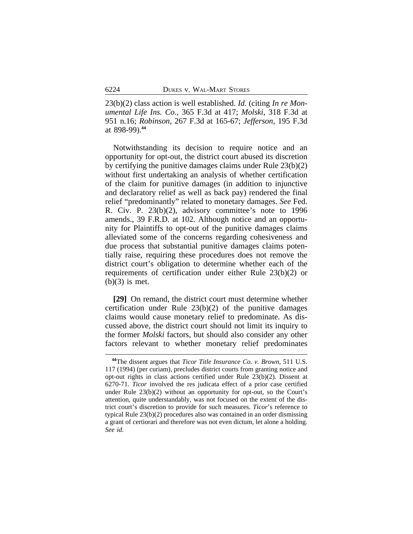23(b)(2) class action is well established. *Id.* (citing *In re Monumental Life Ins. Co.*, 365 F.3d at 417; *Molski*, 318 F.3d at 951 n.16; *Robinson*, 267 F.3d at 165-67; *Jefferson*, 195 F.3d at 898-99).**<sup>44</sup>**

Notwithstanding its decision to require notice and an opportunity for opt-out, the district court abused its discretion by certifying the punitive damages claims under Rule 23(b)(2) without first undertaking an analysis of whether certification of the claim for punitive damages (in addition to injunctive and declaratory relief as well as back pay) rendered the final relief "predominantly" related to monetary damages. *See* Fed. R. Civ. P. 23(b)(2), advisory committee's note to 1996 amends., 39 F.R.D. at 102. Although notice and an opportunity for Plaintiffs to opt-out of the punitive damages claims alleviated some of the concerns regarding cohesiveness and due process that substantial punitive damages claims potentially raise, requiring these procedures does not remove the district court's obligation to determine whether each of the requirements of certification under either Rule 23(b)(2) or  $(b)(3)$  is met.

**[29]** On remand, the district court must determine whether certification under Rule  $23(b)(2)$  of the punitive damages claims would cause monetary relief to predominate. As discussed above, the district court should not limit its inquiry to the former *Molski* factors, but should also consider any other factors relevant to whether monetary relief predominates

**<sup>44</sup>**The dissent argues that *Ticor Title Insurance Co. v. Brown*, 511 U.S. 117 (1994) (per curiam), precludes district courts from granting notice and opt-out rights in class actions certified under Rule 23(b)(2). Dissent at 6270-71. *Ticor* involved the res judicata effect of a prior case certified under Rule 23(b)(2) without an opportunity for opt-out, so the Court's attention, quite understandably, was not focused on the extent of the district court's discretion to provide for such measures. *Ticor*'s reference to typical Rule 23(b)(2) procedures also was contained in an order dismissing a grant of certiorari and therefore was not even dictum, let alone a holding. *See id.*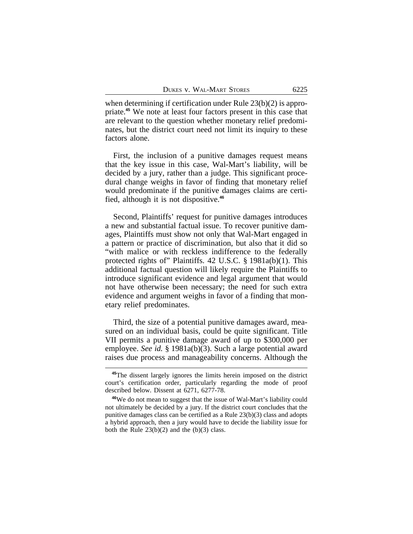when determining if certification under Rule 23(b)(2) is appropriate.**<sup>45</sup>** We note at least four factors present in this case that are relevant to the question whether monetary relief predominates, but the district court need not limit its inquiry to these factors alone.

First, the inclusion of a punitive damages request means that the key issue in this case, Wal-Mart's liability, will be decided by a jury, rather than a judge. This significant procedural change weighs in favor of finding that monetary relief would predominate if the punitive damages claims are certified, although it is not dispositive.**<sup>46</sup>**

Second, Plaintiffs' request for punitive damages introduces a new and substantial factual issue. To recover punitive damages, Plaintiffs must show not only that Wal-Mart engaged in a pattern or practice of discrimination, but also that it did so "with malice or with reckless indifference to the federally protected rights of" Plaintiffs. 42 U.S.C. § 1981a(b)(1). This additional factual question will likely require the Plaintiffs to introduce significant evidence and legal argument that would not have otherwise been necessary; the need for such extra evidence and argument weighs in favor of a finding that monetary relief predominates.

Third, the size of a potential punitive damages award, measured on an individual basis, could be quite significant. Title VII permits a punitive damage award of up to \$300,000 per employee. *See id.* § 1981a(b)(3). Such a large potential award raises due process and manageability concerns. Although the

**<sup>45</sup>**The dissent largely ignores the limits herein imposed on the district court's certification order, particularly regarding the mode of proof described below. Dissent at 6271, 6277-78.

**<sup>46</sup>**We do not mean to suggest that the issue of Wal-Mart's liability could not ultimately be decided by a jury. If the district court concludes that the punitive damages class can be certified as a Rule 23(b)(3) class and adopts a hybrid approach, then a jury would have to decide the liability issue for both the Rule  $23(b)(2)$  and the  $(b)(3)$  class.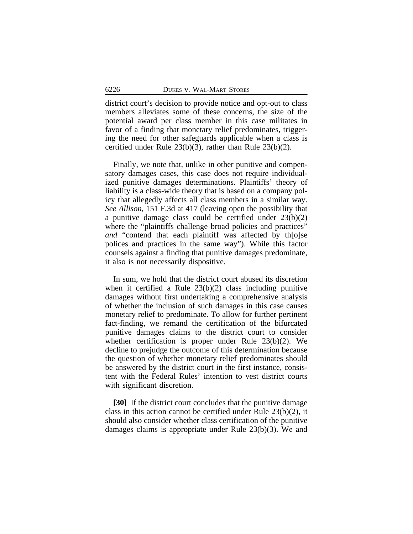district court's decision to provide notice and opt-out to class members alleviates some of these concerns, the size of the potential award per class member in this case militates in favor of a finding that monetary relief predominates, triggering the need for other safeguards applicable when a class is certified under Rule 23(b)(3), rather than Rule 23(b)(2).

Finally, we note that, unlike in other punitive and compensatory damages cases, this case does not require individualized punitive damages determinations. Plaintiffs' theory of liability is a class-wide theory that is based on a company policy that allegedly affects all class members in a similar way. *See Allison*, 151 F.3d at 417 (leaving open the possibility that a punitive damage class could be certified under 23(b)(2) where the "plaintiffs challenge broad policies and practices" *and* "contend that each plaintiff was affected by th[o]se polices and practices in the same way"). While this factor counsels against a finding that punitive damages predominate, it also is not necessarily dispositive.

In sum, we hold that the district court abused its discretion when it certified a Rule 23(b)(2) class including punitive damages without first undertaking a comprehensive analysis of whether the inclusion of such damages in this case causes monetary relief to predominate. To allow for further pertinent fact-finding, we remand the certification of the bifurcated punitive damages claims to the district court to consider whether certification is proper under Rule 23(b)(2). We decline to prejudge the outcome of this determination because the question of whether monetary relief predominates should be answered by the district court in the first instance, consistent with the Federal Rules' intention to vest district courts with significant discretion.

**[30]** If the district court concludes that the punitive damage class in this action cannot be certified under Rule 23(b)(2), it should also consider whether class certification of the punitive damages claims is appropriate under Rule 23(b)(3). We and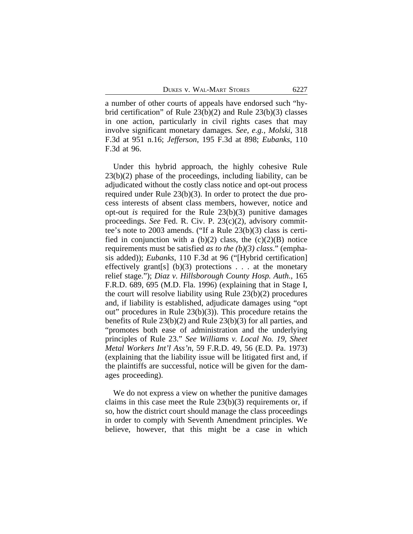a number of other courts of appeals have endorsed such "hybrid certification" of Rule 23(b)(2) and Rule 23(b)(3) classes in one action, particularly in civil rights cases that may involve significant monetary damages. *See, e.g.*, *Molski*, 318 F.3d at 951 n.16; *Jefferson*, 195 F.3d at 898; *Eubanks*, 110 F.3d at 96.

Under this hybrid approach, the highly cohesive Rule 23(b)(2) phase of the proceedings, including liability, can be adjudicated without the costly class notice and opt-out process required under Rule 23(b)(3). In order to protect the due process interests of absent class members, however, notice and opt-out *is* required for the Rule 23(b)(3) punitive damages proceedings. *See* Fed. R. Civ. P. 23(c)(2), advisory committee's note to 2003 amends. ("If a Rule 23(b)(3) class is certified in conjunction with a  $(b)(2)$  class, the  $(c)(2)(B)$  notice requirements must be satisfied *as to the (b)(3) class*." (emphasis added)); *Eubanks*, 110 F.3d at 96 ("[Hybrid certification] effectively grant[s] (b)(3) protections  $\dots$  at the monetary relief stage."); *Diaz v. Hillsborough County Hosp. Auth.*, 165 F.R.D. 689, 695 (M.D. Fla. 1996) (explaining that in Stage I, the court will resolve liability using Rule 23(b)(2) procedures and, if liability is established, adjudicate damages using "opt out" procedures in Rule 23(b)(3)). This procedure retains the benefits of Rule 23(b)(2) and Rule 23(b)(3) for all parties, and "promotes both ease of administration and the underlying principles of Rule 23." *See Williams v. Local No. 19, Sheet Metal Workers Int'l Ass'n*, 59 F.R.D. 49, 56 (E.D. Pa. 1973) (explaining that the liability issue will be litigated first and, if the plaintiffs are successful, notice will be given for the damages proceeding).

We do not express a view on whether the punitive damages claims in this case meet the Rule 23(b)(3) requirements or, if so, how the district court should manage the class proceedings in order to comply with Seventh Amendment principles. We believe, however, that this might be a case in which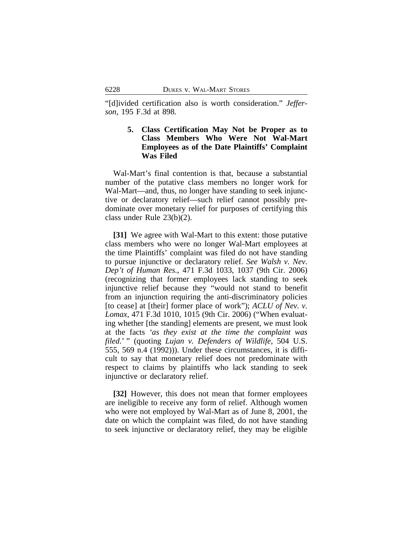"[d]ivided certification also is worth consideration." *Jefferson*, 195 F.3d at 898.

### **5. Class Certification May Not be Proper as to Class Members Who Were Not Wal-Mart Employees as of the Date Plaintiffs' Complaint Was Filed**

Wal-Mart's final contention is that, because a substantial number of the putative class members no longer work for Wal-Mart—and, thus, no longer have standing to seek injunctive or declaratory relief—such relief cannot possibly predominate over monetary relief for purposes of certifying this class under Rule 23(b)(2).

**[31]** We agree with Wal-Mart to this extent: those putative class members who were no longer Wal-Mart employees at the time Plaintiffs' complaint was filed do not have standing to pursue injunctive or declaratory relief. *See Walsh v. Nev. Dep't of Human Res.*, 471 F.3d 1033, 1037 (9th Cir. 2006) (recognizing that former employees lack standing to seek injunctive relief because they "would not stand to benefit from an injunction requiring the anti-discriminatory policies [to cease] at [their] former place of work"); *ACLU of Nev. v. Lomax*, 471 F.3d 1010, 1015 (9th Cir. 2006) ("When evaluating whether [the standing] elements are present, we must look at the facts *'as they exist at the time the complaint was filed*.' " (quoting *Lujan v. Defenders of Wildlife*, 504 U.S. 555, 569 n.4 (1992))). Under these circumstances, it is difficult to say that monetary relief does not predominate with respect to claims by plaintiffs who lack standing to seek injunctive or declaratory relief.

**[32]** However, this does not mean that former employees are ineligible to receive any form of relief. Although women who were not employed by Wal-Mart as of June 8, 2001, the date on which the complaint was filed, do not have standing to seek injunctive or declaratory relief, they may be eligible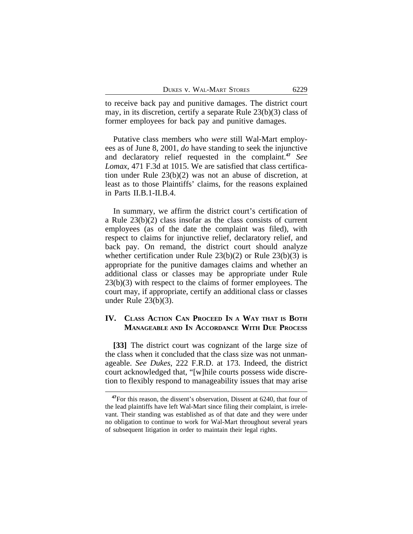to receive back pay and punitive damages. The district court may, in its discretion, certify a separate Rule 23(b)(3) class of former employees for back pay and punitive damages.

Putative class members who *were* still Wal-Mart employees as of June 8, 2001, *do* have standing to seek the injunctive and declaratory relief requested in the complaint.**<sup>47</sup>** *See Lomax*, 471 F.3d at 1015. We are satisfied that class certification under Rule 23(b)(2) was not an abuse of discretion, at least as to those Plaintiffs' claims, for the reasons explained in Parts II.B.1-II.B.4.

In summary, we affirm the district court's certification of a Rule 23(b)(2) class insofar as the class consists of current employees (as of the date the complaint was filed), with respect to claims for injunctive relief, declaratory relief, and back pay. On remand, the district court should analyze whether certification under Rule 23(b)(2) or Rule 23(b)(3) is appropriate for the punitive damages claims and whether an additional class or classes may be appropriate under Rule 23(b)(3) with respect to the claims of former employees. The court may, if appropriate, certify an additional class or classes under Rule 23(b)(3).

### **IV. CLASS ACTION CAN PROCEED IN A WAY THAT IS BOTH MANAGEABLE AND IN ACCORDANCE WITH DUE PROCESS**

**[33]** The district court was cognizant of the large size of the class when it concluded that the class size was not unmanageable. *See Dukes*, 222 F.R.D. at 173. Indeed, the district court acknowledged that, "[w]hile courts possess wide discretion to flexibly respond to manageability issues that may arise

**<sup>47</sup>**For this reason, the dissent's observation, Dissent at 6240, that four of the lead plaintiffs have left Wal-Mart since filing their complaint, is irrelevant. Their standing was established as of that date and they were under no obligation to continue to work for Wal-Mart throughout several years of subsequent litigation in order to maintain their legal rights.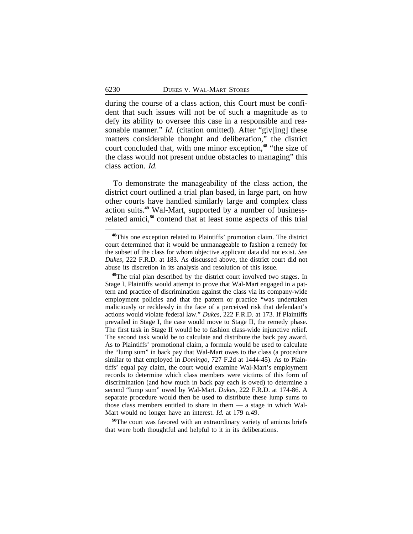during the course of a class action, this Court must be confident that such issues will not be of such a magnitude as to defy its ability to oversee this case in a responsible and reasonable manner." *Id.* (citation omitted). After "giv[ing] these matters considerable thought and deliberation," the district court concluded that, with one minor exception,**<sup>48</sup>** "the size of the class would not present undue obstacles to managing" this class action. *Id.*

To demonstrate the manageability of the class action, the district court outlined a trial plan based, in large part, on how other courts have handled similarly large and complex class action suits.**49** Wal-Mart, supported by a number of businessrelated amici,**<sup>50</sup>** contend that at least some aspects of this trial

**<sup>50</sup>**The court was favored with an extraordinary variety of amicus briefs that were both thoughtful and helpful to it in its deliberations.

**<sup>48</sup>**This one exception related to Plaintiffs' promotion claim. The district court determined that it would be unmanageable to fashion a remedy for the subset of the class for whom objective applicant data did not exist. *See Dukes*, 222 F.R.D. at 183. As discussed above, the district court did not abuse its discretion in its analysis and resolution of this issue.

**<sup>49</sup>**The trial plan described by the district court involved two stages. In Stage I, Plaintiffs would attempt to prove that Wal-Mart engaged in a pattern and practice of discrimination against the class via its company-wide employment policies and that the pattern or practice "was undertaken maliciously or recklessly in the face of a perceived risk that defendant's actions would violate federal law." *Dukes*, 222 F.R.D. at 173. If Plaintiffs prevailed in Stage I, the case would move to Stage II, the remedy phase. The first task in Stage II would be to fashion class-wide injunctive relief. The second task would be to calculate and distribute the back pay award. As to Plaintiffs' promotional claim, a formula would be used to calculate the "lump sum" in back pay that Wal-Mart owes to the class (a procedure similar to that employed in *Domingo*, 727 F.2d at 1444-45). As to Plaintiffs' equal pay claim, the court would examine Wal-Mart's employment records to determine which class members were victims of this form of discrimination (and how much in back pay each is owed) to determine a second "lump sum" owed by Wal-Mart. *Dukes*, 222 F.R.D. at 174-86. A separate procedure would then be used to distribute these lump sums to those class members entitled to share in them — a stage in which Wal-Mart would no longer have an interest. *Id.* at 179 n.49.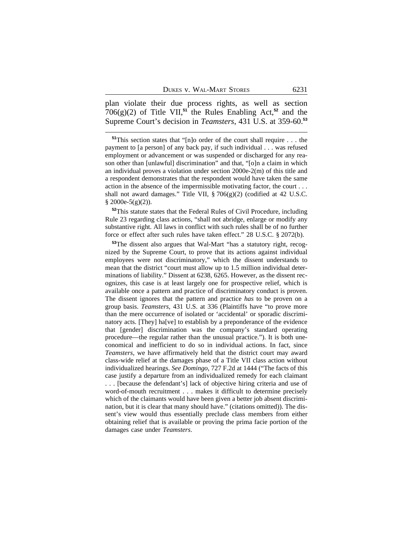plan violate their due process rights, as well as section  $706(g)(2)$  of Title VII,<sup>51</sup> the Rules Enabling Act,<sup>52</sup> and the Supreme Court's decision in *Teamsters*, 431 U.S. at 359-60.**<sup>53</sup>**

**<sup>51</sup>**This section states that "[n]o order of the court shall require . . . the payment to [a person] of any back pay, if such individual . . . was refused employment or advancement or was suspended or discharged for any reason other than [unlawful] discrimination" and that, "[o]n a claim in which an individual proves a violation under section 2000e-2(m) of this title and a respondent demonstrates that the respondent would have taken the same action in the absence of the impermissible motivating factor, the court . . . shall not award damages." Title VII, § 706(g)(2) (codified at 42 U.S.C.  $§$  2000e-5(g)(2)).

**<sup>52</sup>**This statute states that the Federal Rules of Civil Procedure, including Rule 23 regarding class actions, "shall not abridge, enlarge or modify any substantive right. All laws in conflict with such rules shall be of no further force or effect after such rules have taken effect." 28 U.S.C. § 2072(b).

**<sup>53</sup>**The dissent also argues that Wal-Mart "has a statutory right, recognized by the Supreme Court, to prove that its actions against individual employees were not discriminatory," which the dissent understands to mean that the district "court must allow up to 1.5 million individual determinations of liability." Dissent at 6238, 6265. However, as the dissent recognizes, this case is at least largely one for prospective relief, which is available once a pattern and practice of discriminatory conduct is proven. The dissent ignores that the pattern and practice *has* to be proven on a group basis. *Teamsters*, 431 U.S. at 336 (Plaintiffs have "to prove more than the mere occurrence of isolated or 'accidental' or sporadic discriminatory acts. [They] ha[ve] to establish by a preponderance of the evidence that [gender] discrimination was the company's standard operating procedure—the regular rather than the unusual practice."). It is both uneconomical and inefficient to do so in individual actions. In fact, since *Teamsters*, we have affirmatively held that the district court may award class-wide relief at the damages phase of a Title VII class action without individualized hearings. *See Domingo*, 727 F.2d at 1444 ("The facts of this case justify a departure from an individualized remedy for each claimant . . . [because the defendant's] lack of objective hiring criteria and use of word-of-mouth recruitment . . . makes it difficult to determine precisely which of the claimants would have been given a better job absent discrimination, but it is clear that many should have." (citations omitted)). The dissent's view would thus essentially preclude class members from either obtaining relief that is available or proving the prima facie portion of the damages case under *Teamsters*.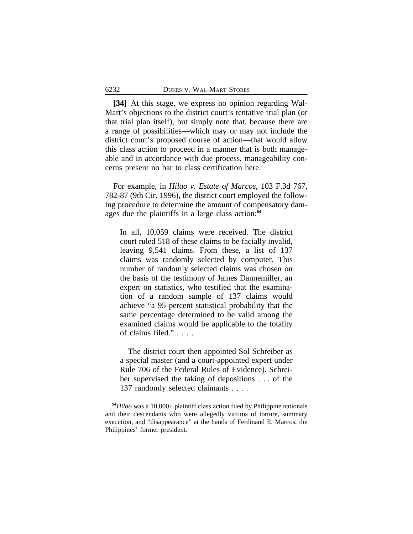**[34]** At this stage, we express no opinion regarding Wal-Mart's objections to the district court's tentative trial plan (or that trial plan itself), but simply note that, because there are a range of possibilities—which may or may not include the district court's proposed course of action—that would allow this class action to proceed in a manner that is both manageable and in accordance with due process, manageability concerns present no bar to class certification here.

For example, in *Hilao v. Estate of Marcos*, 103 F.3d 767, 782-87 (9th Cir. 1996), the district court employed the following procedure to determine the amount of compensatory damages due the plaintiffs in a large class action:**<sup>54</sup>**

In all, 10,059 claims were received. The district court ruled 518 of these claims to be facially invalid, leaving 9,541 claims. From these, a list of 137 claims was randomly selected by computer. This number of randomly selected claims was chosen on the basis of the testimony of James Dannemiller, an expert on statistics, who testified that the examination of a random sample of 137 claims would achieve "a 95 percent statistical probability that the same percentage determined to be valid among the examined claims would be applicable to the totality of claims filed." . . . .

The district court then appointed Sol Schreiber as a special master (and a court-appointed expert under Rule 706 of the Federal Rules of Evidence). Schreiber supervised the taking of depositions . . . of the 137 randomly selected claimants . . . .

**<sup>54</sup>***Hilao* was a 10,000+ plaintiff class action filed by Philippine nationals and their descendants who were allegedly victims of torture, summary execution, and "disappearance" at the hands of Ferdinand E. Marcos, the Philippines' former president.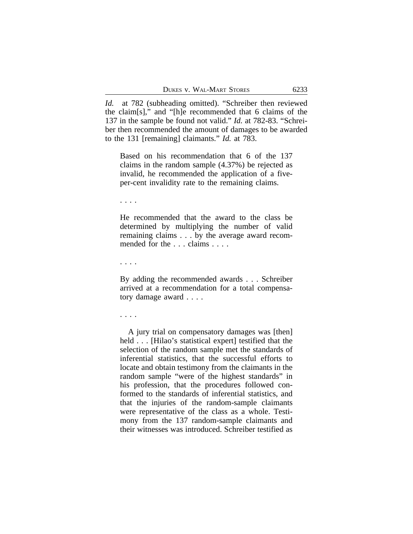*Id.* at 782 (subheading omitted). "Schreiber then reviewed the claim[s]," and "[h]e recommended that 6 claims of the 137 in the sample be found not valid." *Id.* at 782-83. "Schreiber then recommended the amount of damages to be awarded to the 131 [remaining] claimants." *Id.* at 783.

Based on his recommendation that 6 of the 137 claims in the random sample (4.37%) be rejected as invalid, he recommended the application of a fiveper-cent invalidity rate to the remaining claims.

. . . .

He recommended that the award to the class be determined by multiplying the number of valid remaining claims . . . by the average award recommended for the . . . claims . . . .

. . . .

By adding the recommended awards . . . Schreiber arrived at a recommendation for a total compensatory damage award . . . .

. . . .

A jury trial on compensatory damages was [then] held . . . [Hilao's statistical expert] testified that the selection of the random sample met the standards of inferential statistics, that the successful efforts to locate and obtain testimony from the claimants in the random sample "were of the highest standards" in his profession, that the procedures followed conformed to the standards of inferential statistics, and that the injuries of the random-sample claimants were representative of the class as a whole. Testimony from the 137 random-sample claimants and their witnesses was introduced. Schreiber testified as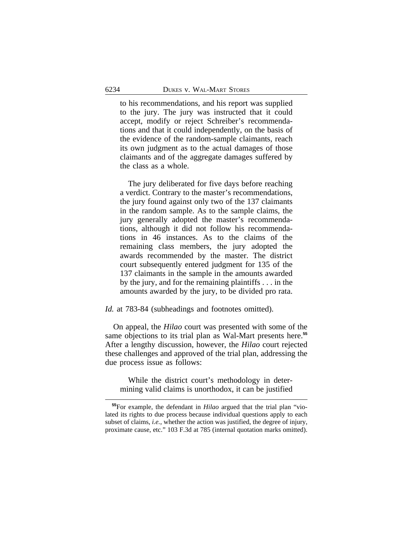to his recommendations, and his report was supplied to the jury. The jury was instructed that it could accept, modify or reject Schreiber's recommendations and that it could independently, on the basis of the evidence of the random-sample claimants, reach its own judgment as to the actual damages of those claimants and of the aggregate damages suffered by the class as a whole.

The jury deliberated for five days before reaching a verdict. Contrary to the master's recommendations, the jury found against only two of the 137 claimants in the random sample. As to the sample claims, the jury generally adopted the master's recommendations, although it did not follow his recommendations in 46 instances. As to the claims of the remaining class members, the jury adopted the awards recommended by the master. The district court subsequently entered judgment for 135 of the 137 claimants in the sample in the amounts awarded by the jury, and for the remaining plaintiffs . . . in the amounts awarded by the jury, to be divided pro rata.

#### *Id.* at 783-84 (subheadings and footnotes omitted).

On appeal, the *Hilao* court was presented with some of the same objections to its trial plan as Wal-Mart presents here.**<sup>55</sup>** After a lengthy discussion, however, the *Hilao* court rejected these challenges and approved of the trial plan, addressing the due process issue as follows:

While the district court's methodology in determining valid claims is unorthodox, it can be justified

**<sup>55</sup>**For example, the defendant in *Hilao* argued that the trial plan "violated its rights to due process because individual questions apply to each subset of claims, *i.e.*, whether the action was justified, the degree of injury, proximate cause, etc." 103 F.3d at 785 (internal quotation marks omitted).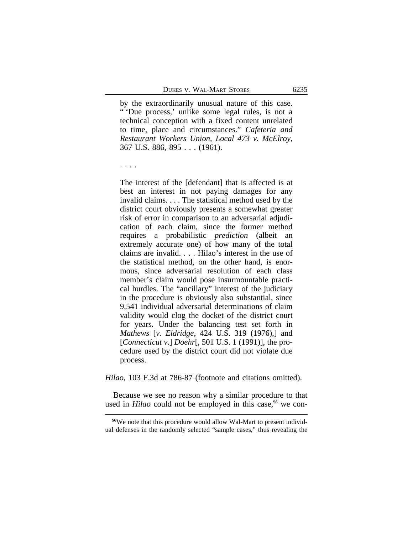by the extraordinarily unusual nature of this case. " 'Due process,' unlike some legal rules, is not a technical conception with a fixed content unrelated to time, place and circumstances." *Cafeteria and Restaurant Workers Union, Local 473 v. McElroy*, 367 U.S. 886, 895 . . . (1961).

. . . .

The interest of the [defendant] that is affected is at best an interest in not paying damages for any invalid claims. . . . The statistical method used by the district court obviously presents a somewhat greater risk of error in comparison to an adversarial adjudication of each claim, since the former method requires a probabilistic *prediction* (albeit an extremely accurate one) of how many of the total claims are invalid. . . . Hilao's interest in the use of the statistical method, on the other hand, is enormous, since adversarial resolution of each class member's claim would pose insurmountable practical hurdles. The "ancillary" interest of the judiciary in the procedure is obviously also substantial, since 9,541 individual adversarial determinations of claim validity would clog the docket of the district court for years. Under the balancing test set forth in *Mathews* [*v. Eldridge*, 424 U.S. 319 (1976),] and [*Connecticut v.*] *Doehr*[, 501 U.S. 1 (1991)], the procedure used by the district court did not violate due process.

*Hilao*, 103 F.3d at 786-87 (footnote and citations omitted).

Because we see no reason why a similar procedure to that used in *Hilao* could not be employed in this case,**56** we con-

**<sup>56</sup>**We note that this procedure would allow Wal-Mart to present individual defenses in the randomly selected "sample cases," thus revealing the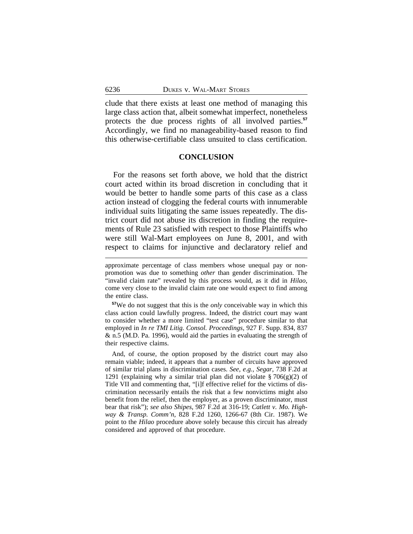clude that there exists at least one method of managing this large class action that, albeit somewhat imperfect, nonetheless protects the due process rights of all involved parties.**<sup>57</sup>** Accordingly, we find no manageability-based reason to find this otherwise-certifiable class unsuited to class certification.

#### **CONCLUSION**

For the reasons set forth above, we hold that the district court acted within its broad discretion in concluding that it would be better to handle some parts of this case as a class action instead of clogging the federal courts with innumerable individual suits litigating the same issues repeatedly. The district court did not abuse its discretion in finding the requirements of Rule 23 satisfied with respect to those Plaintiffs who were still Wal-Mart employees on June 8, 2001, and with respect to claims for injunctive and declaratory relief and

**<sup>57</sup>**We do not suggest that this is the *only* conceivable way in which this class action could lawfully progress. Indeed, the district court may want to consider whether a more limited "test case" procedure similar to that employed in *In re TMI Litig. Consol. Proceedings*, 927 F. Supp. 834, 837 & n.5 (M.D. Pa. 1996), would aid the parties in evaluating the strength of their respective claims.

And, of course, the option proposed by the district court may also remain viable; indeed, it appears that a number of circuits have approved of similar trial plans in discrimination cases. *See, e.g.*, *Segar*, 738 F.2d at 1291 (explaining why a similar trial plan did not violate  $\S 706(g)(2)$  of Title VII and commenting that, "[i]f effective relief for the victims of discrimination necessarily entails the risk that a few nonvictims might also benefit from the relief, then the employer, as a proven discriminator, must bear that risk"); *see also Shipes*, 987 F.2d at 316-19; *Catlett v. Mo. Highway & Transp. Comm'n*, 828 F.2d 1260, 1266-67 (8th Cir. 1987). We point to the *Hilao* procedure above solely because this circuit has already considered and approved of that procedure.

approximate percentage of class members whose unequal pay or nonpromotion was due to something *other* than gender discrimination. The "invalid claim rate" revealed by this process would, as it did in *Hilao*, come very close to the invalid claim rate one would expect to find among the entire class.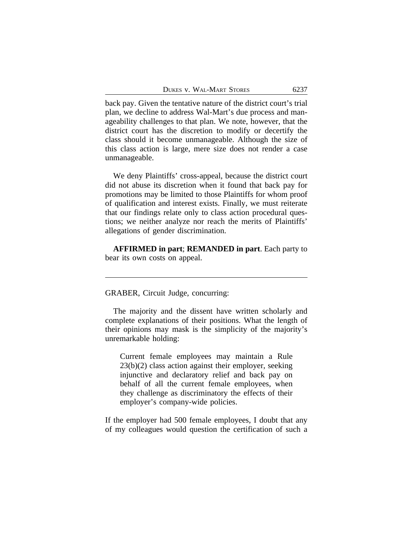back pay. Given the tentative nature of the district court's trial plan, we decline to address Wal-Mart's due process and manageability challenges to that plan. We note, however, that the district court has the discretion to modify or decertify the class should it become unmanageable. Although the size of this class action is large, mere size does not render a case unmanageable.

We deny Plaintiffs' cross-appeal, because the district court did not abuse its discretion when it found that back pay for promotions may be limited to those Plaintiffs for whom proof of qualification and interest exists. Finally, we must reiterate that our findings relate only to class action procedural questions; we neither analyze nor reach the merits of Plaintiffs' allegations of gender discrimination.

**AFFIRMED in part**; **REMANDED in part**. Each party to bear its own costs on appeal.

GRABER, Circuit Judge, concurring:

The majority and the dissent have written scholarly and complete explanations of their positions. What the length of their opinions may mask is the simplicity of the majority's unremarkable holding:

Current female employees may maintain a Rule 23(b)(2) class action against their employer, seeking injunctive and declaratory relief and back pay on behalf of all the current female employees, when they challenge as discriminatory the effects of their employer's company-wide policies.

If the employer had 500 female employees, I doubt that any of my colleagues would question the certification of such a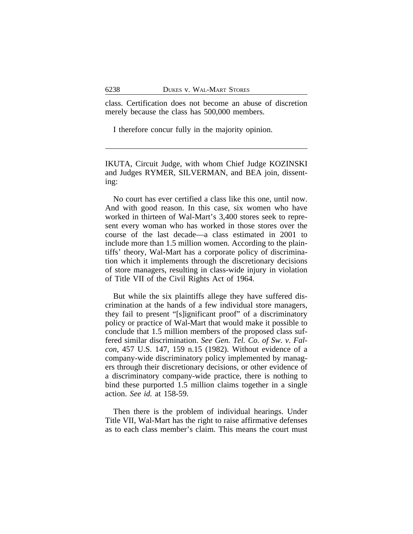class. Certification does not become an abuse of discretion merely because the class has 500,000 members.

I therefore concur fully in the majority opinion.

IKUTA, Circuit Judge, with whom Chief Judge KOZINSKI and Judges RYMER, SILVERMAN, and BEA join, dissenting:

No court has ever certified a class like this one, until now. And with good reason. In this case, six women who have worked in thirteen of Wal-Mart's 3,400 stores seek to represent every woman who has worked in those stores over the course of the last decade—a class estimated in 2001 to include more than 1.5 million women. According to the plaintiffs' theory, Wal-Mart has a corporate policy of discrimination which it implements through the discretionary decisions of store managers, resulting in class-wide injury in violation of Title VII of the Civil Rights Act of 1964.

But while the six plaintiffs allege they have suffered discrimination at the hands of a few individual store managers, they fail to present "[s]ignificant proof" of a discriminatory policy or practice of Wal-Mart that would make it possible to conclude that 1.5 million members of the proposed class suffered similar discrimination. *See Gen. Tel. Co. of Sw. v. Falcon*, 457 U.S. 147, 159 n.15 (1982). Without evidence of a company-wide discriminatory policy implemented by managers through their discretionary decisions, or other evidence of a discriminatory company-wide practice, there is nothing to bind these purported 1.5 million claims together in a single action. *See id.* at 158-59.

Then there is the problem of individual hearings. Under Title VII, Wal-Mart has the right to raise affirmative defenses as to each class member's claim. This means the court must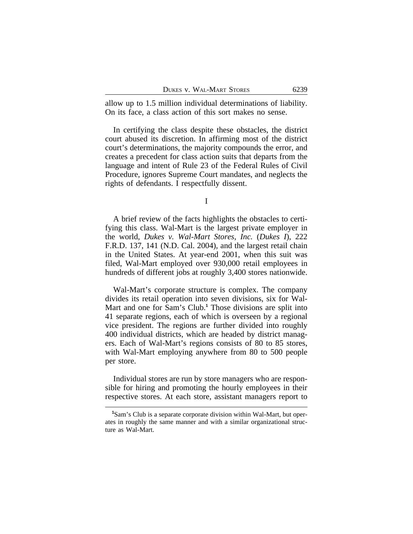allow up to 1.5 million individual determinations of liability. On its face, a class action of this sort makes no sense.

In certifying the class despite these obstacles, the district court abused its discretion. In affirming most of the district court's determinations, the majority compounds the error, and creates a precedent for class action suits that departs from the language and intent of Rule 23 of the Federal Rules of Civil Procedure, ignores Supreme Court mandates, and neglects the rights of defendants. I respectfully dissent.

I

A brief review of the facts highlights the obstacles to certifying this class. Wal-Mart is the largest private employer in the world, *Dukes v. Wal-Mart Stores, Inc.* (*Dukes I*), 222 F.R.D. 137, 141 (N.D. Cal. 2004), and the largest retail chain in the United States. At year-end 2001, when this suit was filed, Wal-Mart employed over 930,000 retail employees in hundreds of different jobs at roughly 3,400 stores nationwide.

Wal-Mart's corporate structure is complex. The company divides its retail operation into seven divisions, six for Wal-Mart and one for Sam's Club.**<sup>1</sup>** Those divisions are split into 41 separate regions, each of which is overseen by a regional vice president. The regions are further divided into roughly 400 individual districts, which are headed by district managers. Each of Wal-Mart's regions consists of 80 to 85 stores, with Wal-Mart employing anywhere from 80 to 500 people per store.

Individual stores are run by store managers who are responsible for hiring and promoting the hourly employees in their respective stores. At each store, assistant managers report to

**<sup>1</sup>**Sam's Club is a separate corporate division within Wal-Mart, but operates in roughly the same manner and with a similar organizational structure as Wal-Mart.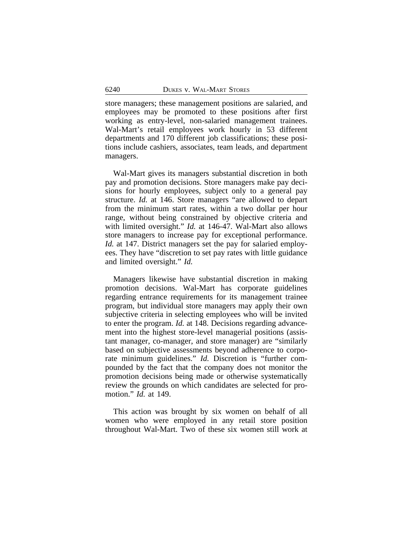store managers; these management positions are salaried, and employees may be promoted to these positions after first working as entry-level, non-salaried management trainees. Wal-Mart's retail employees work hourly in 53 different departments and 170 different job classifications; these positions include cashiers, associates, team leads, and department managers.

Wal-Mart gives its managers substantial discretion in both pay and promotion decisions. Store managers make pay decisions for hourly employees, subject only to a general pay structure. *Id.* at 146. Store managers "are allowed to depart from the minimum start rates, within a two dollar per hour range, without being constrained by objective criteria and with limited oversight." *Id.* at 146-47. Wal-Mart also allows store managers to increase pay for exceptional performance. *Id.* at 147. District managers set the pay for salaried employees. They have "discretion to set pay rates with little guidance and limited oversight." *Id.* 

Managers likewise have substantial discretion in making promotion decisions. Wal-Mart has corporate guidelines regarding entrance requirements for its management trainee program, but individual store managers may apply their own subjective criteria in selecting employees who will be invited to enter the program. *Id.* at 148. Decisions regarding advancement into the highest store-level managerial positions (assistant manager, co-manager, and store manager) are "similarly based on subjective assessments beyond adherence to corporate minimum guidelines." *Id.* Discretion is "further compounded by the fact that the company does not monitor the promotion decisions being made or otherwise systematically review the grounds on which candidates are selected for promotion." *Id.* at 149.

This action was brought by six women on behalf of all women who were employed in any retail store position throughout Wal-Mart. Two of these six women still work at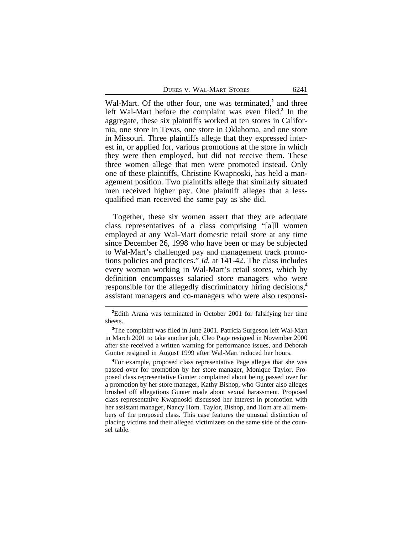| DUKES V. WAL-MART STORES |  |  |  | 6241 |
|--------------------------|--|--|--|------|
|--------------------------|--|--|--|------|

Wal-Mart. Of the other four, one was terminated,<sup>2</sup> and three left Wal-Mart before the complaint was even filed.**<sup>3</sup>** In the aggregate, these six plaintiffs worked at ten stores in California, one store in Texas, one store in Oklahoma, and one store in Missouri. Three plaintiffs allege that they expressed interest in, or applied for, various promotions at the store in which they were then employed, but did not receive them. These three women allege that men were promoted instead. Only one of these plaintiffs, Christine Kwapnoski, has held a management position. Two plaintiffs allege that similarly situated men received higher pay. One plaintiff alleges that a lessqualified man received the same pay as she did.

Together, these six women assert that they are adequate class representatives of a class comprising "[a]ll women employed at any Wal-Mart domestic retail store at any time since December 26, 1998 who have been or may be subjected to Wal-Mart's challenged pay and management track promotions policies and practices." *Id.* at 141-42. The class includes every woman working in Wal-Mart's retail stores, which by definition encompasses salaried store managers who were responsible for the allegedly discriminatory hiring decisions,**<sup>4</sup>** assistant managers and co-managers who were also responsi-

**<sup>2</sup>**Edith Arana was terminated in October 2001 for falsifying her time sheets.

**<sup>3</sup>**The complaint was filed in June 2001. Patricia Surgeson left Wal-Mart in March 2001 to take another job, Cleo Page resigned in November 2000 after she received a written warning for performance issues, and Deborah Gunter resigned in August 1999 after Wal-Mart reduced her hours.

**<sup>4</sup>**For example, proposed class representative Page alleges that she was passed over for promotion by her store manager, Monique Taylor. Proposed class representative Gunter complained about being passed over for a promotion by her store manager, Kathy Bishop, who Gunter also alleges brushed off allegations Gunter made about sexual harassment. Proposed class representative Kwapnoski discussed her interest in promotion with her assistant manager, Nancy Hom. Taylor, Bishop, and Hom are all members of the proposed class. This case features the unusual distinction of placing victims and their alleged victimizers on the same side of the counsel table.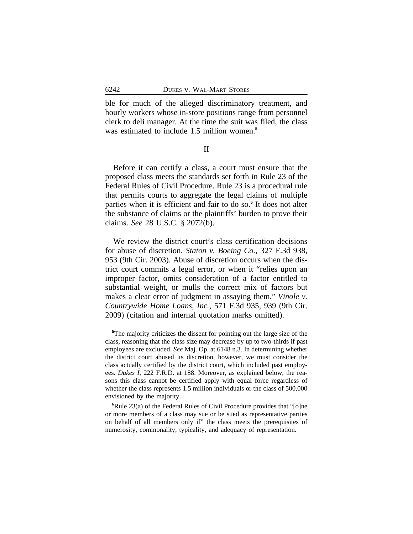ble for much of the alleged discriminatory treatment, and hourly workers whose in-store positions range from personnel clerk to deli manager. At the time the suit was filed, the class was estimated to include 1.5 million women.**<sup>5</sup>**

II

Before it can certify a class, a court must ensure that the proposed class meets the standards set forth in Rule 23 of the Federal Rules of Civil Procedure. Rule 23 is a procedural rule that permits courts to aggregate the legal claims of multiple parties when it is efficient and fair to do so.**<sup>6</sup>** It does not alter the substance of claims or the plaintiffs' burden to prove their claims. *See* 28 U.S.C. § 2072(b).

We review the district court's class certification decisions for abuse of discretion. *Staton v. Boeing Co.*, 327 F.3d 938, 953 (9th Cir. 2003). Abuse of discretion occurs when the district court commits a legal error, or when it "relies upon an improper factor, omits consideration of a factor entitled to substantial weight, or mulls the correct mix of factors but makes a clear error of judgment in assaying them." *Vinole v. Countrywide Home Loans*, *Inc.*, 571 F.3d 935, 939 (9th Cir. 2009) (citation and internal quotation marks omitted).

**<sup>5</sup>**The majority criticizes the dissent for pointing out the large size of the class, reasoning that the class size may decrease by up to two-thirds if past employees are excluded. *See* Maj. Op. at 6148 n.3. In determining whether the district court abused its discretion, however, we must consider the class actually certified by the district court, which included past employees. *Dukes I*, 222 F.R.D. at 188. Moreover, as explained below, the reasons this class cannot be certified apply with equal force regardless of whether the class represents 1.5 million individuals or the class of 500,000 envisioned by the majority.

**<sup>6</sup>**Rule 23(a) of the Federal Rules of Civil Procedure provides that "[o]ne or more members of a class may sue or be sued as representative parties on behalf of all members only if" the class meets the prerequisites of numerosity, commonality, typicality, and adequacy of representation.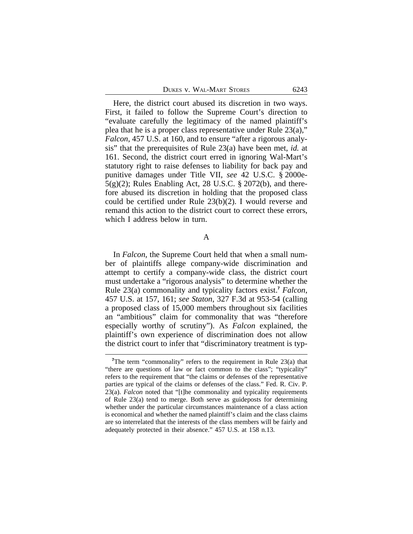| 6243<br>DUKES V. WAL-MART STORES |
|----------------------------------|
|----------------------------------|

Here, the district court abused its discretion in two ways. First, it failed to follow the Supreme Court's direction to "evaluate carefully the legitimacy of the named plaintiff's plea that he is a proper class representative under Rule 23(a)," *Falcon*, 457 U.S. at 160, and to ensure "after a rigorous analysis" that the prerequisites of Rule 23(a) have been met, *id.* at 161. Second, the district court erred in ignoring Wal-Mart's statutory right to raise defenses to liability for back pay and punitive damages under Title VII, *see* 42 U.S.C. § 2000e-5(g)(2); Rules Enabling Act, 28 U.S.C. § 2072(b), and therefore abused its discretion in holding that the proposed class could be certified under Rule 23(b)(2). I would reverse and remand this action to the district court to correct these errors, which I address below in turn.

A

In *Falcon*, the Supreme Court held that when a small number of plaintiffs allege company-wide discrimination and attempt to certify a company-wide class, the district court must undertake a "rigorous analysis" to determine whether the Rule 23(a) commonality and typicality factors exist.**<sup>7</sup>** *Falcon*, 457 U.S. at 157, 161; *see Staton*, 327 F.3d at 953-54 (calling a proposed class of 15,000 members throughout six facilities an "ambitious" claim for commonality that was "therefore especially worthy of scrutiny"). As *Falcon* explained, the plaintiff's own experience of discrimination does not allow the district court to infer that "discriminatory treatment is typ-

<sup>&</sup>lt;sup>7</sup>The term "commonality" refers to the requirement in Rule 23(a) that "there are questions of law or fact common to the class"; "typicality" refers to the requirement that "the claims or defenses of the representative parties are typical of the claims or defenses of the class." Fed. R. Civ. P. 23(a). *Falcon* noted that "[t]he commonality and typicality requirements of Rule 23(a) tend to merge. Both serve as guideposts for determining whether under the particular circumstances maintenance of a class action is economical and whether the named plaintiff's claim and the class claims are so interrelated that the interests of the class members will be fairly and adequately protected in their absence." 457 U.S. at 158 n.13.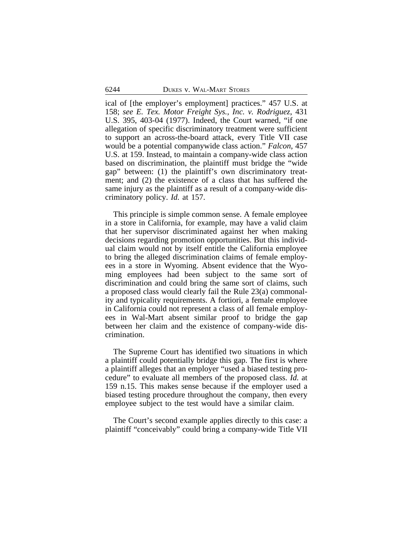ical of [the employer's employment] practices." 457 U.S. at 158; *see E. Tex. Motor Freight Sys., Inc. v. Rodriguez*, 431 U.S. 395, 403-04 (1977). Indeed, the Court warned, "if one allegation of specific discriminatory treatment were sufficient to support an across-the-board attack, every Title VII case would be a potential companywide class action." *Falcon*, 457 U.S. at 159. Instead, to maintain a company-wide class action based on discrimination, the plaintiff must bridge the "wide gap" between: (1) the plaintiff's own discriminatory treatment; and (2) the existence of a class that has suffered the same injury as the plaintiff as a result of a company-wide discriminatory policy. *Id.* at 157.

This principle is simple common sense. A female employee in a store in California, for example, may have a valid claim that her supervisor discriminated against her when making decisions regarding promotion opportunities. But this individual claim would not by itself entitle the California employee to bring the alleged discrimination claims of female employees in a store in Wyoming. Absent evidence that the Wyoming employees had been subject to the same sort of discrimination and could bring the same sort of claims, such a proposed class would clearly fail the Rule 23(a) commonality and typicality requirements. A fortiori, a female employee in California could not represent a class of all female employees in Wal-Mart absent similar proof to bridge the gap between her claim and the existence of company-wide discrimination.

The Supreme Court has identified two situations in which a plaintiff could potentially bridge this gap. The first is where a plaintiff alleges that an employer "used a biased testing procedure" to evaluate all members of the proposed class. *Id.* at 159 n.15. This makes sense because if the employer used a biased testing procedure throughout the company, then every employee subject to the test would have a similar claim.

The Court's second example applies directly to this case: a plaintiff "conceivably" could bring a company-wide Title VII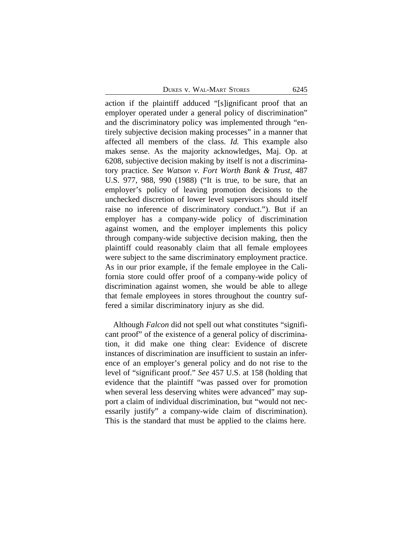DUKES V. WAL-MART STORES 6245

action if the plaintiff adduced "[s]ignificant proof that an employer operated under a general policy of discrimination" and the discriminatory policy was implemented through "entirely subjective decision making processes" in a manner that affected all members of the class. *Id.* This example also makes sense. As the majority acknowledges, Maj. Op. at 6208, subjective decision making by itself is not a discriminatory practice. *See Watson v. Fort Worth Bank & Trust*, 487 U.S. 977, 988, 990 (1988) ("It is true, to be sure, that an employer's policy of leaving promotion decisions to the unchecked discretion of lower level supervisors should itself raise no inference of discriminatory conduct."). But if an employer has a company-wide policy of discrimination against women, and the employer implements this policy through company-wide subjective decision making, then the plaintiff could reasonably claim that all female employees were subject to the same discriminatory employment practice. As in our prior example, if the female employee in the California store could offer proof of a company-wide policy of discrimination against women, she would be able to allege that female employees in stores throughout the country suffered a similar discriminatory injury as she did.

Although *Falcon* did not spell out what constitutes "significant proof" of the existence of a general policy of discrimination, it did make one thing clear: Evidence of discrete instances of discrimination are insufficient to sustain an inference of an employer's general policy and do not rise to the level of "significant proof." *See* 457 U.S. at 158 (holding that evidence that the plaintiff "was passed over for promotion when several less deserving whites were advanced" may support a claim of individual discrimination, but "would not necessarily justify" a company-wide claim of discrimination). This is the standard that must be applied to the claims here.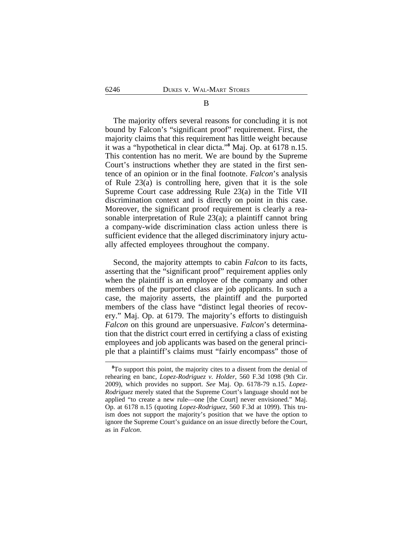# The majority offers several reasons for concluding it is not bound by Falcon's "significant proof" requirement. First, the majority claims that this requirement has little weight because it was a "hypothetical in clear dicta." **8** Maj. Op. at 6178 n.15. This contention has no merit. We are bound by the Supreme Court's instructions whether they are stated in the first sentence of an opinion or in the final footnote. *Falcon*'s analysis of Rule 23(a) is controlling here, given that it is the sole Supreme Court case addressing Rule 23(a) in the Title VII discrimination context and is directly on point in this case. Moreover, the significant proof requirement is clearly a reasonable interpretation of Rule 23(a); a plaintiff cannot bring a company-wide discrimination class action unless there is sufficient evidence that the alleged discriminatory injury actually affected employees throughout the company.

Second, the majority attempts to cabin *Falcon* to its facts, asserting that the "significant proof" requirement applies only when the plaintiff is an employee of the company and other members of the purported class are job applicants. In such a case, the majority asserts, the plaintiff and the purported members of the class have "distinct legal theories of recovery." Maj. Op. at 6179. The majority's efforts to distinguish *Falcon* on this ground are unpersuasive. *Falcon*'s determination that the district court erred in certifying a class of existing employees and job applicants was based on the general principle that a plaintiff's claims must "fairly encompass" those of

## B

<sup>&</sup>lt;sup>8</sup>To support this point, the majority cites to a dissent from the denial of rehearing en banc, *Lopez-Rodriguez v. Holder*, 560 F.3d 1098 (9th Cir. 2009), which provides no support. *See* Maj. Op. 6178-79 n.15. *Lopez-Rodriguez* merely stated that the Supreme Court's language should not be applied "to create a new rule—one [the Court] never envisioned." Maj. Op. at 6178 n.15 (quoting *Lopez-Rodriguez*, 560 F.3d at 1099). This truism does not support the majority's position that we have the option to ignore the Supreme Court's guidance on an issue directly before the Court, as in *Falcon*.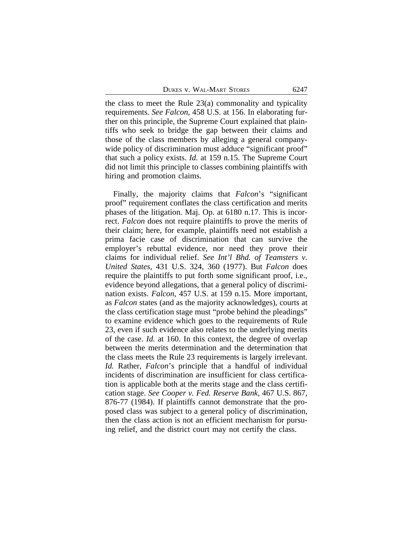DUKES V. WAL-MART STORES 6247

the class to meet the Rule 23(a) commonality and typicality requirements. *See Falcon*, 458 U.S. at 156. In elaborating further on this principle, the Supreme Court explained that plaintiffs who seek to bridge the gap between their claims and those of the class members by alleging a general companywide policy of discrimination must adduce "significant proof" that such a policy exists. *Id.* at 159 n.15. The Supreme Court did not limit this principle to classes combining plaintiffs with hiring and promotion claims.

Finally, the majority claims that *Falcon*'s "significant proof" requirement conflates the class certification and merits phases of the litigation. Maj. Op. at 6180 n.17. This is incorrect. *Falcon* does not require plaintiffs to prove the merits of their claim; here, for example, plaintiffs need not establish a prima facie case of discrimination that can survive the employer's rebuttal evidence, nor need they prove their claims for individual relief. *See Int'l Bhd. of Teamsters v. United States*, 431 U.S. 324, 360 (1977). But *Falcon* does require the plaintiffs to put forth some significant proof, i.e., evidence beyond allegations, that a general policy of discrimination exists. *Falcon*, 457 U.S. at 159 n.15. More important, as *Falcon* states (and as the majority acknowledges), courts at the class certification stage must "probe behind the pleadings" to examine evidence which goes to the requirements of Rule 23, even if such evidence also relates to the underlying merits of the case. *Id.* at 160. In this context, the degree of overlap between the merits determination and the determination that the class meets the Rule 23 requirements is largely irrelevant. *Id.* Rather, *Falcon*'s principle that a handful of individual incidents of discrimination are insufficient for class certification is applicable both at the merits stage and the class certification stage. *See Cooper v. Fed. Reserve Bank*, 467 U.S. 867, 876-77 (1984). If plaintiffs cannot demonstrate that the proposed class was subject to a general policy of discrimination, then the class action is not an efficient mechanism for pursuing relief, and the district court may not certify the class.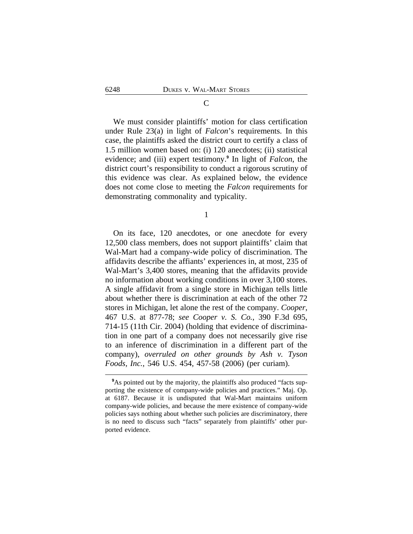$\mathcal{C}$ 

We must consider plaintiffs' motion for class certification under Rule 23(a) in light of *Falcon*'s requirements. In this case, the plaintiffs asked the district court to certify a class of 1.5 million women based on: (i) 120 anecdotes; (ii) statistical evidence; and (iii) expert testimony.**<sup>9</sup>** In light of *Falcon*, the district court's responsibility to conduct a rigorous scrutiny of this evidence was clear. As explained below, the evidence does not come close to meeting the *Falcon* requirements for demonstrating commonality and typicality.

1

On its face, 120 anecdotes, or one anecdote for every 12,500 class members, does not support plaintiffs' claim that Wal-Mart had a company-wide policy of discrimination. The affidavits describe the affiants' experiences in, at most, 235 of Wal-Mart's 3,400 stores, meaning that the affidavits provide no information about working conditions in over 3,100 stores. A single affidavit from a single store in Michigan tells little about whether there is discrimination at each of the other 72 stores in Michigan, let alone the rest of the company. *Cooper*, 467 U.S. at 877-78; *see Cooper v. S. Co.*, 390 F.3d 695, 714-15 (11th Cir. 2004) (holding that evidence of discrimination in one part of a company does not necessarily give rise to an inference of discrimination in a different part of the company), *overruled on other grounds by Ash v. Tyson Foods, Inc.*, 546 U.S. 454, 457-58 (2006) (per curiam).

<sup>&</sup>lt;sup>9</sup>As pointed out by the majority, the plaintiffs also produced "facts supporting the existence of company-wide policies and practices." Maj. Op. at 6187. Because it is undisputed that Wal-Mart maintains uniform company-wide policies, and because the mere existence of company-wide policies says nothing about whether such policies are discriminatory, there is no need to discuss such "facts" separately from plaintiffs' other purported evidence.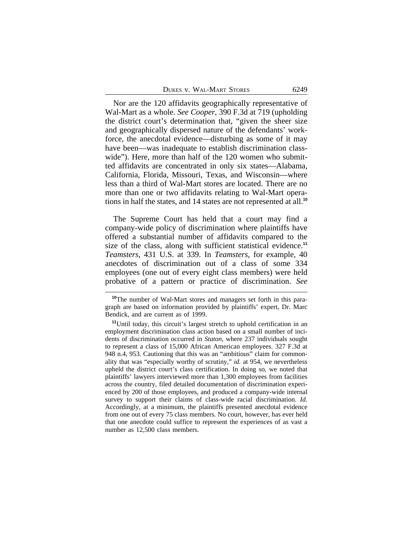| DUKES V. WAL-MART STORES |  |  |  |  | 6249 |
|--------------------------|--|--|--|--|------|
|--------------------------|--|--|--|--|------|

Nor are the 120 affidavits geographically representative of Wal-Mart as a whole. *See Cooper*, 390 F.3d at 719 (upholding the district court's determination that, "given the sheer size and geographically dispersed nature of the defendants' workforce, the anecdotal evidence—disturbing as some of it may have been—was inadequate to establish discrimination classwide"). Here, more than half of the 120 women who submitted affidavits are concentrated in only six states—Alabama, California, Florida, Missouri, Texas, and Wisconsin—where less than a third of Wal-Mart stores are located. There are no more than one or two affidavits relating to Wal-Mart operations in half the states, and 14 states are not represented at all.**<sup>10</sup>**

The Supreme Court has held that a court may find a company-wide policy of discrimination where plaintiffs have offered a substantial number of affidavits compared to the size of the class, along with sufficient statistical evidence.**<sup>11</sup>** *Teamsters*, 431 U.S. at 339. In *Teamsters*, for example, 40 anecdotes of discrimination out of a class of some 334 employees (one out of every eight class members) were held probative of a pattern or practice of discrimination. *See*

**<sup>10</sup>**The number of Wal-Mart stores and managers set forth in this paragraph are based on information provided by plaintiffs' expert, Dr. Marc Bendick, and are current as of 1999.

**<sup>11</sup>**Until today, this circuit's largest stretch to uphold certification in an employment discrimination class action based on a small number of incidents of discrimination occurred in *Staton*, where 237 individuals sought to represent a class of 15,000 African American employees. 327 F.3d at 948 n.4, 953. Cautioning that this was an "ambitious" claim for commonality that was "especially worthy of scrutiny," *id.* at 954, we nevertheless upheld the district court's class certification. In doing so, we noted that plaintiffs' lawyers interviewed more than 1,300 employees from facilities across the country, filed detailed documentation of discrimination experienced by 200 of those employees, and produced a company-wide internal survey to support their claims of class-wide racial discrimination. *Id.* Accordingly, at a minimum, the plaintiffs presented anecdotal evidence from one out of every 75 class members. No court, however, has ever held that one anecdote could suffice to represent the experiences of as vast a number as 12,500 class members.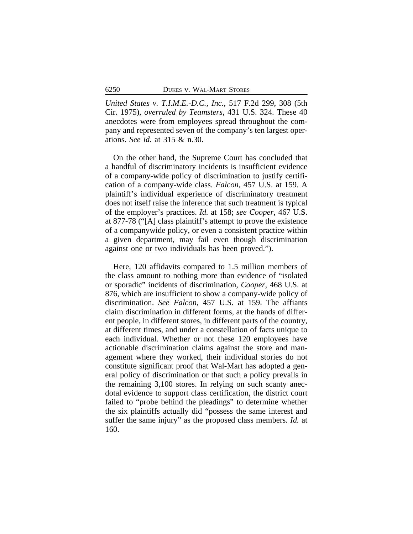*United States v. T.I.M.E.-D.C., Inc.*, 517 F.2d 299, 308 (5th Cir. 1975), *overruled by Teamsters*, 431 U.S. 324. These 40 anecdotes were from employees spread throughout the company and represented seven of the company's ten largest operations. *See id.* at 315 & n.30.

On the other hand, the Supreme Court has concluded that a handful of discriminatory incidents is insufficient evidence of a company-wide policy of discrimination to justify certification of a company-wide class. *Falcon*, 457 U.S. at 159. A plaintiff's individual experience of discriminatory treatment does not itself raise the inference that such treatment is typical of the employer's practices. *Id.* at 158; *see Cooper*, 467 U.S. at 877-78 ("[A] class plaintiff's attempt to prove the existence of a companywide policy, or even a consistent practice within a given department, may fail even though discrimination against one or two individuals has been proved.").

Here, 120 affidavits compared to 1.5 million members of the class amount to nothing more than evidence of "isolated or sporadic" incidents of discrimination, *Cooper*, 468 U.S. at 876, which are insufficient to show a company-wide policy of discrimination. *See Falcon*, 457 U.S. at 159. The affiants claim discrimination in different forms, at the hands of different people, in different stores, in different parts of the country, at different times, and under a constellation of facts unique to each individual. Whether or not these 120 employees have actionable discrimination claims against the store and management where they worked, their individual stories do not constitute significant proof that Wal-Mart has adopted a general policy of discrimination or that such a policy prevails in the remaining 3,100 stores. In relying on such scanty anecdotal evidence to support class certification, the district court failed to "probe behind the pleadings" to determine whether the six plaintiffs actually did "possess the same interest and suffer the same injury" as the proposed class members. *Id.* at 160.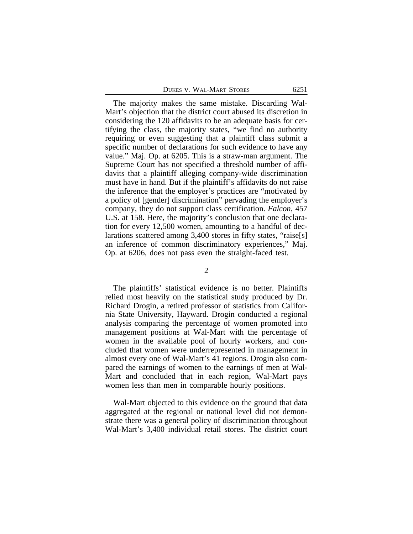The majority makes the same mistake. Discarding Wal-Mart's objection that the district court abused its discretion in considering the 120 affidavits to be an adequate basis for certifying the class, the majority states, "we find no authority requiring or even suggesting that a plaintiff class submit a specific number of declarations for such evidence to have any value." Maj. Op. at 6205. This is a straw-man argument. The Supreme Court has not specified a threshold number of affidavits that a plaintiff alleging company-wide discrimination must have in hand. But if the plaintiff's affidavits do not raise the inference that the employer's practices are "motivated by a policy of [gender] discrimination" pervading the employer's company, they do not support class certification. *Falcon*, 457 U.S. at 158. Here, the majority's conclusion that one declaration for every 12,500 women, amounting to a handful of declarations scattered among 3,400 stores in fifty states, "raise[s] an inference of common discriminatory experiences," Maj. Op. at 6206, does not pass even the straight-faced test.

2

The plaintiffs' statistical evidence is no better. Plaintiffs relied most heavily on the statistical study produced by Dr. Richard Drogin, a retired professor of statistics from California State University, Hayward. Drogin conducted a regional analysis comparing the percentage of women promoted into management positions at Wal-Mart with the percentage of women in the available pool of hourly workers, and concluded that women were underrepresented in management in almost every one of Wal-Mart's 41 regions. Drogin also compared the earnings of women to the earnings of men at Wal-Mart and concluded that in each region, Wal-Mart pays women less than men in comparable hourly positions.

Wal-Mart objected to this evidence on the ground that data aggregated at the regional or national level did not demonstrate there was a general policy of discrimination throughout Wal-Mart's 3,400 individual retail stores. The district court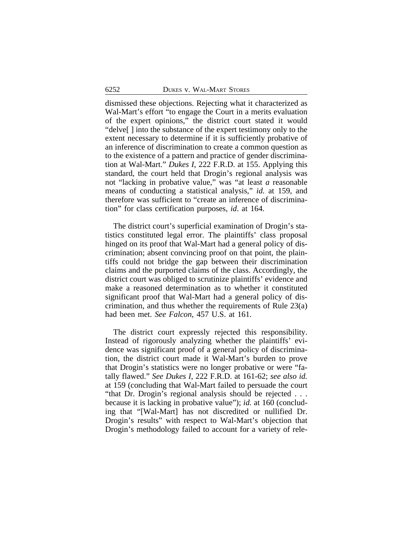dismissed these objections. Rejecting what it characterized as Wal-Mart's effort "to engage the Court in a merits evaluation of the expert opinions," the district court stated it would "delve[ ] into the substance of the expert testimony only to the extent necessary to determine if it is sufficiently probative of an inference of discrimination to create a common question as to the existence of a pattern and practice of gender discrimination at Wal-Mart." *Dukes I*, 222 F.R.D. at 155. Applying this standard, the court held that Drogin's regional analysis was not "lacking in probative value," was "at least *a* reasonable means of conducting a statistical analysis," *id.* at 159, and therefore was sufficient to "create an inference of discrimination" for class certification purposes, *id*. at 164.

The district court's superficial examination of Drogin's statistics constituted legal error. The plaintiffs' class proposal hinged on its proof that Wal-Mart had a general policy of discrimination; absent convincing proof on that point, the plaintiffs could not bridge the gap between their discrimination claims and the purported claims of the class. Accordingly, the district court was obliged to scrutinize plaintiffs' evidence and make a reasoned determination as to whether it constituted significant proof that Wal-Mart had a general policy of discrimination, and thus whether the requirements of Rule 23(a) had been met. *See Falcon*, 457 U.S. at 161.

The district court expressly rejected this responsibility. Instead of rigorously analyzing whether the plaintiffs' evidence was significant proof of a general policy of discrimination, the district court made it Wal-Mart's burden to prove that Drogin's statistics were no longer probative or were "fatally flawed." *See Dukes I*, 222 F.R.D. at 161-62; *see also id.* at 159 (concluding that Wal-Mart failed to persuade the court "that Dr. Drogin's regional analysis should be rejected . . . because it is lacking in probative value"); *id.* at 160 (concluding that "[Wal-Mart] has not discredited or nullified Dr. Drogin's results" with respect to Wal-Mart's objection that Drogin's methodology failed to account for a variety of rele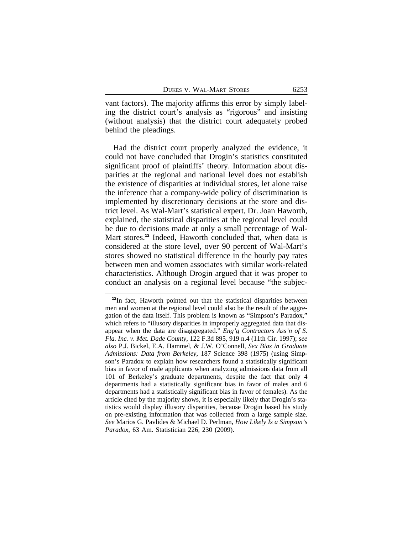vant factors). The majority affirms this error by simply labeling the district court's analysis as "rigorous" and insisting (without analysis) that the district court adequately probed behind the pleadings.

Had the district court properly analyzed the evidence, it could not have concluded that Drogin's statistics constituted significant proof of plaintiffs' theory. Information about disparities at the regional and national level does not establish the existence of disparities at individual stores, let alone raise the inference that a company-wide policy of discrimination is implemented by discretionary decisions at the store and district level. As Wal-Mart's statistical expert, Dr. Joan Haworth, explained, the statistical disparities at the regional level could be due to decisions made at only a small percentage of Wal-Mart stores.**<sup>12</sup>** Indeed, Haworth concluded that, when data is considered at the store level, over 90 percent of Wal-Mart's stores showed no statistical difference in the hourly pay rates between men and women associates with similar work-related characteristics. Although Drogin argued that it was proper to conduct an analysis on a regional level because "the subjec-

**<sup>12</sup>**In fact, Haworth pointed out that the statistical disparities between men and women at the regional level could also be the result of the aggregation of the data itself. This problem is known as "Simpson's Paradox," which refers to "illusory disparities in improperly aggregated data that disappear when the data are disaggregated." *Eng'g Contractors Ass'n of S. Fla. Inc. v. Met. Dade County*, 122 F.3d 895, 919 n.4 (11th Cir. 1997); *see also* P.J. Bickel, E.A. Hammel, & J.W. O'Connell, *Sex Bias in Graduate Admissions: Data from Berkeley*, 187 Science 398 (1975) (using Simpson's Paradox to explain how researchers found a statistically significant bias in favor of male applicants when analyzing admissions data from all 101 of Berkeley's graduate departments, despite the fact that only 4 departments had a statistically significant bias in favor of males and 6 departments had a statistically significant bias in favor of females). As the article cited by the majority shows, it is especially likely that Drogin's statistics would display illusory disparities, because Drogin based his study on pre-existing information that was collected from a large sample size. *See* Marios G. Pavlides & Michael D. Perlman, *How Likely Is a Simpson's Paradox*, 63 Am. Statistician 226, 230 (2009).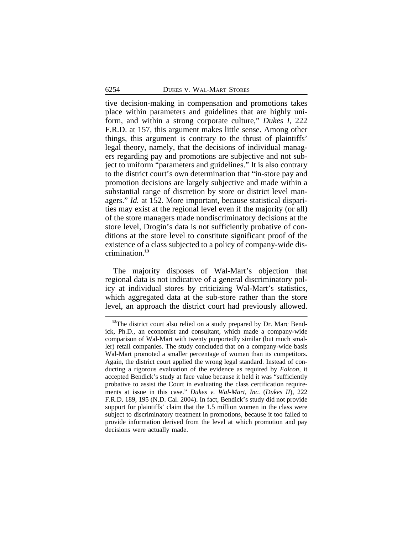tive decision-making in compensation and promotions takes place within parameters and guidelines that are highly uniform, and within a strong corporate culture," *Dukes I*, 222 F.R.D. at 157, this argument makes little sense. Among other things, this argument is contrary to the thrust of plaintiffs' legal theory, namely, that the decisions of individual managers regarding pay and promotions are subjective and not subject to uniform "parameters and guidelines." It is also contrary to the district court's own determination that "in-store pay and promotion decisions are largely subjective and made within a substantial range of discretion by store or district level managers." *Id.* at 152. More important, because statistical disparities may exist at the regional level even if the majority (or all) of the store managers made nondiscriminatory decisions at the store level, Drogin's data is not sufficiently probative of conditions at the store level to constitute significant proof of the existence of a class subjected to a policy of company-wide discrimination.**<sup>13</sup>**

The majority disposes of Wal-Mart's objection that regional data is not indicative of a general discriminatory policy at individual stores by criticizing Wal-Mart's statistics, which aggregated data at the sub-store rather than the store level, an approach the district court had previously allowed.

**<sup>13</sup>**The district court also relied on a study prepared by Dr. Marc Bendick, Ph.D., an economist and consultant, which made a company-wide comparison of Wal-Mart with twenty purportedly similar (but much smaller) retail companies. The study concluded that on a company-wide basis Wal-Mart promoted a smaller percentage of women than its competitors. Again, the district court applied the wrong legal standard. Instead of conducting a rigorous evaluation of the evidence as required by *Falcon*, it accepted Bendick's study at face value because it held it was "sufficiently probative to assist the Court in evaluating the class certification requirements at issue in this case." *Dukes v. Wal-Mart, Inc.* (*Dukes II*), 222 F.R.D. 189, 195 (N.D. Cal. 2004). In fact, Bendick's study did not provide support for plaintiffs' claim that the 1.5 million women in the class were subject to discriminatory treatment in promotions, because it too failed to provide information derived from the level at which promotion and pay decisions were actually made.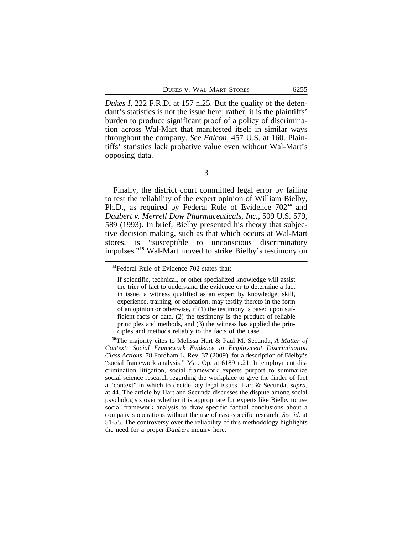*Dukes I*, 222 F.R.D. at 157 n.25. But the quality of the defendant's statistics is not the issue here; rather, it is the plaintiffs' burden to produce significant proof of a policy of discrimination across Wal-Mart that manifested itself in similar ways throughout the company. *See Falcon*, 457 U.S. at 160. Plaintiffs' statistics lack probative value even without Wal-Mart's opposing data.

3

Finally, the district court committed legal error by failing to test the reliability of the expert opinion of William Bielby, Ph.D., as required by Federal Rule of Evidence 702**<sup>14</sup>** and *Daubert v. Merrell Dow Pharmaceuticals, Inc.*, 509 U.S. 579, 589 (1993). In brief, Bielby presented his theory that subjective decision making, such as that which occurs at Wal-Mart stores, is "susceptible to unconscious discriminatory impulses."**<sup>15</sup>** Wal-Mart moved to strike Bielby's testimony on

**<sup>14</sup>**Federal Rule of Evidence 702 states that:

If scientific, technical, or other specialized knowledge will assist the trier of fact to understand the evidence or to determine a fact in issue, a witness qualified as an expert by knowledge, skill, experience, training, or education, may testify thereto in the form of an opinion or otherwise, if (1) the testimony is based upon sufficient facts or data, (2) the testimony is the product of reliable principles and methods, and (3) the witness has applied the principles and methods reliably to the facts of the case.

**<sup>15</sup>**The majority cites to Melissa Hart & Paul M. Secunda, *A Matter of Context: Social Framework Evidence in Employment Discrimination Class Actions*, 78 Fordham L. Rev. 37 (2009), for a description of Bielby's "social framework analysis." Maj. Op. at 6189 n.21. In employment discrimination litigation, social framework experts purport to summarize social science research regarding the workplace to give the finder of fact a "context" in which to decide key legal issues. Hart & Secunda, *supra*, at 44. The article by Hart and Secunda discusses the dispute among social psychologists over whether it is appropriate for experts like Bielby to use social framework analysis to draw specific factual conclusions about a company's operations without the use of case-specific research. *See id.* at 51-55. The controversy over the reliability of this methodology highlights the need for a proper *Daubert* inquiry here.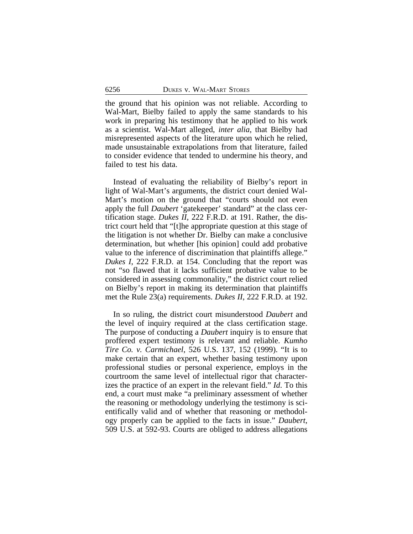the ground that his opinion was not reliable. According to Wal-Mart, Bielby failed to apply the same standards to his work in preparing his testimony that he applied to his work as a scientist. Wal-Mart alleged, *inter alia*, that Bielby had misrepresented aspects of the literature upon which he relied, made unsustainable extrapolations from that literature, failed to consider evidence that tended to undermine his theory, and failed to test his data.

Instead of evaluating the reliability of Bielby's report in light of Wal-Mart's arguments, the district court denied Wal-Mart's motion on the ground that "courts should not even apply the full *Daubert* 'gatekeeper' standard" at the class certification stage. *Dukes II*, 222 F.R.D. at 191. Rather, the district court held that "[t]he appropriate question at this stage of the litigation is not whether Dr. Bielby can make a conclusive determination, but whether [his opinion] could add probative value to the inference of discrimination that plaintiffs allege." *Dukes I*, 222 F.R.D. at 154. Concluding that the report was not "so flawed that it lacks sufficient probative value to be considered in assessing commonality," the district court relied on Bielby's report in making its determination that plaintiffs met the Rule 23(a) requirements. *Dukes II*, 222 F.R.D. at 192.

In so ruling, the district court misunderstood *Daubert* and the level of inquiry required at the class certification stage. The purpose of conducting a *Daubert* inquiry is to ensure that proffered expert testimony is relevant and reliable. *Kumho Tire Co. v. Carmichael*, 526 U.S. 137, 152 (1999). "It is to make certain that an expert, whether basing testimony upon professional studies or personal experience, employs in the courtroom the same level of intellectual rigor that characterizes the practice of an expert in the relevant field." *Id*. To this end, a court must make "a preliminary assessment of whether the reasoning or methodology underlying the testimony is scientifically valid and of whether that reasoning or methodology properly can be applied to the facts in issue." *Daubert*, 509 U.S. at 592-93. Courts are obliged to address allegations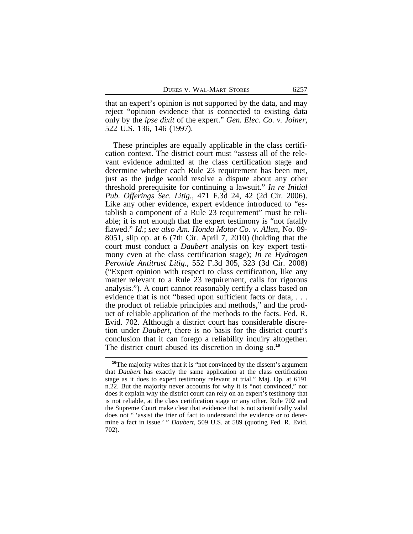that an expert's opinion is not supported by the data, and may reject "opinion evidence that is connected to existing data only by the *ipse dixit* of the expert." *Gen. Elec. Co. v. Joiner*, 522 U.S. 136, 146 (1997).

These principles are equally applicable in the class certification context. The district court must "assess all of the relevant evidence admitted at the class certification stage and determine whether each Rule 23 requirement has been met, just as the judge would resolve a dispute about any other threshold prerequisite for continuing a lawsuit." *In re Initial Pub. Offerings Sec. Litig.*, 471 F.3d 24, 42 (2d Cir. 2006). Like any other evidence, expert evidence introduced to "establish a component of a Rule 23 requirement" must be reliable; it is not enough that the expert testimony is "not fatally flawed." *Id.*; *see also Am. Honda Motor Co. v. Allen*, No. 09- 8051, slip op. at 6 (7th Cir. April 7, 2010) (holding that the court must conduct a *Daubert* analysis on key expert testimony even at the class certification stage); *In re Hydrogen Peroxide Antitrust Litig.*, 552 F.3d 305, 323 (3d Cir. 2008) ("Expert opinion with respect to class certification, like any matter relevant to a Rule 23 requirement, calls for rigorous analysis."). A court cannot reasonably certify a class based on evidence that is not "based upon sufficient facts or data, . . . the product of reliable principles and methods," and the product of reliable application of the methods to the facts. Fed. R. Evid. 702. Although a district court has considerable discretion under *Daubert*, there is no basis for the district court's conclusion that it can forego a reliability inquiry altogether. The district court abused its discretion in doing so.**<sup>16</sup>**

<sup>&</sup>lt;sup>16</sup>The majority writes that it is "not convinced by the dissent's argument that *Daubert* has exactly the same application at the class certification stage as it does to expert testimony relevant at trial." Maj. Op. at 6191 n.22. But the majority never accounts for why it is "not convinced," nor does it explain why the district court can rely on an expert's testimony that is not reliable, at the class certification stage or any other. Rule 702 and the Supreme Court make clear that evidence that is not scientifically valid does not " 'assist the trier of fact to understand the evidence or to determine a fact in issue.' " *Daubert*, 509 U.S. at 589 (quoting Fed. R. Evid. 702).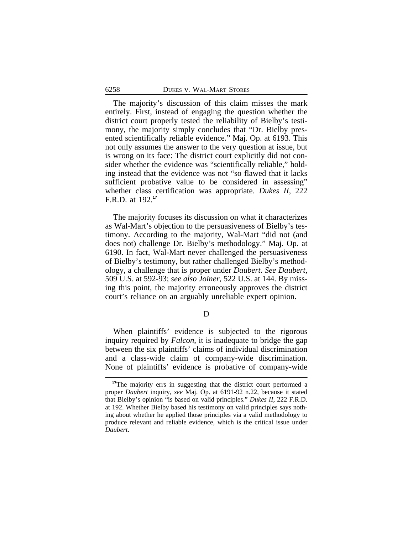The majority's discussion of this claim misses the mark entirely. First, instead of engaging the question whether the district court properly tested the reliability of Bielby's testimony, the majority simply concludes that "Dr. Bielby presented scientifically reliable evidence." Maj. Op. at 6193. This not only assumes the answer to the very question at issue, but is wrong on its face: The district court explicitly did not consider whether the evidence was "scientifically reliable," holding instead that the evidence was not "so flawed that it lacks sufficient probative value to be considered in assessing" whether class certification was appropriate. *Dukes II*, 222 F.R.D. at 192.**<sup>17</sup>**

The majority focuses its discussion on what it characterizes as Wal-Mart's objection to the persuasiveness of Bielby's testimony. According to the majority, Wal-Mart "did not (and does not) challenge Dr. Bielby's methodology." Maj. Op. at 6190. In fact, Wal-Mart never challenged the persuasiveness of Bielby's testimony, but rather challenged Bielby's methodology, a challenge that is proper under *Daubert*. *See Daubert*, 509 U.S. at 592-93; *see also Joiner*, 522 U.S. at 144. By missing this point, the majority erroneously approves the district court's reliance on an arguably unreliable expert opinion.

### D

When plaintiffs' evidence is subjected to the rigorous inquiry required by *Falcon*, it is inadequate to bridge the gap between the six plaintiffs' claims of individual discrimination and a class-wide claim of company-wide discrimination. None of plaintiffs' evidence is probative of company-wide

<sup>&</sup>lt;sup>17</sup>The majority errs in suggesting that the district court performed a proper *Daubert* inquiry, *see* Maj. Op. at 6191-92 n.22, because it stated that Bielby's opinion "is based on valid principles." *Dukes II*, 222 F.R.D. at 192. Whether Bielby based his testimony on valid principles says nothing about whether he applied those principles via a valid methodology to produce relevant and reliable evidence, which is the critical issue under *Daubert*.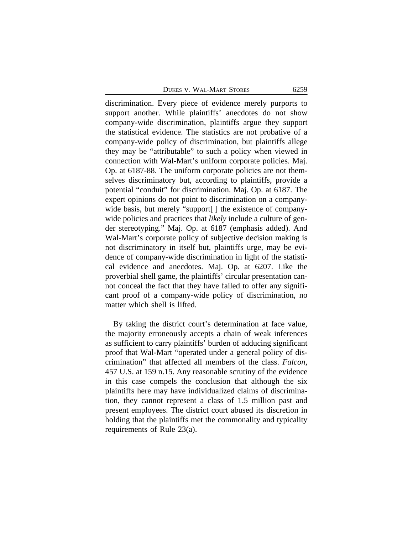DUKES V. WAL-MART STORES 6259

discrimination. Every piece of evidence merely purports to support another. While plaintiffs' anecdotes do not show company-wide discrimination, plaintiffs argue they support the statistical evidence. The statistics are not probative of a company-wide policy of discrimination, but plaintiffs allege they may be "attributable" to such a policy when viewed in connection with Wal-Mart's uniform corporate policies. Maj. Op. at 6187-88. The uniform corporate policies are not themselves discriminatory but, according to plaintiffs, provide a potential "conduit" for discrimination. Maj. Op. at 6187. The expert opinions do not point to discrimination on a companywide basis, but merely "support<sup>[]</sup> the existence of companywide policies and practices that *likely* include a culture of gender stereotyping." Maj. Op. at 6187 (emphasis added). And Wal-Mart's corporate policy of subjective decision making is not discriminatory in itself but, plaintiffs urge, may be evidence of company-wide discrimination in light of the statistical evidence and anecdotes. Maj. Op. at 6207. Like the proverbial shell game, the plaintiffs' circular presentation cannot conceal the fact that they have failed to offer any significant proof of a company-wide policy of discrimination, no matter which shell is lifted.

By taking the district court's determination at face value, the majority erroneously accepts a chain of weak inferences as sufficient to carry plaintiffs' burden of adducing significant proof that Wal-Mart "operated under a general policy of discrimination" that affected all members of the class. *Falcon*, 457 U.S. at 159 n.15. Any reasonable scrutiny of the evidence in this case compels the conclusion that although the six plaintiffs here may have individualized claims of discrimination, they cannot represent a class of 1.5 million past and present employees. The district court abused its discretion in holding that the plaintiffs met the commonality and typicality requirements of Rule 23(a).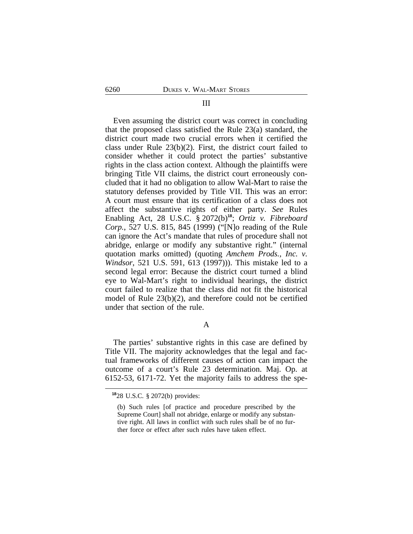# Even assuming the district court was correct in concluding that the proposed class satisfied the Rule 23(a) standard, the district court made two crucial errors when it certified the class under Rule 23(b)(2). First, the district court failed to consider whether it could protect the parties' substantive rights in the class action context. Although the plaintiffs were bringing Title VII claims, the district court erroneously concluded that it had no obligation to allow Wal-Mart to raise the statutory defenses provided by Title VII. This was an error: A court must ensure that its certification of a class does not affect the substantive rights of either party. *See* Rules Enabling Act, 28 U.S.C. § 2072(b)**<sup>18</sup>**; *Ortiz v. Fibreboard Corp.*, 527 U.S. 815, 845 (1999) ("[N]o reading of the Rule can ignore the Act's mandate that rules of procedure shall not abridge, enlarge or modify any substantive right." (internal quotation marks omitted) (quoting *Amchem Prods., Inc. v. Windsor*, 521 U.S. 591, 613 (1997))). This mistake led to a second legal error: Because the district court turned a blind eye to Wal-Mart's right to individual hearings, the district court failed to realize that the class did not fit the historical model of Rule 23(b)(2), and therefore could not be certified under that section of the rule.

## A

The parties' substantive rights in this case are defined by Title VII. The majority acknowledges that the legal and factual frameworks of different causes of action can impact the outcome of a court's Rule 23 determination. Maj. Op. at 6152-53, 6171-72. Yet the majority fails to address the spe-

## III

**<sup>18</sup>**28 U.S.C. § 2072(b) provides:

<sup>(</sup>b) Such rules [of practice and procedure prescribed by the Supreme Court] shall not abridge, enlarge or modify any substantive right. All laws in conflict with such rules shall be of no further force or effect after such rules have taken effect.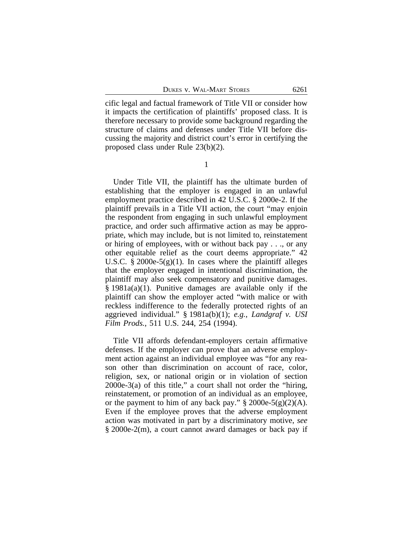cific legal and factual framework of Title VII or consider how it impacts the certification of plaintiffs' proposed class. It is therefore necessary to provide some background regarding the structure of claims and defenses under Title VII before discussing the majority and district court's error in certifying the proposed class under Rule 23(b)(2).

1

Under Title VII, the plaintiff has the ultimate burden of establishing that the employer is engaged in an unlawful employment practice described in 42 U.S.C. § 2000e-2. If the plaintiff prevails in a Title VII action, the court "may enjoin the respondent from engaging in such unlawful employment practice, and order such affirmative action as may be appropriate, which may include, but is not limited to, reinstatement or hiring of employees, with or without back pay . . ., or any other equitable relief as the court deems appropriate." 42 U.S.C. § 2000e-5 $(g)(1)$ . In cases where the plaintiff alleges that the employer engaged in intentional discrimination, the plaintiff may also seek compensatory and punitive damages. § 1981a(a)(1). Punitive damages are available only if the plaintiff can show the employer acted "with malice or with reckless indifference to the federally protected rights of an aggrieved individual." § 1981a(b)(1); *e.g.*, *Landgraf v. USI Film Prods.*, 511 U.S. 244, 254 (1994).

Title VII affords defendant-employers certain affirmative defenses. If the employer can prove that an adverse employment action against an individual employee was "for any reason other than discrimination on account of race, color, religion, sex, or national origin or in violation of section 2000e-3(a) of this title," a court shall not order the "hiring, reinstatement, or promotion of an individual as an employee, or the payment to him of any back pay."  $\S 2000e-5(g)(2)(A)$ . Even if the employee proves that the adverse employment action was motivated in part by a discriminatory motive, *see* § 2000e-2(m), a court cannot award damages or back pay if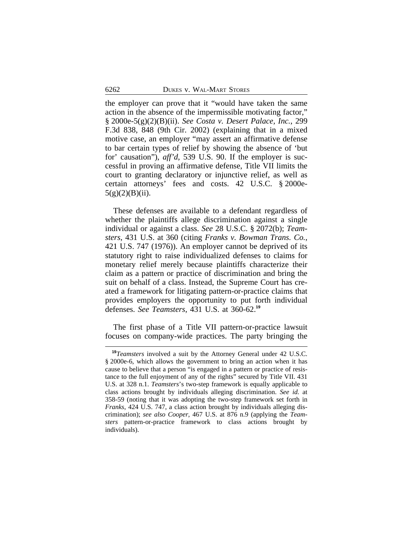the employer can prove that it "would have taken the same action in the absence of the impermissible motivating factor," § 2000e-5(g)(2)(B)(ii). *See Costa v. Desert Palace, Inc.*, 299 F.3d 838, 848 (9th Cir. 2002) (explaining that in a mixed motive case, an employer "may assert an affirmative defense to bar certain types of relief by showing the absence of 'but for' causation"), *aff'd*, 539 U.S. 90. If the employer is successful in proving an affirmative defense, Title VII limits the court to granting declaratory or injunctive relief, as well as certain attorneys' fees and costs. 42 U.S.C. § 2000e- $5(g)(2)(B)(ii)$ .

These defenses are available to a defendant regardless of whether the plaintiffs allege discrimination against a single individual or against a class. *See* 28 U.S.C. § 2072(b); *Teamsters*, 431 U.S. at 360 (citing *Franks v. Bowman Trans. Co.*, 421 U.S. 747 (1976)). An employer cannot be deprived of its statutory right to raise individualized defenses to claims for monetary relief merely because plaintiffs characterize their claim as a pattern or practice of discrimination and bring the suit on behalf of a class. Instead, the Supreme Court has created a framework for litigating pattern-or-practice claims that provides employers the opportunity to put forth individual defenses. *See Teamsters*, 431 U.S. at 360-62.**<sup>19</sup>**

The first phase of a Title VII pattern-or-practice lawsuit focuses on company-wide practices. The party bringing the

**<sup>19</sup>***Teamsters* involved a suit by the Attorney General under 42 U.S.C. § 2000e-6, which allows the government to bring an action when it has cause to believe that a person "is engaged in a pattern or practice of resistance to the full enjoyment of any of the rights" secured by Title VII. 431 U.S. at 328 n.1. *Teamsters*'s two-step framework is equally applicable to class actions brought by individuals alleging discrimination. *See id.* at 358-59 (noting that it was adopting the two-step framework set forth in *Franks*, 424 U.S. 747, a class action brought by individuals alleging discrimination); *see also Cooper*, 467 U.S. at 876 n.9 (applying the *Teamsters* pattern-or-practice framework to class actions brought by individuals).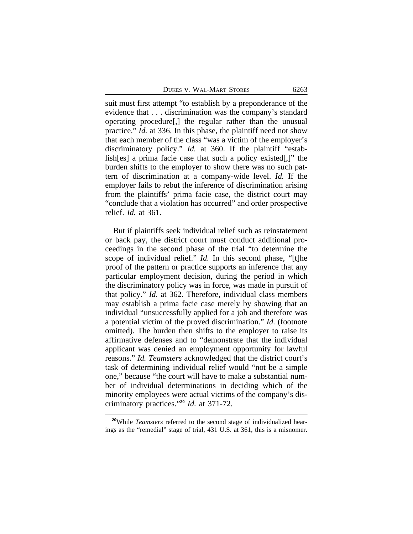suit must first attempt "to establish by a preponderance of the evidence that . . . discrimination was the company's standard operating procedure[,] the regular rather than the unusual practice." *Id.* at 336. In this phase, the plaintiff need not show that each member of the class "was a victim of the employer's discriminatory policy." *Id.* at 360. If the plaintiff "establish[es] a prima facie case that such a policy existed[,]" the burden shifts to the employer to show there was no such pattern of discrimination at a company-wide level. *Id.* If the employer fails to rebut the inference of discrimination arising from the plaintiffs' prima facie case, the district court may "conclude that a violation has occurred" and order prospective relief. *Id.* at 361.

But if plaintiffs seek individual relief such as reinstatement or back pay, the district court must conduct additional proceedings in the second phase of the trial "to determine the scope of individual relief." *Id.* In this second phase, "[t]he proof of the pattern or practice supports an inference that any particular employment decision, during the period in which the discriminatory policy was in force, was made in pursuit of that policy." *Id.* at 362. Therefore, individual class members may establish a prima facie case merely by showing that an individual "unsuccessfully applied for a job and therefore was a potential victim of the proved discrimination." *Id.* (footnote omitted). The burden then shifts to the employer to raise its affirmative defenses and to "demonstrate that the individual applicant was denied an employment opportunity for lawful reasons." *Id. Teamsters* acknowledged that the district court's task of determining individual relief would "not be a simple one," because "the court will have to make a substantial number of individual determinations in deciding which of the minority employees were actual victims of the company's discriminatory practices." **<sup>20</sup>** *Id.* at 371-72.

**<sup>20</sup>**While *Teamsters* referred to the second stage of individualized hearings as the "remedial" stage of trial, 431 U.S. at 361, this is a misnomer.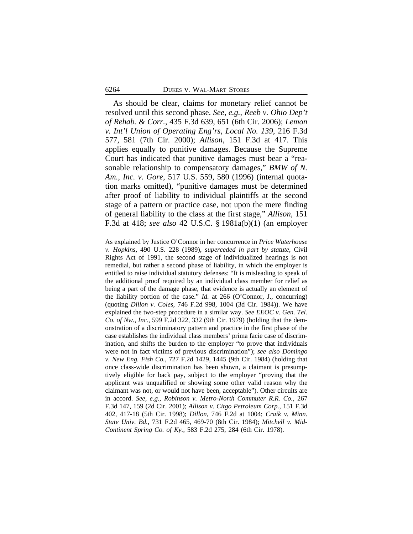As should be clear, claims for monetary relief cannot be resolved until this second phase. *See, e.g.*, *Reeb v. Ohio Dep't of Rehab. & Corr.*, 435 F.3d 639, 651 (6th Cir. 2006); *Lemon v. Int'l Union of Operating Eng'rs, Local No. 139*, 216 F.3d 577, 581 (7th Cir. 2000); *Allison*, 151 F.3d at 417. This applies equally to punitive damages. Because the Supreme Court has indicated that punitive damages must bear a "reasonable relationship to compensatory damages," *BMW of N. Am., Inc. v. Gore*, 517 U.S. 559, 580 (1996) (internal quotation marks omitted), "punitive damages must be determined after proof of liability to individual plaintiffs at the second stage of a pattern or practice case, not upon the mere finding of general liability to the class at the first stage," *Allison*, 151 F.3d at 418; *see also* 42 U.S.C. § 1981a(b)(1) (an employer

As explained by Justice O'Connor in her concurrence in *Price Waterhouse v. Hopkins*, 490 U.S. 228 (1989), *superceded in part by statute*, Civil Rights Act of 1991, the second stage of individualized hearings is not remedial, but rather a second phase of liability, in which the employer is entitled to raise individual statutory defenses: "It is misleading to speak of the additional proof required by an individual class member for relief as being a part of the damage phase, that evidence is actually an element of the liability portion of the case." *Id.* at 266 (O'Connor, J., concurring) (quoting *Dillon v. Coles*, 746 F.2d 998, 1004 (3d Cir. 1984)). We have explained the two-step procedure in a similar way. *See EEOC v. Gen. Tel. Co. of Nw., Inc.*, 599 F.2d 322, 332 (9th Cir. 1979) (holding that the demonstration of a discriminatory pattern and practice in the first phase of the case establishes the individual class members' prima facie case of discrimination, and shifts the burden to the employer "to prove that individuals were not in fact victims of previous discrimination"); *see also Domingo v. New Eng. Fish Co.*, 727 F.2d 1429, 1445 (9th Cir. 1984) (holding that once class-wide discrimination has been shown, a claimant is presumptively eligible for back pay, subject to the employer "proving that the applicant was unqualified or showing some other valid reason why the claimant was not, or would not have been, acceptable"). Other circuits are in accord. *See, e.g.*, *Robinson v. Metro-North Commuter R.R. Co.*, 267 F.3d 147, 159 (2d Cir. 2001); *Allison v. Citgo Petroleum Corp.*, 151 F.3d 402, 417-18 (5th Cir. 1998); *Dillon*, 746 F.2d at 1004; *Craik v. Minn. State Univ. Bd.*, 731 F.2d 465, 469-70 (8th Cir. 1984); *Mitchell v. Mid-Continent Spring Co. of Ky.*, 583 F.2d 275, 284 (6th Cir. 1978).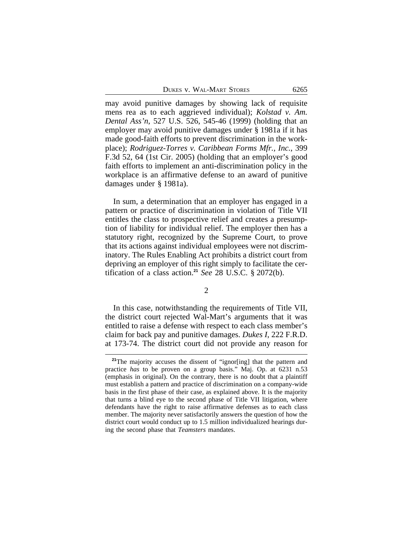DUKES V. WAL-MART STORES 6265

may avoid punitive damages by showing lack of requisite mens rea as to each aggrieved individual); *Kolstad v. Am. Dental Ass'n*, 527 U.S. 526, 545-46 (1999) (holding that an employer may avoid punitive damages under § 1981a if it has made good-faith efforts to prevent discrimination in the workplace); *Rodriguez-Torres v. Caribbean Forms Mfr., Inc.*, 399 F.3d 52, 64 (1st Cir. 2005) (holding that an employer's good faith efforts to implement an anti-discrimination policy in the workplace is an affirmative defense to an award of punitive damages under § 1981a).

In sum, a determination that an employer has engaged in a pattern or practice of discrimination in violation of Title VII entitles the class to prospective relief and creates a presumption of liability for individual relief. The employer then has a statutory right, recognized by the Supreme Court, to prove that its actions against individual employees were not discriminatory. The Rules Enabling Act prohibits a district court from depriving an employer of this right simply to facilitate the certification of a class action.**<sup>21</sup>** *See* 28 U.S.C. § 2072(b).

2

In this case, notwithstanding the requirements of Title VII, the district court rejected Wal-Mart's arguments that it was entitled to raise a defense with respect to each class member's claim for back pay and punitive damages. *Dukes I*, 222 F.R.D. at 173-74. The district court did not provide any reason for

<sup>&</sup>lt;sup>21</sup>The majority accuses the dissent of "ignor[ing] that the pattern and practice *has* to be proven on a group basis." Maj. Op. at 6231 n.53 (emphasis in original). On the contrary, there is no doubt that a plaintiff must establish a pattern and practice of discrimination on a company-wide basis in the first phase of their case, as explained above. It is the majority that turns a blind eye to the second phase of Title VII litigation, where defendants have the right to raise affirmative defenses as to each class member. The majority never satisfactorily answers the question of how the district court would conduct up to 1.5 million individualized hearings during the second phase that *Teamsters* mandates.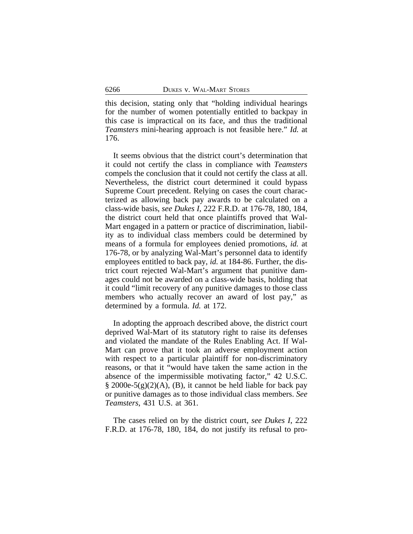this decision, stating only that "holding individual hearings for the number of women potentially entitled to backpay in this case is impractical on its face, and thus the traditional *Teamsters* mini-hearing approach is not feasible here." *Id.* at 176.

It seems obvious that the district court's determination that it could not certify the class in compliance with *Teamsters* compels the conclusion that it could not certify the class at all. Nevertheless, the district court determined it could bypass Supreme Court precedent. Relying on cases the court characterized as allowing back pay awards to be calculated on a class-wide basis, *see Dukes I*, 222 F.R.D. at 176-78, 180, 184, the district court held that once plaintiffs proved that Wal-Mart engaged in a pattern or practice of discrimination, liability as to individual class members could be determined by means of a formula for employees denied promotions, *id.* at 176-78, or by analyzing Wal-Mart's personnel data to identify employees entitled to back pay, *id.* at 184-86. Further, the district court rejected Wal-Mart's argument that punitive damages could not be awarded on a class-wide basis, holding that it could "limit recovery of any punitive damages to those class members who actually recover an award of lost pay," as determined by a formula. *Id.* at 172.

In adopting the approach described above, the district court deprived Wal-Mart of its statutory right to raise its defenses and violated the mandate of the Rules Enabling Act. If Wal-Mart can prove that it took an adverse employment action with respect to a particular plaintiff for non-discriminatory reasons, or that it "would have taken the same action in the absence of the impermissible motivating factor," 42 U.S.C.  $\S$  2000e-5(g)(2)(A), (B), it cannot be held liable for back pay or punitive damages as to those individual class members. *See Teamsters*, 431 U.S. at 361.

The cases relied on by the district court, *see Dukes I*, 222 F.R.D. at 176-78, 180, 184, do not justify its refusal to pro-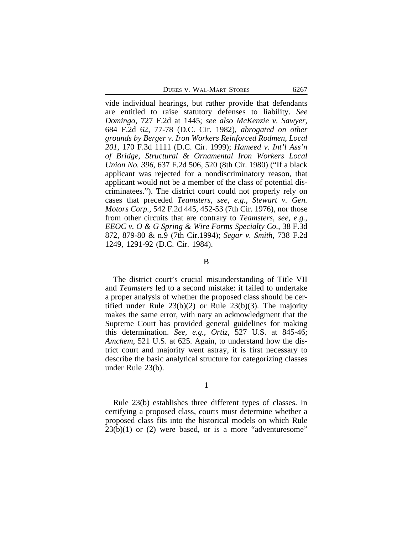DUKES V. WAL-MART STORES 6267

vide individual hearings, but rather provide that defendants are entitled to raise statutory defenses to liability. *See Domingo*, 727 F.2d at 1445; *see also McKenzie v. Sawyer*, 684 F.2d 62, 77-78 (D.C. Cir. 1982), *abrogated on other grounds by Berger v. Iron Workers Reinforced Rodmen, Local 201*, 170 F.3d 1111 (D.C. Cir. 1999); *Hameed v. Int'l Ass'n of Bridge, Structural & Ornamental Iron Workers Local Union No. 396*, 637 F.2d 506, 520 (8th Cir. 1980) ("If a black applicant was rejected for a nondiscriminatory reason, that applicant would not be a member of the class of potential discriminatees."). The district court could not properly rely on cases that preceded *Teamsters*, *see, e.g.*, *Stewart v. Gen. Motors Corp.,* 542 F.2d 445, 452-53 (7th Cir. 1976), nor those from other circuits that are contrary to *Teamsters*, *see, e.g.*, *EEOC v. O & G Spring & Wire Forms Specialty Co.*, 38 F.3d 872, 879-80 & n.9 (7th Cir.1994); *Segar v. Smith*, 738 F.2d 1249, 1291-92 (D.C. Cir. 1984).

#### B

The district court's crucial misunderstanding of Title VII and *Teamsters* led to a second mistake: it failed to undertake a proper analysis of whether the proposed class should be certified under Rule  $23(b)(2)$  or Rule  $23(b)(3)$ . The majority makes the same error, with nary an acknowledgment that the Supreme Court has provided general guidelines for making this determination. *See, e.g.*, *Ortiz*, 527 U.S. at 845-46; *Amchem*, 521 U.S. at 625. Again, to understand how the district court and majority went astray, it is first necessary to describe the basic analytical structure for categorizing classes under Rule 23(b).

## 1

Rule 23(b) establishes three different types of classes. In certifying a proposed class, courts must determine whether a proposed class fits into the historical models on which Rule  $23(b)(1)$  or  $(2)$  were based, or is a more "adventuresome"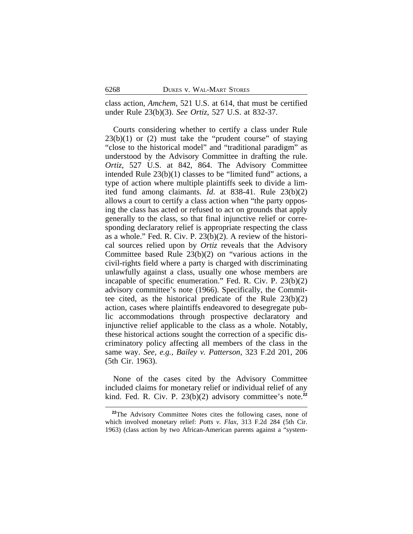class action, *Amchem*, 521 U.S. at 614, that must be certified under Rule 23(b)(3). *See Ortiz*, 527 U.S. at 832-37.

Courts considering whether to certify a class under Rule  $23(b)(1)$  or  $(2)$  must take the "prudent course" of staying "close to the historical model" and "traditional paradigm" as understood by the Advisory Committee in drafting the rule. *Ortiz*, 527 U.S. at 842, 864. The Advisory Committee intended Rule 23(b)(1) classes to be "limited fund" actions, a type of action where multiple plaintiffs seek to divide a limited fund among claimants. *Id*. at 838-41. Rule 23(b)(2) allows a court to certify a class action when "the party opposing the class has acted or refused to act on grounds that apply generally to the class, so that final injunctive relief or corresponding declaratory relief is appropriate respecting the class as a whole." Fed. R. Civ. P. 23(b)(2). A review of the historical sources relied upon by *Ortiz* reveals that the Advisory Committee based Rule 23(b)(2) on "various actions in the civil-rights field where a party is charged with discriminating unlawfully against a class, usually one whose members are incapable of specific enumeration." Fed. R. Civ. P. 23(b)(2) advisory committee's note (1966). Specifically, the Committee cited, as the historical predicate of the Rule 23(b)(2) action, cases where plaintiffs endeavored to desegregate public accommodations through prospective declaratory and injunctive relief applicable to the class as a whole. Notably, these historical actions sought the correction of a specific discriminatory policy affecting all members of the class in the same way. *See, e.g.*, *Bailey v. Patterson*, 323 F.2d 201, 206 (5th Cir. 1963).

None of the cases cited by the Advisory Committee included claims for monetary relief or individual relief of any kind. Fed. R. Civ. P. 23(b)(2) advisory committee's note.**<sup>22</sup>**

<sup>&</sup>lt;sup>22</sup>The Advisory Committee Notes cites the following cases, none of which involved monetary relief: *Potts v. Flax*, 313 F.2d 284 (5th Cir. 1963) (class action by two African-American parents against a "system-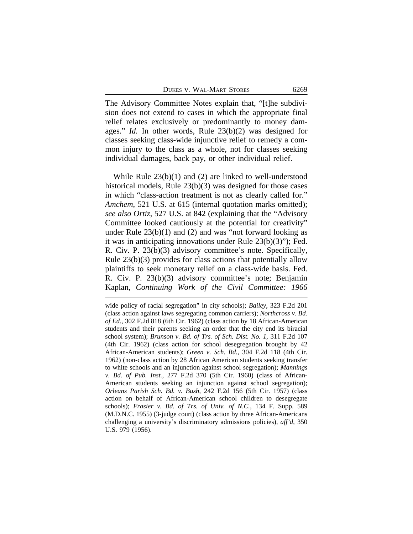The Advisory Committee Notes explain that, "[t]he subdivision does not extend to cases in which the appropriate final relief relates exclusively or predominantly to money damages." *Id.* In other words, Rule 23(b)(2) was designed for classes seeking class-wide injunctive relief to remedy a common injury to the class as a whole, not for classes seeking individual damages, back pay, or other individual relief.

While Rule 23(b)(1) and (2) are linked to well-understood historical models, Rule 23(b)(3) was designed for those cases in which "class-action treatment is not as clearly called for." *Amchem*, 521 U.S. at 615 (internal quotation marks omitted); *see also Ortiz*, 527 U.S. at 842 (explaining that the "Advisory Committee looked cautiously at the potential for creativity" under Rule  $23(b)(1)$  and  $(2)$  and was "not forward looking as it was in anticipating innovations under Rule 23(b)(3)"); Fed. R. Civ. P. 23(b)(3) advisory committee's note. Specifically, Rule 23(b)(3) provides for class actions that potentially allow plaintiffs to seek monetary relief on a class-wide basis. Fed. R. Civ. P. 23(b)(3) advisory committee's note; Benjamin Kaplan, *Continuing Work of the Civil Committee: 1966*

wide policy of racial segregation" in city schools); *Bailey*, 323 F.2d 201 (class action against laws segregating common carriers); *Northcross v. Bd. of Ed.*, 302 F.2d 818 (6th Cir. 1962) (class action by 18 African-American students and their parents seeking an order that the city end its biracial school system); *Brunson v. Bd. of Trs. of Sch. Dist. No. 1*, 311 F.2d 107 (4th Cir. 1962) (class action for school desegregation brought by 42 African-American students); *Green v. Sch. Bd.,* 304 F.2d 118 (4th Cir. 1962) (non-class action by 28 African American students seeking transfer to white schools and an injunction against school segregation); *Mannings v. Bd. of Pub. Inst.*, 277 F.2d 370 (5th Cir. 1960) (class of African-American students seeking an injunction against school segregation); *Orleans Parish Sch. Bd. v. Bush*, 242 F.2d 156 (5th Cir. 1957) (class action on behalf of African-American school children to desegregate schools); *Frasier v. Bd. of Trs. of Univ. of N.C.*, 134 F. Supp. 589 (M.D.N.C. 1955) (3-judge court) (class action by three African-Americans challenging a university's discriminatory admissions policies), *aff'd*, 350 U.S. 979 (1956).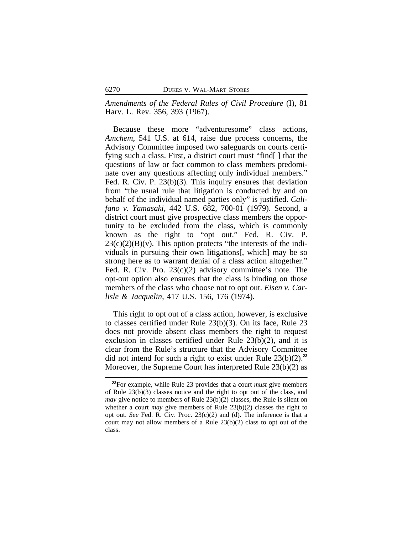*Amendments of the Federal Rules of Civil Procedure* (I), 81 Harv. L. Rev. 356, 393 (1967).

Because these more "adventuresome" class actions, *Amchem*, 541 U.S. at 614, raise due process concerns, the Advisory Committee imposed two safeguards on courts certifying such a class. First, a district court must "find[ ] that the questions of law or fact common to class members predominate over any questions affecting only individual members." Fed. R. Civ. P. 23(b)(3). This inquiry ensures that deviation from "the usual rule that litigation is conducted by and on behalf of the individual named parties only" is justified. *Califano v. Yamasaki*, 442 U.S. 682, 700-01 (1979). Second, a district court must give prospective class members the opportunity to be excluded from the class, which is commonly known as the right to "opt out." Fed. R. Civ. P.  $23(c)(2)(B)(v)$ . This option protects "the interests of the individuals in pursuing their own litigations[, which] may be so strong here as to warrant denial of a class action altogether." Fed. R. Civ. Pro. 23(c)(2) advisory committee's note. The opt-out option also ensures that the class is binding on those members of the class who choose not to opt out. *Eisen v. Carlisle & Jacquelin*, 417 U.S. 156, 176 (1974).

This right to opt out of a class action, however, is exclusive to classes certified under Rule 23(b)(3). On its face, Rule 23 does not provide absent class members the right to request exclusion in classes certified under Rule 23(b)(2), and it is clear from the Rule's structure that the Advisory Committee did not intend for such a right to exist under Rule 23(b)(2).**<sup>23</sup>** Moreover, the Supreme Court has interpreted Rule 23(b)(2) as

**<sup>23</sup>**For example, while Rule 23 provides that a court *must* give members of Rule 23(b)(3) classes notice and the right to opt out of the class, and *may* give notice to members of Rule 23(b)(2) classes, the Rule is silent on whether a court *may* give members of Rule 23(b)(2) classes the right to opt out. *See* Fed. R. Civ. Proc. 23(c)(2) and (d). The inference is that a court may not allow members of a Rule 23(b)(2) class to opt out of the class.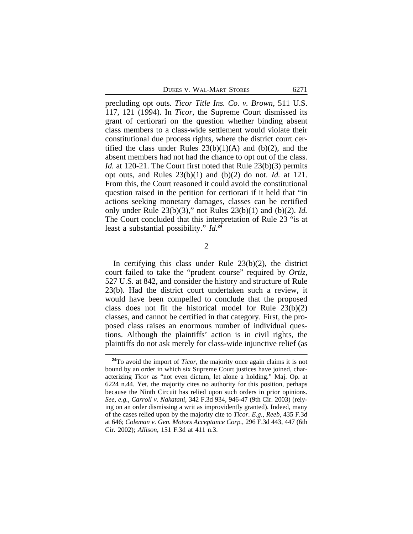DUKES V. WAL-MART STORES 6271

precluding opt outs. *Ticor Title Ins. Co. v. Brown*, 511 U.S. 117, 121 (1994). In *Ticor*, the Supreme Court dismissed its grant of certiorari on the question whether binding absent class members to a class-wide settlement would violate their constitutional due process rights, where the district court certified the class under Rules  $23(b)(1)(A)$  and (b)(2), and the absent members had not had the chance to opt out of the class. *Id.* at 120-21. The Court first noted that Rule 23(b)(3) permits opt outs, and Rules 23(b)(1) and (b)(2) do not. *Id.* at 121. From this, the Court reasoned it could avoid the constitutional question raised in the petition for certiorari if it held that "in actions seeking monetary damages, classes can be certified only under Rule 23(b)(3)," not Rules 23(b)(1) and (b)(2). *Id.* The Court concluded that this interpretation of Rule 23 "is at least a substantial possibility." *Id.***<sup>24</sup>**

2

In certifying this class under Rule  $23(b)(2)$ , the district court failed to take the "prudent course" required by *Ortiz*, 527 U.S. at 842, and consider the history and structure of Rule 23(b). Had the district court undertaken such a review, it would have been compelled to conclude that the proposed class does not fit the historical model for Rule 23(b)(2) classes, and cannot be certified in that category. First, the proposed class raises an enormous number of individual questions. Although the plaintiffs' action is in civil rights, the plaintiffs do not ask merely for class-wide injunctive relief (as

**<sup>24</sup>**To avoid the import of *Ticor*, the majority once again claims it is not bound by an order in which six Supreme Court justices have joined, characterizing *Ticor* as "not even dictum, let alone a holding." Maj. Op. at 6224 n.44. Yet, the majority cites no authority for this position, perhaps because the Ninth Circuit has relied upon such orders in prior opinions. *See, e.g.*, *Carroll v. Nakatani*, 342 F.3d 934, 946-47 (9th Cir. 2003) (relying on an order dismissing a writ as improvidently granted). Indeed, many of the cases relied upon by the majority cite to *Ticor*. *E.g.*, *Reeb*, 435 F.3d at 646; *Coleman v. Gen. Motors Acceptance Corp.*, 296 F.3d 443, 447 (6th Cir. 2002); *Allison*, 151 F.3d at 411 n.3.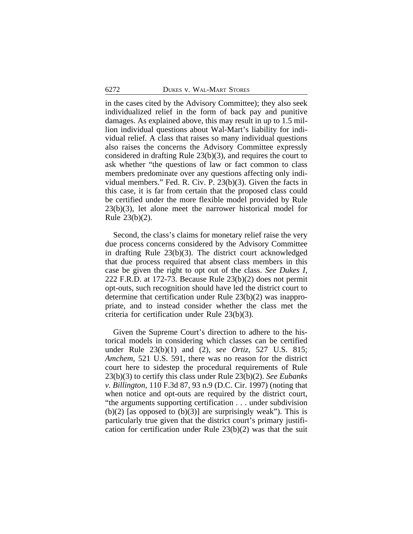in the cases cited by the Advisory Committee); they also seek individualized relief in the form of back pay and punitive damages. As explained above, this may result in up to 1.5 million individual questions about Wal-Mart's liability for individual relief. A class that raises so many individual questions also raises the concerns the Advisory Committee expressly considered in drafting Rule 23(b)(3), and requires the court to ask whether "the questions of law or fact common to class members predominate over any questions affecting only individual members." Fed. R. Civ. P. 23(b)(3). Given the facts in this case, it is far from certain that the proposed class could be certified under the more flexible model provided by Rule 23(b)(3), let alone meet the narrower historical model for Rule 23(b)(2).

Second, the class's claims for monetary relief raise the very due process concerns considered by the Advisory Committee in drafting Rule 23(b)(3). The district court acknowledged that due process required that absent class members in this case be given the right to opt out of the class. *See Dukes I*, 222 F.R.D. at 172-73. Because Rule 23(b)(2) does not permit opt-outs, such recognition should have led the district court to determine that certification under Rule 23(b)(2) was inappropriate, and to instead consider whether the class met the criteria for certification under Rule 23(b)(3).

Given the Supreme Court's direction to adhere to the historical models in considering which classes can be certified under Rule 23(b)(1) and (2), *see Ortiz*, 527 U.S. 815; *Amchem*, 521 U.S. 591, there was no reason for the district court here to sidestep the procedural requirements of Rule 23(b)(3) to certify this class under Rule 23(b)(2). *See Eubanks v. Billington*, 110 F.3d 87, 93 n.9 (D.C. Cir. 1997) (noting that when notice and opt-outs are required by the district court, "the arguments supporting certification . . . under subdivision (b)(2) [as opposed to  $(b)(3)$ ] are surprisingly weak"). This is particularly true given that the district court's primary justification for certification under Rule 23(b)(2) was that the suit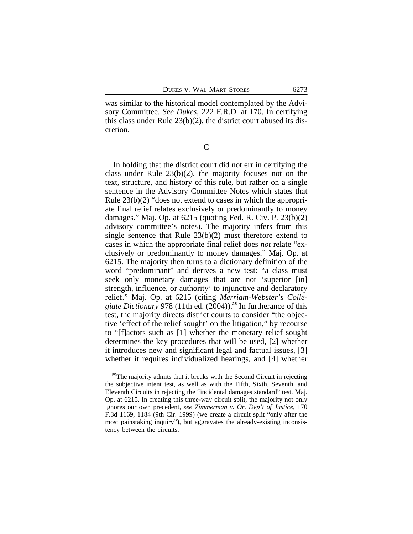was similar to the historical model contemplated by the Advisory Committee. *See Dukes*, 222 F.R.D. at 170. In certifying this class under Rule 23(b)(2), the district court abused its discretion.

C

In holding that the district court did not err in certifying the class under Rule 23(b)(2), the majority focuses not on the text, structure, and history of this rule, but rather on a single sentence in the Advisory Committee Notes which states that Rule 23(b)(2) "does not extend to cases in which the appropriate final relief relates exclusively or predominantly to money damages." Maj. Op. at 6215 (quoting Fed. R. Civ. P. 23(b)(2) advisory committee's notes). The majority infers from this single sentence that Rule 23(b)(2) must therefore extend to cases in which the appropriate final relief does *not* relate "exclusively or predominantly to money damages." Maj. Op. at 6215. The majority then turns to a dictionary definition of the word "predominant" and derives a new test: "a class must seek only monetary damages that are not 'superior [in] strength, influence, or authority' to injunctive and declaratory relief." Maj. Op. at 6215 (citing *Merriam-Webster's Collegiate Dictionary* 978 (11th ed. (2004)).**<sup>25</sup>** In furtherance of this test, the majority directs district courts to consider "the objective 'effect of the relief sought' on the litigation," by recourse to "[f]actors such as [1] whether the monetary relief sought determines the key procedures that will be used, [2] whether it introduces new and significant legal and factual issues, [3] whether it requires individualized hearings, and [4] whether

**<sup>25</sup>**The majority admits that it breaks with the Second Circuit in rejecting the subjective intent test, as well as with the Fifth, Sixth, Seventh, and Eleventh Circuits in rejecting the "incidental damages standard" test. Maj. Op. at 6215. In creating this three-way circuit split, the majority not only ignores our own precedent, *see Zimmerman v. Or. Dep't of Justice*, 170 F.3d 1169, 1184 (9th Cir. 1999) (we create a circuit split "only after the most painstaking inquiry"), but aggravates the already-existing inconsistency between the circuits.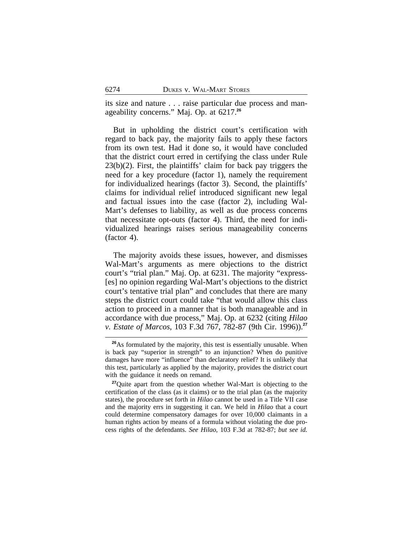its size and nature . . . raise particular due process and manageability concerns." Maj. Op. at 6217.**<sup>26</sup>**

But in upholding the district court's certification with regard to back pay, the majority fails to apply these factors from its own test. Had it done so, it would have concluded that the district court erred in certifying the class under Rule 23(b)(2). First, the plaintiffs' claim for back pay triggers the need for a key procedure (factor 1), namely the requirement for individualized hearings (factor 3). Second, the plaintiffs' claims for individual relief introduced significant new legal and factual issues into the case (factor 2), including Wal-Mart's defenses to liability, as well as due process concerns that necessitate opt-outs (factor 4). Third, the need for individualized hearings raises serious manageability concerns (factor 4).

The majority avoids these issues, however, and dismisses Wal-Mart's arguments as mere objections to the district court's "trial plan." Maj. Op. at 6231. The majority "express- [es] no opinion regarding Wal-Mart's objections to the district court's tentative trial plan" and concludes that there are many steps the district court could take "that would allow this class action to proceed in a manner that is both manageable and in accordance with due process," Maj. Op. at 6232 (citing *Hilao v. Estate of Marcos*, 103 F.3d 767, 782-87 (9th Cir. 1996)).**<sup>27</sup>**

**<sup>26</sup>**As formulated by the majority, this test is essentially unusable. When is back pay "superior in strength" to an injunction? When do punitive damages have more "influence" than declaratory relief? It is unlikely that this test, particularly as applied by the majority, provides the district court with the guidance it needs on remand.

**<sup>27</sup>**Quite apart from the question whether Wal-Mart is objecting to the certification of the class (as it claims) or to the trial plan (as the majority states), the procedure set forth in *Hilao* cannot be used in a Title VII case and the majority errs in suggesting it can. We held in *Hilao* that a court could determine compensatory damages for over 10,000 claimants in a human rights action by means of a formula without violating the due process rights of the defendants. *See Hilao*, 103 F.3d at 782-87; *but see id.*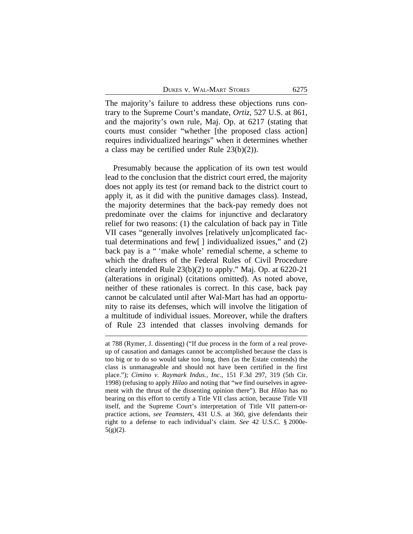The majority's failure to address these objections runs contrary to the Supreme Court's mandate, *Ortiz*, 527 U.S. at 861, and the majority's own rule, Maj. Op. at 6217 (stating that courts must consider "whether [the proposed class action] requires individualized hearings" when it determines whether a class may be certified under Rule 23(b)(2)).

Presumably because the application of its own test would lead to the conclusion that the district court erred, the majority does not apply its test (or remand back to the district court to apply it, as it did with the punitive damages class). Instead, the majority determines that the back-pay remedy does not predominate over the claims for injunctive and declaratory relief for two reasons: (1) the calculation of back pay in Title VII cases "generally involves [relatively un]complicated factual determinations and few[ ] individualized issues," and (2) back pay is a " 'make whole' remedial scheme, a scheme to which the drafters of the Federal Rules of Civil Procedure clearly intended Rule 23(b)(2) to apply." Maj. Op. at 6220-21 (alterations in original) (citations omitted). As noted above, neither of these rationales is correct. In this case, back pay cannot be calculated until after Wal-Mart has had an opportunity to raise its defenses, which will involve the litigation of a multitude of individual issues. Moreover, while the drafters of Rule 23 intended that classes involving demands for

at 788 (Rymer, J. dissenting) ("If due process in the form of a real proveup of causation and damages cannot be accomplished because the class is too big or to do so would take too long, then (as the Estate contends) the class is unmanageable and should not have been certified in the first place."); *Cimino v. Raymark Indus., Inc*., 151 F.3d 297, 319 (5th Cir. 1998) (refusing to apply *Hilao* and noting that "we find ourselves in agreement with the thrust of the dissenting opinion there"). But *Hilao* has no bearing on this effort to certify a Title VII class action, because Title VII itself, and the Supreme Court's interpretation of Title VII pattern-orpractice actions, *see Teamsters*, 431 U.S. at 360, give defendants their right to a defense to each individual's claim. *See* 42 U.S.C. § 2000e-5(g)(2).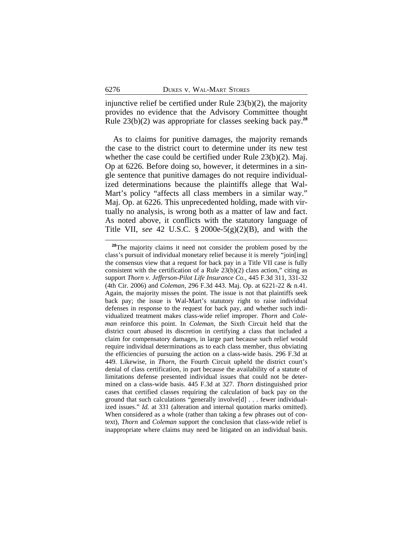injunctive relief be certified under Rule  $23(b)(2)$ , the majority provides no evidence that the Advisory Committee thought Rule 23(b)(2) was appropriate for classes seeking back pay.**<sup>28</sup>**

As to claims for punitive damages, the majority remands the case to the district court to determine under its new test whether the case could be certified under Rule 23(b)(2). Maj. Op at 6226. Before doing so, however, it determines in a single sentence that punitive damages do not require individualized determinations because the plaintiffs allege that Wal-Mart's policy "affects all class members in a similar way." Maj. Op. at 6226. This unprecedented holding, made with virtually no analysis, is wrong both as a matter of law and fact. As noted above, it conflicts with the statutory language of Title VII, *see* 42 U.S.C. § 2000e-5(g)(2)(B), and with the

**<sup>28</sup>**The majority claims it need not consider the problem posed by the class's pursuit of individual monetary relief because it is merely "join[ing] the consensus view that a request for back pay in a Title VII case is fully consistent with the certification of a Rule 23(b)(2) class action," citing as support *Thorn v. Jefferson-Pilot Life Insurance Co.*, 445 F.3d 311, 331-32 (4th Cir. 2006) and *Coleman*, 296 F.3d 443. Maj. Op. at 6221-22 & n.41. Again, the majority misses the point. The issue is not that plaintiffs seek back pay; the issue is Wal-Mart's statutory right to raise individual defenses in response to the request for back pay, and whether such individualized treatment makes class-wide relief improper. *Thorn* and *Coleman* reinforce this point. In *Coleman*, the Sixth Circuit held that the district court abused its discretion in certifying a class that included a claim for compensatory damages, in large part because such relief would require individual determinations as to each class member, thus obviating the efficiencies of pursuing the action on a class-wide basis. 296 F.3d at 449. Likewise, in *Thorn*, the Fourth Circuit upheld the district court's denial of class certification, in part because the availability of a statute of limitations defense presented individual issues that could not be determined on a class-wide basis. 445 F.3d at 327. *Thorn* distinguished prior cases that certified classes requiring the calculation of back pay on the ground that such calculations "generally involve[d] . . . fewer individualized issues." *Id.* at 331 (alteration and internal quotation marks omitted). When considered as a whole (rather than taking a few phrases out of context), *Thorn* and *Coleman* support the conclusion that class-wide relief is inappropriate where claims may need be litigated on an individual basis.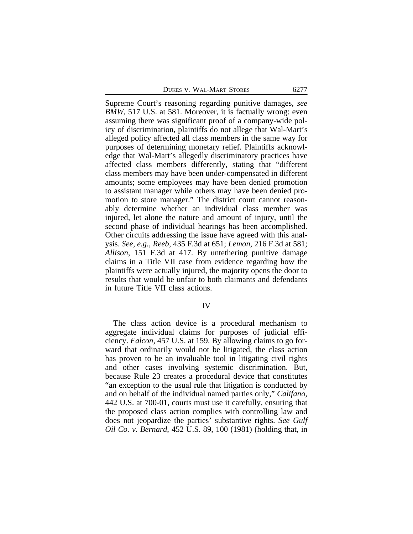DUKES V. WAL-MART STORES 6277

Supreme Court's reasoning regarding punitive damages, *see BMW,* 517 U.S. at 581. Moreover, it is factually wrong: even assuming there was significant proof of a company-wide policy of discrimination, plaintiffs do not allege that Wal-Mart's alleged policy affected all class members in the same way for purposes of determining monetary relief. Plaintiffs acknowledge that Wal-Mart's allegedly discriminatory practices have affected class members differently, stating that "different class members may have been under-compensated in different amounts; some employees may have been denied promotion to assistant manager while others may have been denied promotion to store manager." The district court cannot reasonably determine whether an individual class member was injured, let alone the nature and amount of injury, until the second phase of individual hearings has been accomplished. Other circuits addressing the issue have agreed with this analysis. *See, e.g.*, *Reeb*, 435 F.3d at 651; *Lemon*, 216 F.3d at 581; *Allison*, 151 F.3d at 417. By untethering punitive damage claims in a Title VII case from evidence regarding how the plaintiffs were actually injured, the majority opens the door to results that would be unfair to both claimants and defendants in future Title VII class actions.

### IV

The class action device is a procedural mechanism to aggregate individual claims for purposes of judicial efficiency. *Falcon*, 457 U.S. at 159. By allowing claims to go forward that ordinarily would not be litigated, the class action has proven to be an invaluable tool in litigating civil rights and other cases involving systemic discrimination. But, because Rule 23 creates a procedural device that constitutes "an exception to the usual rule that litigation is conducted by and on behalf of the individual named parties only," *Califano*, 442 U.S. at 700-01, courts must use it carefully, ensuring that the proposed class action complies with controlling law and does not jeopardize the parties' substantive rights. *See Gulf Oil Co. v. Bernard*, 452 U.S. 89, 100 (1981) (holding that, in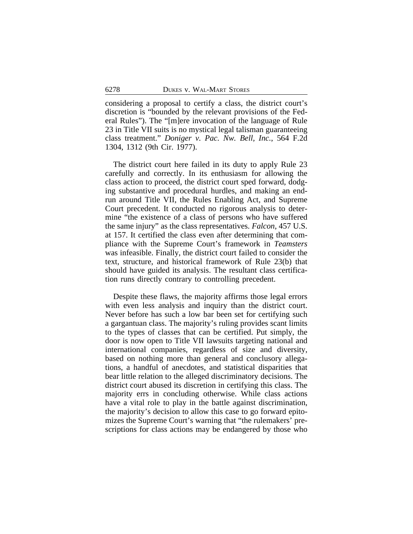considering a proposal to certify a class, the district court's discretion is "bounded by the relevant provisions of the Federal Rules"). The "[m]ere invocation of the language of Rule 23 in Title VII suits is no mystical legal talisman guaranteeing class treatment." *Doniger v. Pac. Nw. Bell, Inc.*, 564 F.2d 1304, 1312 (9th Cir. 1977).

The district court here failed in its duty to apply Rule 23 carefully and correctly. In its enthusiasm for allowing the class action to proceed, the district court sped forward, dodging substantive and procedural hurdles, and making an endrun around Title VII, the Rules Enabling Act, and Supreme Court precedent. It conducted no rigorous analysis to determine "the existence of a class of persons who have suffered the same injury" as the class representatives. *Falcon*, 457 U.S. at 157. It certified the class even after determining that compliance with the Supreme Court's framework in *Teamsters* was infeasible. Finally, the district court failed to consider the text, structure, and historical framework of Rule 23(b) that should have guided its analysis. The resultant class certification runs directly contrary to controlling precedent.

Despite these flaws, the majority affirms those legal errors with even less analysis and inquiry than the district court. Never before has such a low bar been set for certifying such a gargantuan class. The majority's ruling provides scant limits to the types of classes that can be certified. Put simply, the door is now open to Title VII lawsuits targeting national and international companies, regardless of size and diversity, based on nothing more than general and conclusory allegations, a handful of anecdotes, and statistical disparities that bear little relation to the alleged discriminatory decisions. The district court abused its discretion in certifying this class. The majority errs in concluding otherwise. While class actions have a vital role to play in the battle against discrimination, the majority's decision to allow this case to go forward epitomizes the Supreme Court's warning that "the rulemakers' prescriptions for class actions may be endangered by those who